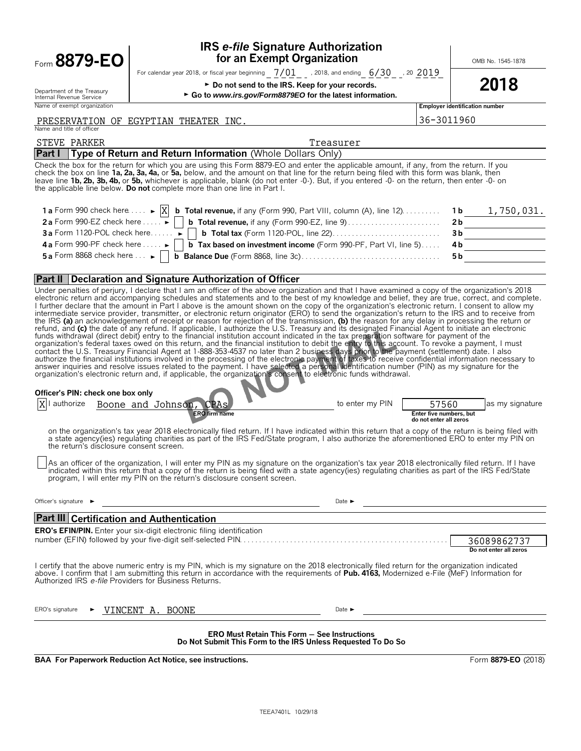| Treasurer<br>Type of Return and Return Information (Whole Dollars Only)<br>Check the box for the return for which you are using this Form 8879-EO and enter the applicable amount, if any, from the retu<br>check the box on line 1a, 2a, 3a, 4a, or 5a, below, and the amount on that line for the return being filed with this form was blan<br>leave line 1b, 2b, 3b, 4b, or 5b, whichever is applicable, blank (do not enter -0-). But, if you entered -0- on the return, then ent<br>the applicable line below. Do not complete more than one line in Part I.<br>1 a Form 990 check here $\dots$ $\blacktriangleright$ $X$ <b>b Total revenue</b> , if any (Form 990, Part VIII, column (A), line 12) $\dots$<br>1 b<br>2a Form 990-EZ check here $\ldots$ $\blacktriangleright$   b Total revenue, if any (Form 990-EZ, line 9) $\ldots$ $\ldots$ $\ldots$ $\ldots$<br>2 <sub>b</sub><br>3 <sub>b</sub><br>4 a Form 990-PF check here $\ldots$ $\blacktriangleright$ $\blacksquare$ Tax based on investment income (Form 990-PF, Part VI, line 5)<br>4 <b>b</b><br>5 b<br>Declaration and Signature Authorization of Officer<br>Under penalties of perjury, I declare that I am an officer of the above organization and that I have examined a copy of the org<br>electronic return and accompanying schedules and statements and to the best of my knowledge and belief, they are true, corr                                                                                                                                                                                                                                                                                                                                                                                                                                           |
|------------------------------------------------------------------------------------------------------------------------------------------------------------------------------------------------------------------------------------------------------------------------------------------------------------------------------------------------------------------------------------------------------------------------------------------------------------------------------------------------------------------------------------------------------------------------------------------------------------------------------------------------------------------------------------------------------------------------------------------------------------------------------------------------------------------------------------------------------------------------------------------------------------------------------------------------------------------------------------------------------------------------------------------------------------------------------------------------------------------------------------------------------------------------------------------------------------------------------------------------------------------------------------------------------------------------------------------------------------------------------------------------------------------------------------------------------------------------------------------------------------------------------------------------------------------------------------------------------------------------------------------------------------------------------------------------------------------------------------------------------------------------------------------------------------------------------------------------|
|                                                                                                                                                                                                                                                                                                                                                                                                                                                                                                                                                                                                                                                                                                                                                                                                                                                                                                                                                                                                                                                                                                                                                                                                                                                                                                                                                                                                                                                                                                                                                                                                                                                                                                                                                                                                                                                |
|                                                                                                                                                                                                                                                                                                                                                                                                                                                                                                                                                                                                                                                                                                                                                                                                                                                                                                                                                                                                                                                                                                                                                                                                                                                                                                                                                                                                                                                                                                                                                                                                                                                                                                                                                                                                                                                |
|                                                                                                                                                                                                                                                                                                                                                                                                                                                                                                                                                                                                                                                                                                                                                                                                                                                                                                                                                                                                                                                                                                                                                                                                                                                                                                                                                                                                                                                                                                                                                                                                                                                                                                                                                                                                                                                |
|                                                                                                                                                                                                                                                                                                                                                                                                                                                                                                                                                                                                                                                                                                                                                                                                                                                                                                                                                                                                                                                                                                                                                                                                                                                                                                                                                                                                                                                                                                                                                                                                                                                                                                                                                                                                                                                |
|                                                                                                                                                                                                                                                                                                                                                                                                                                                                                                                                                                                                                                                                                                                                                                                                                                                                                                                                                                                                                                                                                                                                                                                                                                                                                                                                                                                                                                                                                                                                                                                                                                                                                                                                                                                                                                                |
|                                                                                                                                                                                                                                                                                                                                                                                                                                                                                                                                                                                                                                                                                                                                                                                                                                                                                                                                                                                                                                                                                                                                                                                                                                                                                                                                                                                                                                                                                                                                                                                                                                                                                                                                                                                                                                                |
|                                                                                                                                                                                                                                                                                                                                                                                                                                                                                                                                                                                                                                                                                                                                                                                                                                                                                                                                                                                                                                                                                                                                                                                                                                                                                                                                                                                                                                                                                                                                                                                                                                                                                                                                                                                                                                                |
|                                                                                                                                                                                                                                                                                                                                                                                                                                                                                                                                                                                                                                                                                                                                                                                                                                                                                                                                                                                                                                                                                                                                                                                                                                                                                                                                                                                                                                                                                                                                                                                                                                                                                                                                                                                                                                                |
|                                                                                                                                                                                                                                                                                                                                                                                                                                                                                                                                                                                                                                                                                                                                                                                                                                                                                                                                                                                                                                                                                                                                                                                                                                                                                                                                                                                                                                                                                                                                                                                                                                                                                                                                                                                                                                                |
| I further declare that the amount in Part I above is the amount shown on the copy of the organization's electronic return. I continermediate service provider, transmitter, or electronic return originator (ERO) to send the<br>the IRS (a) an acknowledgement of receipt or reason for rejection of the transmission, (b) the reason for any delay in processi<br>refund, and (c) the date of any refund. If applicable, I authorize the U.S. Treasury and its designated Financial Agent to initiat<br>funds withdrawal (direct debit) entry to the financial institution account indicated in the tax preparation software for payment o<br>organization's federal taxes owed on this return, and the financial institution to debit the entry to this account. To revoke a pay<br>contact the U.S. Treasury Financial Agent at 1-888-353-4537 no later than 2 business days prior to the payment (settlement) cauthorize the financial institutions involved in the processing of the electronic payment of taxe<br>organization's electronic return and, if applicable, the organization's consent to electronic funds withdrawal.<br>57560<br>to enter my PIN<br>Enter five numbers, but<br>do not enter all zeros<br>on the organization's tax year 2018 electronically filed return. If I have indicated within this return that a copy of the return<br>a state agency(ies) regulating charities as part of the IRS Fed/State program, I also authorize the aforementioned ERO to<br>As an officer of the organization, I will enter my PIN as my signature on the organization's tax year 2018 electronically file<br>indicated within this return that a copy of the return is being filed with a state agency(ies) regulating charities as part of the<br>program, I will enter my PIN on the return's disclosure consent screen. |
| Date $\blacktriangleright$                                                                                                                                                                                                                                                                                                                                                                                                                                                                                                                                                                                                                                                                                                                                                                                                                                                                                                                                                                                                                                                                                                                                                                                                                                                                                                                                                                                                                                                                                                                                                                                                                                                                                                                                                                                                                     |
|                                                                                                                                                                                                                                                                                                                                                                                                                                                                                                                                                                                                                                                                                                                                                                                                                                                                                                                                                                                                                                                                                                                                                                                                                                                                                                                                                                                                                                                                                                                                                                                                                                                                                                                                                                                                                                                |
| <b>ERO's EFIN/PIN.</b> Enter your six-digit electronic filing identification                                                                                                                                                                                                                                                                                                                                                                                                                                                                                                                                                                                                                                                                                                                                                                                                                                                                                                                                                                                                                                                                                                                                                                                                                                                                                                                                                                                                                                                                                                                                                                                                                                                                                                                                                                   |
| I certify that the above numeric entry is my PIN, which is my signature on the 2018 electronically filed return for the organizati<br>above. I confirm that I am submitting this return in accordance with the requirements of Pub. 4163, Modernized e-File (MeF) In                                                                                                                                                                                                                                                                                                                                                                                                                                                                                                                                                                                                                                                                                                                                                                                                                                                                                                                                                                                                                                                                                                                                                                                                                                                                                                                                                                                                                                                                                                                                                                           |

### **IRS** *e-file* **Signature Authorization form 8879-EO decrease 12 and 545-1878 for an Exempt Organization CONB No. 1545-1878**

For calendar year 2018, or fiscal year beginning  $\_7/01\_$  , 2018, and ending  $\_6/30\_$  , 20  $\_2019$ 

► Do not send to the IRS. Keep for your records.<br>
► Go to *www.irs.gov/Form8879EO* for the latest information.

Name of exempt organization **Employer identification number Employer identification number** 

### amount, if any, from the return. If you check the box on line **1a, 2a, 3a, 4a,** or **5a,** below, and the amount on that line for the return being filed with this form was blank, then leave line **1b, 2b, 3b, 4b,** or **5b,** whichever is applicable, blank (do not enter -0-). But, if you entered -0- on the return, then enter -0- on **1 a** Form 990 check here…. ►  $X \mid b$  Total revenue, if any (Form 990, Part VIII, column (A), line 12)……….. 1 b 1,750,031. **2 a b Total revenue,** Form 990-EZ check here . . . . . G if any (Form 990-EZ, line 9). . . . . . . . . . . . . . . . . . . . . . . . **2 b 3 a b Total tax** Form 1120-POL check here. . . . . . G (Form 1120-POL, line 22). . . . . . . . . . . . . . . . . . . . . . . . . . . . **3 b Part VI, line 5)...... 4b 5 a b Balance Due** Form 8868 check here. . . . G (Form 8868, line 3c). . . . . . . . . . . . . . . . . . . . . . . . . . . . . . . . . . . . **5 b**

e examined a copy of the organization's 2018 electronic return and accompanying schedules and statements and to the best of my knowledge and belief, they are true, correct, and complete. I further declare that the amount in Part I above is the amount shown on the copy of the organization's electronic return. I consent to allow my<br>intermediate service provider, transmitter, or electronic return originator ( the IRS **(a)** an acknowledgement of receipt or reason for rejection of the transmission, **(b)** the reason for any delay in processing the return or refund, and (c) the date of any refund. If applicable, I authorize the U.S. Treasury and its designated Financial Agent to initiate an electronic<br>funds withdrawal (direct debit) entry to the financial institution account i contact the U.S. Treasury Financial Agent at 1-888-353-4537 no later than 2 business days prior to the payment (settlement) date. I also<br>authorize the financial institutions involved in the processing of the electronic pay ation number (PIN) as my signature for the withdrawal. organization's electronic return and, if applicable, the organization's consent to electronic funds withdrawal.

| Officer's PIN: check one box only       |                                         |                                                                                                                                                                                                                                                                                                    |                 |                                                   |                 |
|-----------------------------------------|-----------------------------------------|----------------------------------------------------------------------------------------------------------------------------------------------------------------------------------------------------------------------------------------------------------------------------------------------------|-----------------|---------------------------------------------------|-----------------|
|                                         | $[X]$ authorize Boone and Johnson, CPAs |                                                                                                                                                                                                                                                                                                    | to enter my PIN | 57560                                             | as my signature |
|                                         | <b>ERO</b> firm name                    |                                                                                                                                                                                                                                                                                                    |                 | Enter five numbers, but<br>do not enter all zeros |                 |
| the return's disclosure consent screen. |                                         | on the organization's tax year 2018 electronically filed return. If I have indicated within this return that a copy of the return is being filed with<br>a state agency(ies) regulating charities as part of the IRS Fed/State program, I also authorize the aforementioned ERO to enter my PIN on |                 |                                                   |                 |

ax year 2018 electronically filed return. If I have indicated with the return the return of the return is an anti-

> **Do not enter all zeros** 36089862737

I filed return for the organization indicated **63,** Modernized e-File (MeF) Information for

| ERO's signature | VINCENT |  |
|-----------------|---------|--|
|                 |         |  |

Department of the Treasury<br>Internal Revenue Service

VINCENT A. BOONE

**ERO Must Retain This Form** ' **See Instructions Do Not Submit This Form to the IRS Unless Requested To Do So**

**BAA For Paperwork Reduction Act Notice, see instructions.** The set of the set of the set of the set of the set of the set of the set of the set of the set of the set of the set of the set of the set of the set of the set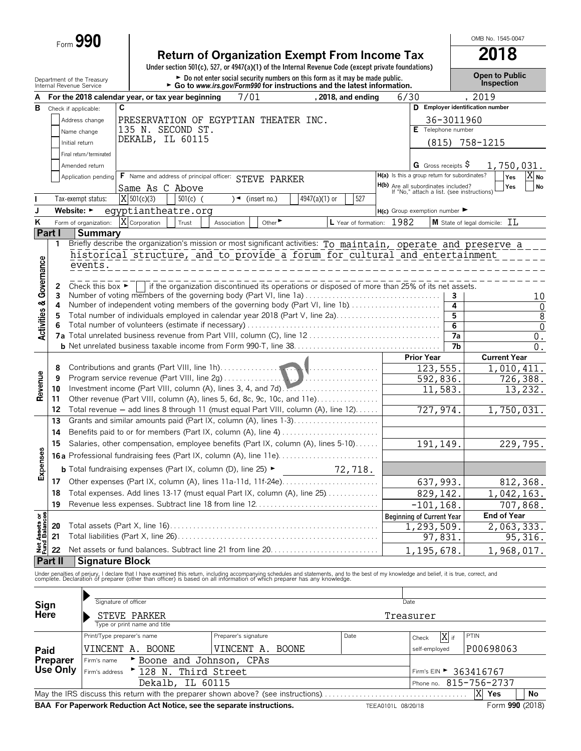Form **990**

| <b>Return of Organization Exempt From Income Tax</b>                                               | 2018 |
|----------------------------------------------------------------------------------------------------|------|
| Under section 501(c), 527, or 4947(a)(1) of the Internal Revenue Code (except private foundations) |      |
|                                                                                                    |      |

OMB No. 1545-0047

| Department of the Treasury<br>Internal Revenue Service |             |                                                         | $\triangleright$ Do not enter social security numbers on this form as it may be made public.<br>► Go to www.irs.gov/Form990 for instructions and the latest information.                                                          |            |                                               |                                                                                   | <b>Open to Public</b><br><b>Inspection</b> |
|--------------------------------------------------------|-------------|---------------------------------------------------------|-----------------------------------------------------------------------------------------------------------------------------------------------------------------------------------------------------------------------------------|------------|-----------------------------------------------|-----------------------------------------------------------------------------------|--------------------------------------------|
| А                                                      |             |                                                         | 7/01<br>For the 2018 calendar year, or tax year beginning<br>, 2018, and ending                                                                                                                                                   | 6/30       |                                               | , 2019                                                                            |                                            |
| в                                                      |             | Check if applicable:                                    | C                                                                                                                                                                                                                                 |            |                                               | D Employer identification number                                                  |                                            |
|                                                        |             | PRESERVATION OF EGYPTIAN THEATER INC.<br>Address change |                                                                                                                                                                                                                                   | 36-3011960 |                                               |                                                                                   |                                            |
|                                                        | Name change | E Telephone number                                      |                                                                                                                                                                                                                                   |            |                                               |                                                                                   |                                            |
|                                                        |             | Initial return                                          | DEKALB, IL 60115                                                                                                                                                                                                                  |            | (815)                                         | 758-1215                                                                          |                                            |
|                                                        |             | Final return/terminated                                 |                                                                                                                                                                                                                                   |            |                                               |                                                                                   |                                            |
|                                                        |             | Amended return                                          |                                                                                                                                                                                                                                   |            | G Gross receipts $\varsigma$                  |                                                                                   | 1,750,031.                                 |
|                                                        |             | Application pending                                     | F Name and address of principal officer: STEVE PARKER                                                                                                                                                                             |            | H(a) Is this a group return for subordinates? |                                                                                   | Yes<br>X no                                |
|                                                        |             |                                                         | Same As C Above                                                                                                                                                                                                                   |            |                                               | H(b) Are all subordinates included?<br>If "No," attach a list. (see instructions) | Yes<br>No                                  |
|                                                        |             | Tax-exempt status:                                      | $X$ 501(c)(3)<br>$501(c)$ (<br>527<br>4947(a)(1) or<br>$\sqrt{ }$ (insert no.)                                                                                                                                                    |            |                                               |                                                                                   |                                            |
| J                                                      |             | Website: ►                                              | eqyptiantheatre.org                                                                                                                                                                                                               |            | $H(c)$ Group exemption number                 |                                                                                   |                                            |
| ĸ                                                      |             | Form of organization:                                   | X Corporation<br>L Year of formation: 1982<br>Other <sup>&gt;</sup><br>Trust<br>Association                                                                                                                                       |            |                                               | $M$ State of legal domicile: $IL$                                                 |                                            |
| Part I                                                 |             | Summary                                                 |                                                                                                                                                                                                                                   |            |                                               |                                                                                   |                                            |
|                                                        | 1           |                                                         | Briefly describe the organization's mission or most significant activities: To maintain, operate and preserve a                                                                                                                   |            |                                               |                                                                                   |                                            |
|                                                        |             |                                                         | historical structure, and to provide a forum for cultural and entertainment                                                                                                                                                       |            |                                               |                                                                                   |                                            |
|                                                        |             | events.                                                 |                                                                                                                                                                                                                                   |            |                                               |                                                                                   |                                            |
|                                                        |             |                                                         |                                                                                                                                                                                                                                   |            |                                               |                                                                                   |                                            |
|                                                        | 2<br>3      | Check this box $\blacktriangleright$ $\ \cdot\ $        | if the organization discontinued its operations or disposed of more than 25% of its net assets.<br>Number of voting members of the governing body (Part VI, line 1a)                                                              |            |                                               |                                                                                   |                                            |
|                                                        | 4           |                                                         | Number of independent voting members of the governing body (Part VI, line 1b)                                                                                                                                                     |            |                                               | 3<br>4                                                                            | 10<br>0                                    |
| <b>Activities &amp; Governance</b>                     | 5           |                                                         | Total number of individuals employed in calendar year 2018 (Part V, line 2a)                                                                                                                                                      |            |                                               | 5                                                                                 | 8                                          |
|                                                        | 6           |                                                         |                                                                                                                                                                                                                                   |            |                                               | 6                                                                                 | 0                                          |
|                                                        |             |                                                         |                                                                                                                                                                                                                                   |            |                                               | 7a                                                                                | 0.                                         |
|                                                        |             |                                                         |                                                                                                                                                                                                                                   |            |                                               | 7b                                                                                | 0.                                         |
|                                                        |             |                                                         |                                                                                                                                                                                                                                   |            | <b>Prior Year</b>                             |                                                                                   | <b>Current Year</b>                        |
|                                                        | 8           |                                                         | .                                                                                                                                                                                                                                 |            | 123,555.                                      |                                                                                   | 1,010,411.                                 |
|                                                        | 9           |                                                         |                                                                                                                                                                                                                                   |            | 592,836.                                      |                                                                                   | 726,388.                                   |
| Revenue                                                | 10          |                                                         |                                                                                                                                                                                                                                   |            | 11,583.                                       |                                                                                   | 13,232.                                    |
|                                                        | 11<br>12    |                                                         | Other revenue (Part VIII, column (A), lines 5, 6d, 8c, 9c, 10c, and 11e)                                                                                                                                                          |            | 727,974.                                      |                                                                                   |                                            |
|                                                        | 13          |                                                         | Total revenue - add lines 8 through 11 (must equal Part VIII, column (A), line 12)<br>Grants and similar amounts paid (Part IX, column (A), lines 1-3)                                                                            |            |                                               |                                                                                   | 1,750,031.                                 |
|                                                        | 14          |                                                         | Benefits paid to or for members (Part IX, column (A), line 4)                                                                                                                                                                     |            |                                               |                                                                                   |                                            |
|                                                        | 15          |                                                         | Salaries, other compensation, employee benefits (Part IX, column (A), lines 5-10)                                                                                                                                                 |            | 191,149.                                      |                                                                                   | 229,795.                                   |
|                                                        |             |                                                         | <b>16a</b> Professional fundraising fees (Part IX, column (A), line 11e)                                                                                                                                                          |            |                                               |                                                                                   |                                            |
| Expenses                                               |             |                                                         |                                                                                                                                                                                                                                   |            |                                               |                                                                                   |                                            |
|                                                        |             |                                                         | <b>b</b> Total fundraising expenses (Part IX, column (D), line 25) $\blacktriangleright$<br>72,718.                                                                                                                               |            |                                               |                                                                                   |                                            |
|                                                        |             |                                                         | 17 Other expenses (Part IX, column (A), lines 11a-11d, 11f-24e)                                                                                                                                                                   |            | 637,993.                                      |                                                                                   | 812,368.                                   |
|                                                        | 18          |                                                         | Total expenses. Add lines 13-17 (must equal Part IX, column (A), line 25)                                                                                                                                                         |            | 829,142.                                      |                                                                                   | 1,042,163.                                 |
|                                                        | 19          |                                                         |                                                                                                                                                                                                                                   |            | $-101, 168.$                                  |                                                                                   | 707,868.                                   |
| Net Assets or<br>Fund Balances                         |             |                                                         |                                                                                                                                                                                                                                   |            | <b>Beginning of Current Year</b>              |                                                                                   | <b>End of Year</b>                         |
|                                                        | 20          |                                                         |                                                                                                                                                                                                                                   |            | 1,293,509.                                    |                                                                                   | 2,063,333.                                 |
|                                                        | 21          |                                                         |                                                                                                                                                                                                                                   |            | 97,831.                                       |                                                                                   | 95, 316.                                   |
|                                                        | 22          |                                                         |                                                                                                                                                                                                                                   |            | 1, 195, 678.                                  |                                                                                   | 1,968,017.                                 |
|                                                        | Part II     | <b>Signature Block</b>                                  |                                                                                                                                                                                                                                   |            |                                               |                                                                                   |                                            |
|                                                        |             |                                                         | Under penalties of perjury, I declare that I have examined this return, including accompanying schedules and statements, and to the best of my knowledge and belief, it is true, correct, and<br>complete. Declaration of prepare |            |                                               |                                                                                   |                                            |

| Sign        | Signature of officer                                                                                            |                              |                      |                        | Date          |             |  |  |
|-------------|-----------------------------------------------------------------------------------------------------------------|------------------------------|----------------------|------------------------|---------------|-------------|--|--|
| <b>Here</b> | STEVE PARKER                                                                                                    |                              |                      |                        | Treasurer     |             |  |  |
|             |                                                                                                                 | Type or print name and title |                      |                        |               |             |  |  |
|             | Print/Type preparer's name                                                                                      |                              | Preparer's signature | Date                   | X if<br>Check | PTIN        |  |  |
| Paid        |                                                                                                                 | VINCENT A. BOONE             | VINCENT A. BOONE     |                        | self-employed | P00698063   |  |  |
| Preparer    | Boone and Johnson, CPAs<br>Firm's name                                                                          |                              |                      |                        |               |             |  |  |
| Use Only    | Firm's address > 128 N. Third Street                                                                            |                              |                      | Firm's EIN > 363416767 |               |             |  |  |
|             | Dekalb, IL 60115                                                                                                |                              |                      | Phone no. 815-756-2737 |               |             |  |  |
|             |                                                                                                                 |                              |                      |                        |               | X Yes<br>No |  |  |
|             | BAA For Paperwork Reduction Act Notice, see the separate instructions.<br>Form 990 (2018)<br>TEEA0101L 08/20/18 |                              |                      |                        |               |             |  |  |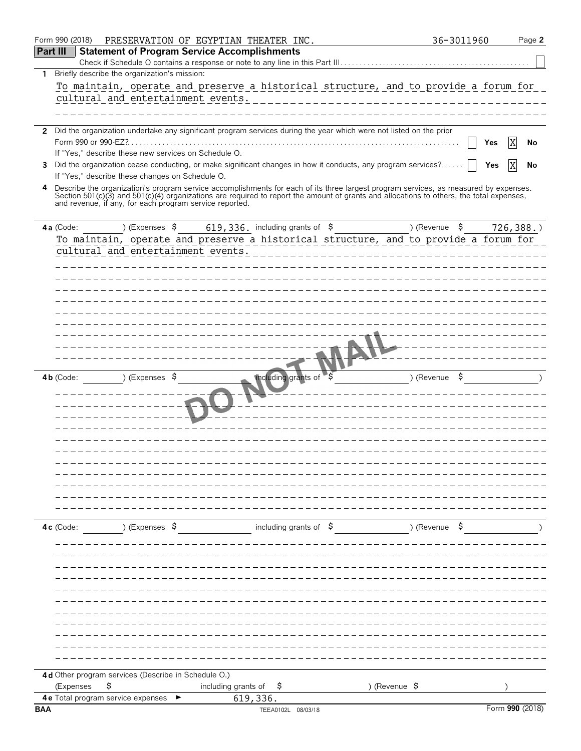|              | Form 990 (2018)     |                                                         | PRESERVATION OF EGYPTIAN THEATER INC.                                                                                                                                                                                                                                            |                          | 36-3011960<br>Page 2 |
|--------------|---------------------|---------------------------------------------------------|----------------------------------------------------------------------------------------------------------------------------------------------------------------------------------------------------------------------------------------------------------------------------------|--------------------------|----------------------|
| Part III     |                     |                                                         | <b>Statement of Program Service Accomplishments</b>                                                                                                                                                                                                                              |                          |                      |
|              |                     |                                                         | Check if Schedule O contains a response or note to any line in this Part III                                                                                                                                                                                                     |                          |                      |
| 1            |                     | Briefly describe the organization's mission:            |                                                                                                                                                                                                                                                                                  |                          |                      |
|              |                     |                                                         | To maintain, operate and preserve a historical structure, and to provide a forum for                                                                                                                                                                                             |                          |                      |
|              |                     | cultural and entertainment events.                      |                                                                                                                                                                                                                                                                                  |                          |                      |
|              |                     |                                                         |                                                                                                                                                                                                                                                                                  |                          |                      |
| $\mathbf{2}$ |                     |                                                         | Did the organization undertake any significant program services during the year which were not listed on the prior                                                                                                                                                               |                          |                      |
|              | Form 990 or 990-EZ? |                                                         |                                                                                                                                                                                                                                                                                  |                          | Yes<br>No            |
|              |                     | If "Yes," describe these new services on Schedule O.    |                                                                                                                                                                                                                                                                                  |                          |                      |
| 3            |                     |                                                         | Did the organization cease conducting, or make significant changes in how it conducts, any program services?                                                                                                                                                                     |                          | Yes<br>No            |
|              |                     | If "Yes," describe these changes on Schedule O.         |                                                                                                                                                                                                                                                                                  |                          |                      |
| 4            |                     | and revenue, if any, for each program service reported. | Describe the organization's program service accomplishments for each of its three largest program services, as measured by expenses.<br>Section 501(c)(3) and 501(c)(4) organizations are required to report the amount of grants and allocations to others, the total expenses, |                          |                      |
|              | 4a (Code:           | ) (Expenses $\frac{1}{2}$                               | 619, 336. including grants of $$$                                                                                                                                                                                                                                                | ) (Revenue $\frac{1}{2}$ | $726, 388.$ )        |
|              |                     |                                                         | To maintain, operate and preserve a historical structure, and to provide a forum for                                                                                                                                                                                             |                          |                      |
|              |                     | cultural and entertainment events.                      |                                                                                                                                                                                                                                                                                  |                          |                      |
|              |                     |                                                         |                                                                                                                                                                                                                                                                                  |                          |                      |
|              |                     |                                                         |                                                                                                                                                                                                                                                                                  |                          |                      |
|              |                     |                                                         |                                                                                                                                                                                                                                                                                  |                          |                      |
|              |                     |                                                         |                                                                                                                                                                                                                                                                                  |                          |                      |
|              |                     |                                                         |                                                                                                                                                                                                                                                                                  |                          |                      |
|              |                     |                                                         |                                                                                                                                                                                                                                                                                  |                          |                      |
|              |                     |                                                         |                                                                                                                                                                                                                                                                                  |                          |                      |
|              |                     |                                                         |                                                                                                                                                                                                                                                                                  |                          |                      |
|              |                     |                                                         |                                                                                                                                                                                                                                                                                  |                          |                      |
|              | 4b (Code:           | ) (Expenses $\sqrt{5}$                                  | including grants of                                                                                                                                                                                                                                                              | ) (Revenue               | \$                   |
|              |                     |                                                         |                                                                                                                                                                                                                                                                                  |                          |                      |
|              |                     |                                                         |                                                                                                                                                                                                                                                                                  |                          |                      |
|              |                     |                                                         |                                                                                                                                                                                                                                                                                  |                          |                      |
|              |                     |                                                         |                                                                                                                                                                                                                                                                                  |                          |                      |
|              |                     |                                                         |                                                                                                                                                                                                                                                                                  |                          |                      |
|              | 4c (Code:           | ) (Expenses \$                                          | including grants of $\beta$                                                                                                                                                                                                                                                      | ) (Revenue               |                      |
|              |                     |                                                         |                                                                                                                                                                                                                                                                                  |                          |                      |
|              |                     |                                                         |                                                                                                                                                                                                                                                                                  |                          |                      |
|              |                     |                                                         |                                                                                                                                                                                                                                                                                  |                          |                      |
|              |                     |                                                         |                                                                                                                                                                                                                                                                                  |                          |                      |
|              |                     |                                                         |                                                                                                                                                                                                                                                                                  |                          |                      |
|              |                     |                                                         |                                                                                                                                                                                                                                                                                  |                          |                      |
|              |                     |                                                         |                                                                                                                                                                                                                                                                                  |                          |                      |
|              |                     |                                                         |                                                                                                                                                                                                                                                                                  |                          |                      |
|              |                     |                                                         |                                                                                                                                                                                                                                                                                  |                          |                      |
|              |                     | 4 d Other program services (Describe in Schedule O.)    |                                                                                                                                                                                                                                                                                  |                          |                      |
|              | (Expenses           | \$                                                      | including grants of<br>\$                                                                                                                                                                                                                                                        | ) (Revenue $\frac{1}{2}$ |                      |
|              |                     | 4e Total program service expenses                       | 619,336.                                                                                                                                                                                                                                                                         |                          |                      |
| <b>BAA</b>   |                     |                                                         | TEEA0102L 08/03/18                                                                                                                                                                                                                                                               |                          | Form 990 (2018)      |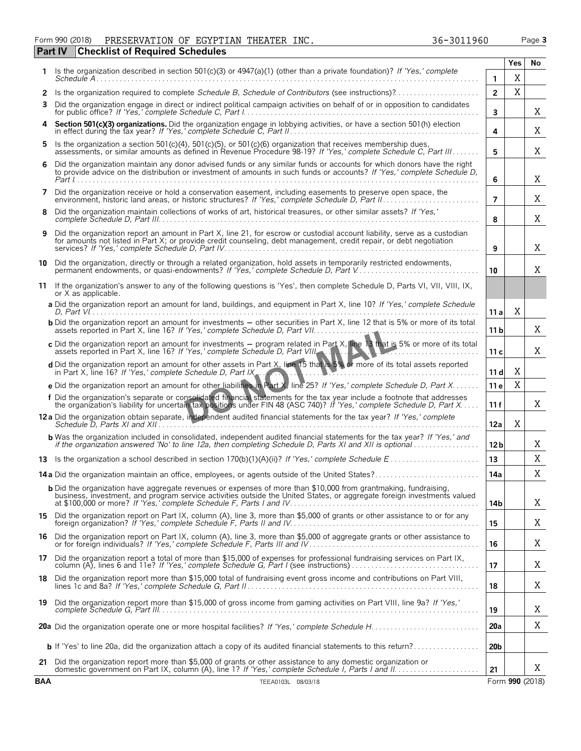| Form 990 (2018) | PRESERVATION OF EGYPTIAN THEATER INC.          | 36-3011960 | Page 3 |
|-----------------|------------------------------------------------|------------|--------|
|                 | <b>Part IV Checklist of Required Schedules</b> |            |        |

| 36-3011960 |  |
|------------|--|

|    |                                                                                                                                                                                                                                                                            |                 | <b>Yes</b> | No |
|----|----------------------------------------------------------------------------------------------------------------------------------------------------------------------------------------------------------------------------------------------------------------------------|-----------------|------------|----|
|    | Is the organization described in section 501(c)(3) or 4947(a)(1) (other than a private foundation)? If 'Yes,' complete                                                                                                                                                     | 1               | Χ          |    |
| 2  |                                                                                                                                                                                                                                                                            | $\overline{2}$  | X          |    |
| 3  | Did the organization engage in direct or indirect political campaign activities on behalf of or in opposition to candidates                                                                                                                                                | 3               |            | Χ  |
| 4  | Section 501(c)(3) organizations. Did the organization engage in lobbying activities, or have a section 501(h) election                                                                                                                                                     | 4               |            | Χ  |
| 5. | Is the organization a section 501(c)(4), 501(c)(5), or 501(c)(6) organization that receives membership dues,<br>assessments, or similar amounts as defined in Revenue Procedure 98-19? If 'Yes,' complete Schedule C, Part III                                             | 5               |            | Χ  |
| 6  | Did the organization maintain any donor advised funds or any similar funds or accounts for which donors have the right<br>to provide advice on the distribution or investment of amounts in such funds or accounts? If 'Yes,' complete Schedule D,<br>Part $l$ , $l$ , $l$ | 6               |            | X  |
| 7  | Did the organization receive or hold a conservation easement, including easements to preserve open space, the<br>environment, historic land areas, or historic structures? If 'Yes,' complete Schedule D, Part II.                                                         | $\overline{7}$  |            | Χ  |
| 8  | Did the organization maintain collections of works of art, historical treasures, or other similar assets? If 'Yes,'                                                                                                                                                        | 8               |            | Χ  |
| 9  | Did the organization report an amount in Part X, line 21, for escrow or custodial account liability, serve as a custodian<br>for amounts not listed in Part X; or provide credit counseling, debt management, credit repair, or debt negotiation                           | 9               |            | X  |
| 10 | Did the organization, directly or through a related organization, hold assets in temporarily restricted endowments,<br>permanent endowments, or quasi-endowments? If 'Yes,' complete Schedule D, Part V.                                                                   | 10              |            | Χ  |
| 11 | If the organization's answer to any of the following questions is 'Yes', then complete Schedule D, Parts VI, VII, VIII, IX,<br>or $X$ as applicable.                                                                                                                       |                 |            |    |
|    | a Did the organization report an amount for land, buildings, and equipment in Part X, line 10? If 'Yes,' complete Schedule                                                                                                                                                 | 11 a            | Χ          |    |
|    | <b>b</b> Did the organization report an amount for investments – other securities in Part X, line 12 that is 5% or more of its total<br>assets reported in Part X, line 16? If 'Yes,' complete Schedule D, Part VII                                                        | 11 <sub>b</sub> |            | Χ  |
|    | c Did the organization report an amount for investments - program related in Part X, line 13 that is 5% or more of its total<br>assets reported in Part X, line 16? If 'Yes,' complete Schedule D, Part VIII                                                               | 11c             |            | Χ  |
|    | d Did the organization report an amount for other assets in Part X. line 15 that is 5% or more of its total assets reported<br>in Part X, line 16? If 'Yes,' complete Schedule D, Part $IX_{\bullet}$ .                                                                    | 11d             | Χ          |    |
|    | e Did the organization report an amount for other liabilities in Part X, line 25? If 'Yes,' complete Schedule D, Part X                                                                                                                                                    | 11 e            | X          |    |
|    | f Did the organization's separate or consolidated financial statements for the tax year include a footnote that addresses<br>the organization's liability for uncertain tax positions under FIN 48 (ASC 740)? If 'Yes,' complete Schedule D, Part X                        | 11f             |            | Χ  |
|    | 12 a Did the organization obtain separate, independent audited financial statements for the tax year? If 'Yes,' complete                                                                                                                                                   | 12a             | Χ          |    |
|    | <b>b</b> Was the organization included in consolidated, independent audited financial statements for the tax year? If 'Yes,' and<br>if the organization answered 'No' to line 12a, then completing Schedule D, Parts XI and XII is optional                                | 12 <sub>b</sub> |            | Χ  |
|    |                                                                                                                                                                                                                                                                            | 13              |            | Χ  |
|    | 14a Did the organization maintain an office, employees, or agents outside of the United States?                                                                                                                                                                            | 14a             |            | Χ  |
|    | b Did the organization have aggregate revenues or expenses of more than \$10,000 from grantmaking, fundraising,<br>business, investment, and program service activities outside the United States, or aggregate foreign investments valued                                 | 14b             |            | X  |
| 15 | Did the organization report on Part IX, column (A), line 3, more than \$5,000 of grants or other assistance to or for any                                                                                                                                                  | 15              |            | Χ  |
| 16 | Did the organization report on Part IX, column (A), line 3, more than \$5,000 of aggregate grants or other assistance to                                                                                                                                                   | 16              |            | Χ  |
| 17 | Did the organization report a total of more than \$15,000 of expenses for professional fundraising services on Part IX, column (A), lines 6 and 11e? If 'Yes,' complete Schedule G, Part I (see instructions)                                                              | 17              |            | Χ  |
| 18 | Did the organization report more than \$15,000 total of fundraising event gross income and contributions on Part VIII,                                                                                                                                                     | 18              |            | Χ  |
| 19 | Did the organization report more than \$15,000 of gross income from gaming activities on Part VIII, line 9a? If 'Yes,'                                                                                                                                                     | 19              |            | Χ  |
|    |                                                                                                                                                                                                                                                                            | 20a             |            | Χ  |
|    | <b>b</b> If 'Yes' to line 20a, did the organization attach a copy of its audited financial statements to this return?                                                                                                                                                      | 20 <sub>b</sub> |            |    |
| 21 | Did the organization report more than \$5,000 of grants or other assistance to any domestic organization or                                                                                                                                                                | 21              |            | X  |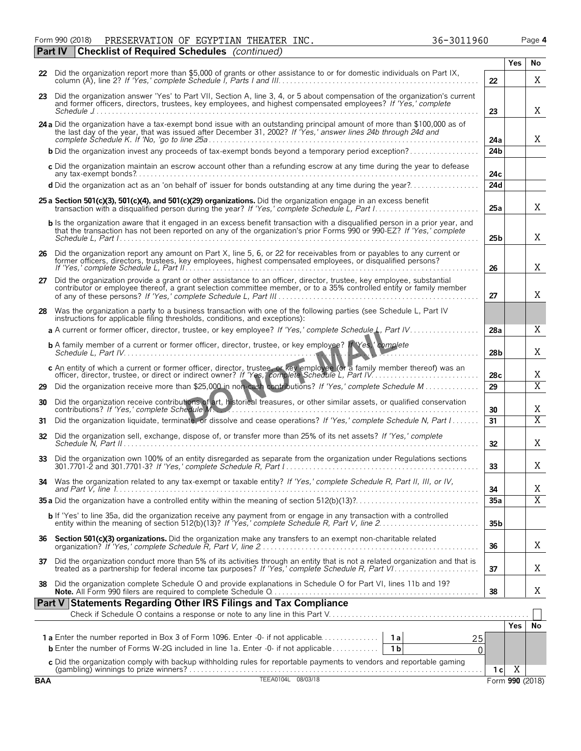Form 990 (2018) Page **4** PRESERVATION OF EGYPTIAN THEATER INC.  $36-3011960$ 

|            | <b>Checklist of Required Schedules</b> (continued)<br>Part IV                                                                                                                                                                                         |                 |            |                 |
|------------|-------------------------------------------------------------------------------------------------------------------------------------------------------------------------------------------------------------------------------------------------------|-----------------|------------|-----------------|
|            | 22 Did the organization report more than \$5,000 of grants or other assistance to or for domestic individuals on Part IX,                                                                                                                             | 22              | Yes        | No<br>X         |
|            | 23 Did the organization answer 'Yes' to Part VII, Section A, line 3, 4, or 5 about compensation of the organization's current<br>and former officers, directors, trustees, key employees, and highest compensated employees? If 'Yes,' complete       | 23              |            | Χ               |
|            | 24 a Did the organization have a tax-exempt bond issue with an outstanding principal amount of more than \$100,000 as of<br>the last day of the year, that was issued after December 31, 2002? If Yes,' answer lines 24b through 24d and              | 24a             |            | X               |
|            | <b>b</b> Did the organization invest any proceeds of tax-exempt bonds beyond a temporary period exception?                                                                                                                                            | 24 <sub>b</sub> |            |                 |
|            | c Did the organization maintain an escrow account other than a refunding escrow at any time during the year to defease                                                                                                                                | 24c             |            |                 |
|            | d Did the organization act as an 'on behalf of' issuer for bonds outstanding at any time during the year?                                                                                                                                             | 24d             |            |                 |
|            | 25 a Section 501(c)(3), 501(c)(4), and 501(c)(29) organizations. Did the organization engage in an excess benefit                                                                                                                                     | 25a             |            | X               |
|            | b Is the organization aware that it engaged in an excess benefit transaction with a disqualified person in a prior year, and<br>that the transaction has not been reported on any of the organization's prior Forms 990 or 990-EZ? If 'Yes,' complete | 25 <sub>b</sub> |            | X               |
|            | 26 Did the organization report any amount on Part X, line 5, 6, or 22 for receivables from or payables to any current or former officers, directors, trustees, key employees, highest compensated employees, or disqualified p                        | 26              |            | X               |
| 27         | Did the organization provide a grant or other assistance to an officer, director, trustee, key employee, substantial<br>contributor or employee thereof, a grant selection committee member, or to a 35% controlled entity or fam                     | 27              |            | X               |
|            | 28 Was the organization a party to a business transaction with one of the following parties (see Schedule L, Part IV<br>instructions for applicable filing thresholds, conditions, and exceptions):                                                   |                 |            |                 |
|            | a A current or former officer, director, trustee, or key employee? If 'Yes,' complete Schedule L, Part IV                                                                                                                                             | 28a             |            | X               |
|            | <b>b</b> A family member of a current or former officer, director, trustee, or key employee? If Yes, 'complete<br>Schedule L, Part IV.                                                                                                                | 28 <sub>b</sub> |            | X               |
|            | c An entity of which a current or former officer, director, trustee, or key employee (or a family member thereof) was an officer, director, trustee, or direct or indirect owner? If 'Yes,' complete Schedule L, Part IV                              | 28c             |            | X               |
| 29         | Did the organization receive more than \$25,000 in non-cash contributions? If 'Yes,' complete Schedule M                                                                                                                                              | 29              |            | $\overline{X}$  |
| 30         | Did the organization receive contributions of art, historical treasures, or other similar assets, or qualified conservation                                                                                                                           | 30              |            | X               |
| 31         | Did the organization liquidate, terminate, or dissolve and cease operations? If 'Yes,' complete Schedule N, Part I                                                                                                                                    | 31              |            | $\overline{X}$  |
| 32         | Did the organization sell, exchange, dispose of, or transfer more than 25% of its net assets? If 'Yes,' complete                                                                                                                                      | 32              |            | X               |
| 33         | Did the organization own 100% of an entity disregarded as separate from the organization under Regulations sections                                                                                                                                   | 33              |            | X               |
|            | 34 Was the organization related to any tax-exempt or taxable entity? If 'Yes,' complete Schedule R, Part II, III, or IV,                                                                                                                              | 34              |            | Χ               |
|            |                                                                                                                                                                                                                                                       | 35a             |            | $\overline{X}$  |
|            | <b>b</b> If 'Yes' to line 35a, did the organization receive any payment from or engage in any transaction with a controlled entity within the meaning of section 512(b)(13)? If 'Yes,' complete Schedule R, Part V, line 2.                           | 35 <sub>b</sub> |            |                 |
| 36         | Section 501(c)(3) organizations. Did the organization make any transfers to an exempt non-charitable related                                                                                                                                          | 36              |            | X               |
|            | 37 Did the organization conduct more than 5% of its activities through an entity that is not a related organization and that is<br>treated as a partnership for federal income tax purposes? If 'Yes,' complete Schedule R, Part VI                   | 37              |            | X               |
| 38         | Did the organization complete Schedule O and provide explanations in Schedule O for Part VI, lines 11b and 19?                                                                                                                                        | 38              |            | X               |
|            | Part V Statements Regarding Other IRS Filings and Tax Compliance                                                                                                                                                                                      |                 |            |                 |
|            |                                                                                                                                                                                                                                                       |                 | <b>Yes</b> | No              |
|            | <b>1a</b> Enter the number reported in Box 3 of Form 1096. Enter -0- if not applicable<br>1 a<br>25                                                                                                                                                   |                 |            |                 |
|            | <b>b</b> Enter the number of Forms W-2G included in line 1a. Enter -0- if not applicable<br>1 <sub>b</sub><br>0                                                                                                                                       |                 |            |                 |
|            | c Did the organization comply with backup withholding rules for reportable payments to vendors and reportable gaming                                                                                                                                  | 1 с             | Χ          |                 |
| <b>BAA</b> | TEEA0104L 08/03/18                                                                                                                                                                                                                                    |                 |            | Form 990 (2018) |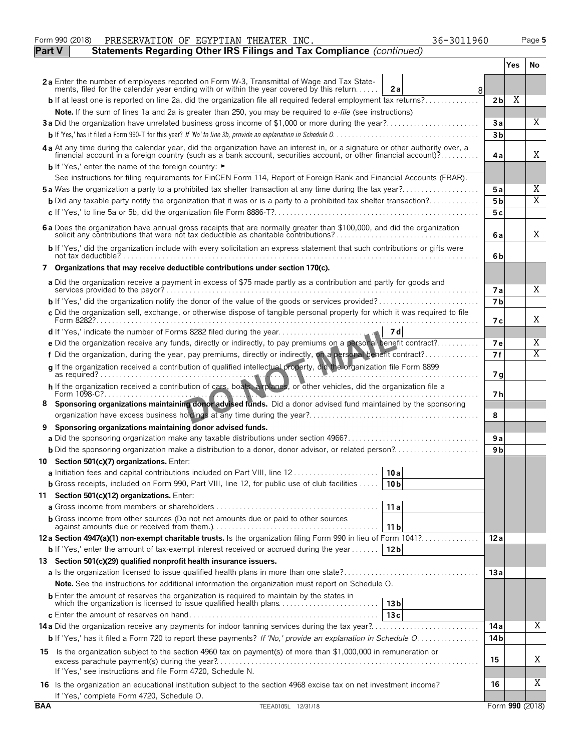|               | PRESERVATION OF EGYPTIAN THEATER INC.<br>36-3011960<br>Form 990 (2018)                                                                                                                                                         |                |     | Page 5              |
|---------------|--------------------------------------------------------------------------------------------------------------------------------------------------------------------------------------------------------------------------------|----------------|-----|---------------------|
| <b>Part V</b> | Statements Regarding Other IRS Filings and Tax Compliance (continued)                                                                                                                                                          |                |     |                     |
|               |                                                                                                                                                                                                                                |                | Yes | No                  |
|               | 2a Enter the number of employees reported on Form W-3, Transmittal of Wage and Tax State-                                                                                                                                      |                |     |                     |
|               | ments, filed for the calendar year ending with or within the year covered by this return<br>2а<br>8                                                                                                                            |                |     |                     |
|               | <b>b</b> If at least one is reported on line 2a, did the organization file all required federal employment tax returns?                                                                                                        | 2 <sub>b</sub> | Χ   |                     |
|               | Note. If the sum of lines 1a and 2a is greater than 250, you may be required to e-file (see instructions)                                                                                                                      |                |     |                     |
|               | 3a Did the organization have unrelated business gross income of \$1,000 or more during the year?                                                                                                                               | 3a             |     | X                   |
|               |                                                                                                                                                                                                                                | 3 <sub>b</sub> |     |                     |
|               | 4 a At any time during the calendar year, did the organization have an interest in, or a signature or other authority over, a financial account in a foreign country (such as a bank account, securities account, or other fin | 4 a            |     | Χ                   |
|               | <b>b</b> If 'Yes,' enter the name of the foreign country: ►                                                                                                                                                                    |                |     |                     |
|               | See instructions for filing requirements for FinCEN Form 114, Report of Foreign Bank and Financial Accounts (FBAR).                                                                                                            |                |     |                     |
|               | 5a Was the organization a party to a prohibited tax shelter transaction at any time during the tax year?                                                                                                                       | 5 a            |     | Χ                   |
|               | <b>b</b> Did any taxable party notify the organization that it was or is a party to a prohibited tax shelter transaction?                                                                                                      | 5 <sub>b</sub> |     | $\overline{X}$      |
|               |                                                                                                                                                                                                                                | 5с             |     |                     |
|               | 6 a Does the organization have annual gross receipts that are normally greater than \$100,000, and did the organization solicit any contributions that were not tax deductible as charitable contributions?                    | 6 a            |     | X                   |
|               | b If 'Yes,' did the organization include with every solicitation an express statement that such contributions or gifts were                                                                                                    |                |     |                     |
|               |                                                                                                                                                                                                                                | 6b             |     |                     |
|               | 7 Organizations that may receive deductible contributions under section 170(c).                                                                                                                                                |                |     |                     |
|               | a Did the organization receive a payment in excess of \$75 made partly as a contribution and partly for goods and                                                                                                              |                |     |                     |
|               |                                                                                                                                                                                                                                | 7а             |     | Χ                   |
|               |                                                                                                                                                                                                                                | 7 <sub>b</sub> |     |                     |
|               | c Did the organization sell, exchange, or otherwise dispose of tangible personal property for which it was required to file                                                                                                    |                |     |                     |
|               |                                                                                                                                                                                                                                | 7 с            |     | Χ                   |
|               | 7d                                                                                                                                                                                                                             |                |     |                     |
|               | e Did the organization receive any funds, directly or indirectly, to pay premiums on a personal benefit contract?                                                                                                              | 7е             |     | Χ<br>$\overline{X}$ |
|               | f Did the organization, during the year, pay premiums, directly or indirectly, on a personal benefit contract?                                                                                                                 | 7f             |     |                     |
|               | q If the organization received a contribution of qualified intellectual property, did the organization file Form 8899                                                                                                          | 7 <sub>q</sub> |     |                     |
|               | h If the organization received a contribution of cars, boats, alrplanes, or other vehicles, did the organization file a                                                                                                        | 7 h            |     |                     |
| 8.            | Sponsoring organizations maintaining donor advised funds. Did a donor advised fund maintained by the sponsoring                                                                                                                |                |     |                     |
|               |                                                                                                                                                                                                                                | 8              |     |                     |
| 9             | Sponsoring organizations maintaining donor advised funds.                                                                                                                                                                      |                |     |                     |
|               |                                                                                                                                                                                                                                | 9a             |     |                     |
|               | <b>b</b> Did the sponsoring organization make a distribution to a donor, donor advisor, or related person?                                                                                                                     | 9 <sub>b</sub> |     |                     |
|               | 10 Section 501(c)(7) organizations. Enter:                                                                                                                                                                                     |                |     |                     |
|               | 10 a                                                                                                                                                                                                                           |                |     |                     |
|               | <b>b</b> Gross receipts, included on Form 990, Part VIII, line 12, for public use of club facilities<br>10 <sub>b</sub>                                                                                                        |                |     |                     |
| 11            | Section 501(c)(12) organizations. Enter:                                                                                                                                                                                       |                |     |                     |
|               | 11a                                                                                                                                                                                                                            |                |     |                     |
|               | <b>b</b> Gross income from other sources (Do not net amounts due or paid to other sources                                                                                                                                      |                |     |                     |
|               | 11 <sub>b</sub>                                                                                                                                                                                                                |                |     |                     |
|               |                                                                                                                                                                                                                                | 12 a           |     |                     |
|               | <b>b</b> If 'Yes,' enter the amount of tax-exempt interest received or accrued during the year<br>12 <sub>b</sub>                                                                                                              |                |     |                     |
|               | 13 Section 501(c)(29) qualified nonprofit health insurance issuers.                                                                                                                                                            |                |     |                     |
|               |                                                                                                                                                                                                                                | 13 a           |     |                     |
|               | <b>Note.</b> See the instructions for additional information the organization must report on Schedule O.                                                                                                                       |                |     |                     |
|               | <b>b</b> Enter the amount of reserves the organization is required to maintain by the states in<br>13 <sub>b</sub>                                                                                                             |                |     |                     |
|               | 13c                                                                                                                                                                                                                            |                |     |                     |
|               | <b>14a</b> Did the organization receive any payments for indoor tanning services during the tax year?                                                                                                                          | 14 a           |     | X                   |
|               | <b>b</b> If 'Yes,' has it filed a Form 720 to report these payments? If 'No,' provide an explanation in Schedule O                                                                                                             | 14 b           |     |                     |
|               | 15 Is the organization subject to the section 4960 tax on payment(s) of more than \$1,000,000 in remuneration or                                                                                                               |                |     |                     |
|               | If 'Yes,' see instructions and file Form 4720, Schedule N.                                                                                                                                                                     | 15             |     | Χ                   |
|               | 16 Is the organization an educational institution subject to the section 4968 excise tax on net investment income?                                                                                                             | 16             |     | Χ                   |
|               | If 'Yes,' complete Form 4720, Schedule O.                                                                                                                                                                                      |                |     |                     |
| <b>BAA</b>    | TEEA0105L 12/31/18                                                                                                                                                                                                             |                |     | Form 990 (2018)     |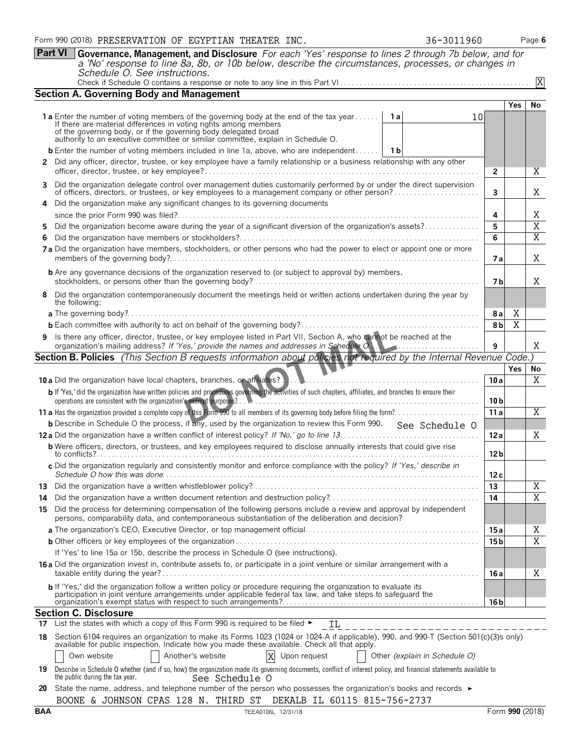|    | <b>Part VI</b><br>Governance, Management, and Disclosure For each 'Yes' response to lines 2 through 7b below, and for<br>a 'No' response to line 8a, 8b, or 10b below, describe the circumstances, processes, or changes in<br>Schedule O. See instructions.                                                                       |                 |            |                |
|----|------------------------------------------------------------------------------------------------------------------------------------------------------------------------------------------------------------------------------------------------------------------------------------------------------------------------------------|-----------------|------------|----------------|
|    |                                                                                                                                                                                                                                                                                                                                    |                 |            | X              |
|    | <b>Section A. Governing Body and Management</b>                                                                                                                                                                                                                                                                                    |                 |            |                |
|    | <b>1a</b> Enter the number of voting members of the governing body at the end of the tax year<br>1 a<br>10<br>If there are material differences in voting rights among members<br>of the governing body, or if the governing body delegated broad authority to an executive committee or similar committee, explain in Schedule O. |                 | <b>Yes</b> | No.            |
|    | <b>b</b> Enter the number of voting members included in line 1a, above, who are independent<br>1 b                                                                                                                                                                                                                                 |                 |            |                |
|    | 2 Did any officer, director, trustee, or key employee have a family relationship or a business relationship with any other                                                                                                                                                                                                         | 2               |            | Χ              |
| 3  | Did the organization delegate control over management duties customarily performed by or under the direct supervision<br>of officers, directors, or trustees, or key employees to a management company or other person?                                                                                                            | 3               |            | Χ              |
|    | Did the organization make any significant changes to its governing documents                                                                                                                                                                                                                                                       |                 |            |                |
|    |                                                                                                                                                                                                                                                                                                                                    | 4               |            | Χ              |
|    | Did the organization become aware during the year of a significant diversion of the organization's assets?                                                                                                                                                                                                                         | 5               |            | X              |
| 6  | 7a Did the organization have members, stockholders, or other persons who had the power to elect or appoint one or more                                                                                                                                                                                                             | 6               |            | $\overline{X}$ |
|    |                                                                                                                                                                                                                                                                                                                                    | 7 a             |            | Χ              |
|    | <b>b</b> Are any governance decisions of the organization reserved to (or subject to approval by) members,                                                                                                                                                                                                                         | 7 b             |            | Χ              |
|    | Did the organization contemporaneously document the meetings held or written actions undertaken during the year by<br>the following:                                                                                                                                                                                               |                 |            |                |
|    |                                                                                                                                                                                                                                                                                                                                    | 8а              | Χ          |                |
|    |                                                                                                                                                                                                                                                                                                                                    | 8 <sub>b</sub>  | X          |                |
| 9  | Is there any officer, director, trustee, or key employee listed in Part VII, Section A, who cannot be reached at the<br>organization's mailing address? If 'Yes,' provide the names and addresses in Schedule O. National contractions                                                                                             | 9               |            | Χ              |
|    | Section B. Policies (This Section B requests information about policies not required by the Internal Revenue Code.)                                                                                                                                                                                                                |                 |            |                |
|    |                                                                                                                                                                                                                                                                                                                                    |                 | <b>Yes</b> | No             |
|    | 10 a Did the organization have local chapters, branches, or affiliates?                                                                                                                                                                                                                                                            | 10a             |            | X              |
|    | b If 'Yes,' did the organization have written policies and procedures governing the activities of such chapters, affiliates, and branches to ensure their<br>operations are consistent with the organization's exempt purposes? \                                                                                                  | 10 b            |            |                |
|    |                                                                                                                                                                                                                                                                                                                                    | 11 a            |            | X              |
|    | <b>b</b> Describe in Schedule O the process, if any, used by the organization to review this Form 990. See Schedule O                                                                                                                                                                                                              |                 |            |                |
|    |                                                                                                                                                                                                                                                                                                                                    | 12 a            |            | Χ              |
|    | <b>b</b> Were officers, directors, or trustees, and key employees required to disclose annually interests that could give rise                                                                                                                                                                                                     | 12 <sub>b</sub> |            |                |
|    | c Did the organization regularly and consistently monitor and enforce compliance with the policy? If 'Yes,' describe in                                                                                                                                                                                                            | 12 c            |            |                |
| 13 |                                                                                                                                                                                                                                                                                                                                    | 13              |            | Χ              |
| 14 |                                                                                                                                                                                                                                                                                                                                    | 14              |            | X              |
| 15 | Did the process for determining compensation of the following persons include a review and approval by independent<br>persons, comparability data, and contemporaneous substantiation of the deliberation and decision?                                                                                                            |                 |            |                |
|    |                                                                                                                                                                                                                                                                                                                                    | 15 a            |            | Χ              |
|    |                                                                                                                                                                                                                                                                                                                                    | 15 b            |            | X              |
|    | If 'Yes' to line 15a or 15b, describe the process in Schedule O (see instructions).                                                                                                                                                                                                                                                |                 |            |                |
|    | 16 a Did the organization invest in, contribute assets to, or participate in a joint venture or similar arrangement with a                                                                                                                                                                                                         | 16 a            |            | Χ              |
|    | <b>b</b> If 'Yes,' did the organization follow a written policy or procedure requiring the organization to evaluate its<br>participation in joint venture arrangements under applicable federal tax law, and take steps to safeguard the                                                                                           | 16 b            |            |                |
|    | <b>Section C. Disclosure</b>                                                                                                                                                                                                                                                                                                       |                 |            |                |
|    | 17 List the states with which a copy of this Form 990 is required to be filed $\blacktriangleright$ IL                                                                                                                                                                                                                             |                 |            |                |
| 18 | Section 6104 requires an organization to make its Forms 1023 (1024 or 1024-A if applicable), 990, and 990-T (Section 501(c)(3)s only)<br>available for public inspection. Indicate how you made these available. Check all that apply.<br>X<br>Another's website<br>Upon request<br>Own website<br>Other (explain in Schedule O)   |                 |            |                |
| 19 | Describe in Schedule O whether (and if so, how) the organization made its governing documents, conflict of interest policy, and financial statements available to<br>the public during the tax year.<br>See Schedule 0                                                                                                             |                 |            |                |
| 20 | State the name, address, and telephone number of the person who possesses the organization's books and records ►                                                                                                                                                                                                                   |                 |            |                |

BOONE & JOHNSON CPAS 128 N. THIRD ST DEKALB IL 60115 815-756-2737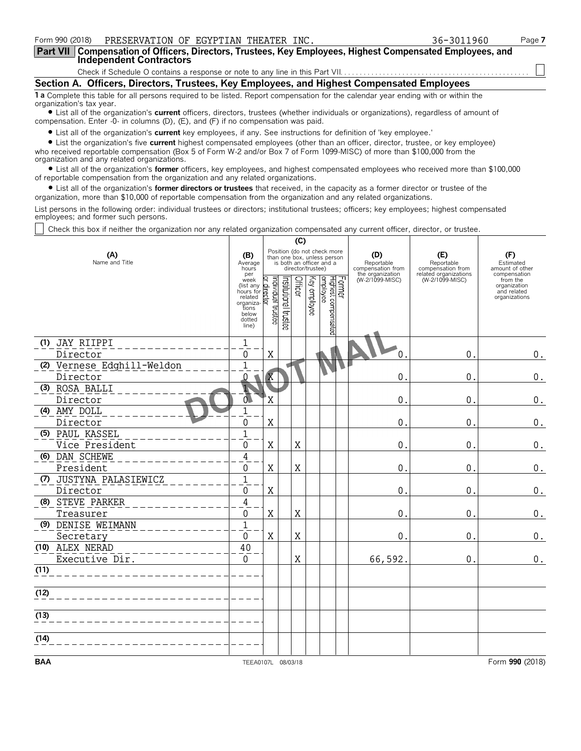| Part VII Compensation of Officers, Directors, Trustees, Key Employees, Highest Compensated Employees, and<br><b>Independent Contractors</b>                                                                                                                                                                                                                                                                                                       |                                                                                                                               |                   |                                                                                        |                          |              |                                            |  |                                        |                                          |                                                                          |
|---------------------------------------------------------------------------------------------------------------------------------------------------------------------------------------------------------------------------------------------------------------------------------------------------------------------------------------------------------------------------------------------------------------------------------------------------|-------------------------------------------------------------------------------------------------------------------------------|-------------------|----------------------------------------------------------------------------------------|--------------------------|--------------|--------------------------------------------|--|----------------------------------------|------------------------------------------|--------------------------------------------------------------------------|
|                                                                                                                                                                                                                                                                                                                                                                                                                                                   |                                                                                                                               |                   |                                                                                        |                          |              |                                            |  |                                        |                                          |                                                                          |
| Section A. Officers, Directors, Trustees, Key Employees, and Highest Compensated Employees                                                                                                                                                                                                                                                                                                                                                        |                                                                                                                               |                   |                                                                                        |                          |              |                                            |  |                                        |                                          |                                                                          |
| 1 a Complete this table for all persons required to be listed. Report compensation for the calendar year ending with or within the<br>organization's tax year.<br>• List all of the organization's current officers, directors, trustees (whether individuals or organizations), regardless of amount of<br>compensation. Enter -0- in columns (D), (E), and (F) if no compensation was paid.                                                     |                                                                                                                               |                   |                                                                                        |                          |              |                                            |  |                                        |                                          |                                                                          |
| • List all of the organization's current key employees, if any. See instructions for definition of 'key employee.'                                                                                                                                                                                                                                                                                                                                |                                                                                                                               |                   |                                                                                        |                          |              |                                            |  |                                        |                                          |                                                                          |
| • List the organization's five current highest compensated employees (other than an officer, director, trustee, or key employee)<br>who received reportable compensation (Box 5 of Form W-2 and/or Box 7 of Form 1099-MISC) of more than \$100,000 from the<br>organization and any related organizations.<br>• List all of the organization's former officers, key employees, and highest compensated employees who received more than \$100,000 |                                                                                                                               |                   |                                                                                        |                          |              |                                            |  |                                        |                                          |                                                                          |
| of reportable compensation from the organization and any related organizations.<br>• List all of the organization's former directors or trustees that received, in the capacity as a former director or trustee of the                                                                                                                                                                                                                            |                                                                                                                               |                   |                                                                                        |                          |              |                                            |  |                                        |                                          |                                                                          |
| organization, more than \$10,000 of reportable compensation from the organization and any related organizations.                                                                                                                                                                                                                                                                                                                                  |                                                                                                                               |                   |                                                                                        |                          |              |                                            |  |                                        |                                          |                                                                          |
| List persons in the following order: individual trustees or directors; institutional trustees; officers; key employees; highest compensated<br>employees; and former such persons.                                                                                                                                                                                                                                                                |                                                                                                                               |                   |                                                                                        |                          |              |                                            |  |                                        |                                          |                                                                          |
| Check this box if neither the organization nor any related organization compensated any current officer, director, or trustee.                                                                                                                                                                                                                                                                                                                    |                                                                                                                               |                   |                                                                                        |                          |              |                                            |  |                                        |                                          |                                                                          |
| (A)<br>Name and Title                                                                                                                                                                                                                                                                                                                                                                                                                             | (B)<br>Average<br>hours                                                                                                       |                   | Position (do not check more<br>than one box, unless person<br>is both an officer and a | (C)<br>director/trustee) |              |                                            |  | (D)<br>Reportable<br>compensation from | (E)<br>Reportable<br>compensation from   | (F)<br>Estimated<br>amount of other                                      |
|                                                                                                                                                                                                                                                                                                                                                                                                                                                   | per<br>week<br>$\frac{1}{\text{times for}}$<br>hours for related<br>related<br>organiza-<br>tions<br>below<br>dotted<br>line) | ndividual trustee | nstitutional trustee                                                                   | Officer                  | Key employee | Former<br>Highest compensated<br> employee |  | the organization<br>(W-2/1099-MISC)    | related organizations<br>(W-2/1099-MISC) | compensation<br>from the<br>organization<br>and related<br>organizations |
| (1) JAY RIIPPI                                                                                                                                                                                                                                                                                                                                                                                                                                    | 1                                                                                                                             |                   |                                                                                        |                          |              |                                            |  |                                        |                                          |                                                                          |
| Director                                                                                                                                                                                                                                                                                                                                                                                                                                          | 0                                                                                                                             | Χ                 |                                                                                        |                          |              |                                            |  | 0                                      | 0                                        | $0$ .                                                                    |
| (2) Vernese Edghill-Weldon                                                                                                                                                                                                                                                                                                                                                                                                                        | $\mathbf{1}$                                                                                                                  |                   |                                                                                        |                          |              |                                            |  |                                        |                                          |                                                                          |
| Director                                                                                                                                                                                                                                                                                                                                                                                                                                          | Ω                                                                                                                             | X                 |                                                                                        |                          |              |                                            |  | 0                                      | 0                                        | 0.                                                                       |
| (3) ROSA BALLI                                                                                                                                                                                                                                                                                                                                                                                                                                    |                                                                                                                               |                   |                                                                                        |                          |              |                                            |  |                                        |                                          |                                                                          |
| Director                                                                                                                                                                                                                                                                                                                                                                                                                                          | $\sigma$                                                                                                                      | 'X                |                                                                                        |                          |              |                                            |  | 0                                      | 0                                        | 0.                                                                       |
| (4) AMY DOLL<br>Director                                                                                                                                                                                                                                                                                                                                                                                                                          | 1<br>0                                                                                                                        | X                 |                                                                                        |                          |              |                                            |  | 0                                      | 0                                        | 0.                                                                       |
| (5) PAUL KASSEL                                                                                                                                                                                                                                                                                                                                                                                                                                   | $\mathbf{1}$                                                                                                                  |                   |                                                                                        |                          |              |                                            |  |                                        |                                          |                                                                          |
| Vice President                                                                                                                                                                                                                                                                                                                                                                                                                                    | 0                                                                                                                             | X                 |                                                                                        | Χ                        |              |                                            |  | 0                                      | 0                                        | $0$ .                                                                    |
| DAN SCHEWE<br>(6)                                                                                                                                                                                                                                                                                                                                                                                                                                 | 4                                                                                                                             |                   |                                                                                        |                          |              |                                            |  |                                        |                                          |                                                                          |
| President                                                                                                                                                                                                                                                                                                                                                                                                                                         | $\Omega$                                                                                                                      | Χ                 |                                                                                        | X                        |              |                                            |  | $\mathbf{0}$ .                         | 0                                        | $0$ .                                                                    |
| (7) JUSTYNA PALASIEWICZ                                                                                                                                                                                                                                                                                                                                                                                                                           | 1                                                                                                                             |                   |                                                                                        |                          |              |                                            |  |                                        |                                          |                                                                          |
| Director                                                                                                                                                                                                                                                                                                                                                                                                                                          | 0                                                                                                                             | Χ                 |                                                                                        |                          |              |                                            |  | 0.                                     | 0.                                       | 0.                                                                       |
| (8) STEVE PARKER                                                                                                                                                                                                                                                                                                                                                                                                                                  | 4                                                                                                                             |                   |                                                                                        |                          |              |                                            |  |                                        |                                          |                                                                          |
| Treasurer                                                                                                                                                                                                                                                                                                                                                                                                                                         | $\Omega$                                                                                                                      | X                 |                                                                                        | Χ                        |              |                                            |  | $\mathbf 0$ .                          | 0.                                       | $0$ .                                                                    |
| (9) DENISE WEIMANN                                                                                                                                                                                                                                                                                                                                                                                                                                | 1                                                                                                                             |                   |                                                                                        |                          |              |                                            |  |                                        |                                          |                                                                          |
| Secretary<br>(10) ALEX NERAD                                                                                                                                                                                                                                                                                                                                                                                                                      | $\mathbf 0$<br>40                                                                                                             | X                 |                                                                                        | X                        |              |                                            |  | 0.                                     | 0.                                       | $0$ .                                                                    |
| Executive Dir.                                                                                                                                                                                                                                                                                                                                                                                                                                    | $\overline{0}$                                                                                                                |                   |                                                                                        | X                        |              |                                            |  | 66,592.                                | 0.                                       | 0.                                                                       |
| (11)                                                                                                                                                                                                                                                                                                                                                                                                                                              |                                                                                                                               |                   |                                                                                        |                          |              |                                            |  |                                        |                                          |                                                                          |
| (12)                                                                                                                                                                                                                                                                                                                                                                                                                                              |                                                                                                                               |                   |                                                                                        |                          |              |                                            |  |                                        |                                          |                                                                          |
| (13)                                                                                                                                                                                                                                                                                                                                                                                                                                              |                                                                                                                               |                   |                                                                                        |                          |              |                                            |  |                                        |                                          |                                                                          |
|                                                                                                                                                                                                                                                                                                                                                                                                                                                   |                                                                                                                               |                   |                                                                                        |                          |              |                                            |  |                                        |                                          |                                                                          |

Form 990 (2018) PRESERVATION OF EGYPTIAN THEATER INC. 36-3011960 Page **7** 

PRESERVATION OF EGYPTIAN THEATER INC.  $36-3011960$ 

**BAA** TEEA0107L 08/03/18 Form **990** (2018)

**(14)**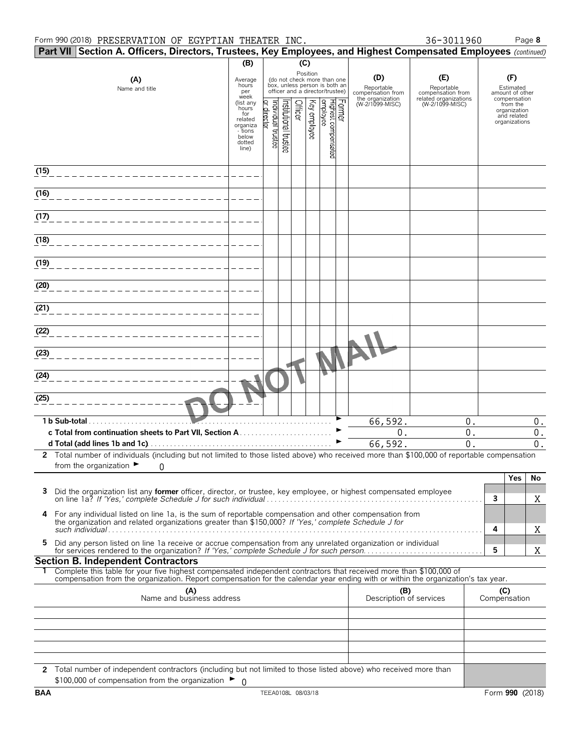#### Form 990 (2018) Page **8** PRESERVATION OF EGYPTIAN THEATER INC. 36-3011960

| 5-3011960 |
|-----------|
|           |

| Part VII Section A. Officers, Directors, Trustees, Key Employees, and Highest Compensated Employees (continued)                                                                                                      | (B)                                                                                             |                                |                                                                                                             | (C)          |                                  |        |                                        |                                          |                                                                          |
|----------------------------------------------------------------------------------------------------------------------------------------------------------------------------------------------------------------------|-------------------------------------------------------------------------------------------------|--------------------------------|-------------------------------------------------------------------------------------------------------------|--------------|----------------------------------|--------|----------------------------------------|------------------------------------------|--------------------------------------------------------------------------|
| (A)<br>Name and title                                                                                                                                                                                                | Average<br>hours<br>per                                                                         |                                | Position<br>(do not check more than one<br>box, unless person is both an<br>officer and a director/trustee) |              |                                  |        | (D)<br>Reportable<br>compensation from | (E)<br>Reportable<br>compensation from   | (F)<br>Estimated<br>amount of other                                      |
|                                                                                                                                                                                                                      | week<br>(list any<br>hours<br>for<br>related<br>organiza<br>- tions<br>below<br>dotted<br>line) | Individual trustee<br>director | nstitutional trustee<br>Officer                                                                             | Key employee | Highest compensated<br> employee | Former | the organization<br>(W-2/1099-MISC)    | related organizations<br>(W-2/1099-MISC) | compensation<br>from the<br>organization<br>and related<br>organizations |
| (15)                                                                                                                                                                                                                 |                                                                                                 |                                |                                                                                                             |              |                                  |        |                                        |                                          |                                                                          |
| (16)                                                                                                                                                                                                                 |                                                                                                 |                                |                                                                                                             |              |                                  |        |                                        |                                          |                                                                          |
| (17)                                                                                                                                                                                                                 |                                                                                                 |                                |                                                                                                             |              |                                  |        |                                        |                                          |                                                                          |
| (18)                                                                                                                                                                                                                 |                                                                                                 |                                |                                                                                                             |              |                                  |        |                                        |                                          |                                                                          |
| (19)                                                                                                                                                                                                                 |                                                                                                 |                                |                                                                                                             |              |                                  |        |                                        |                                          |                                                                          |
| (20)                                                                                                                                                                                                                 |                                                                                                 |                                |                                                                                                             |              |                                  |        |                                        |                                          |                                                                          |
| (21)                                                                                                                                                                                                                 |                                                                                                 |                                |                                                                                                             |              |                                  |        |                                        |                                          |                                                                          |
| (22)                                                                                                                                                                                                                 |                                                                                                 |                                |                                                                                                             |              |                                  |        |                                        |                                          |                                                                          |
| (23)                                                                                                                                                                                                                 |                                                                                                 |                                |                                                                                                             |              |                                  |        |                                        |                                          |                                                                          |
| (24)                                                                                                                                                                                                                 |                                                                                                 |                                |                                                                                                             |              |                                  |        |                                        |                                          |                                                                          |
| (25)                                                                                                                                                                                                                 |                                                                                                 |                                |                                                                                                             |              |                                  |        |                                        |                                          |                                                                          |
| 1 b Sub-total                                                                                                                                                                                                        |                                                                                                 |                                |                                                                                                             |              |                                  |        | 66,592.                                | 0.                                       | $\boldsymbol{0}$ .                                                       |
| c Total from continuation sheets to Part VII, Section A. .                                                                                                                                                           |                                                                                                 |                                |                                                                                                             |              |                                  |        | $0$ .                                  | 0.<br>$\overline{0}$ .                   | $\boldsymbol{0}$ .                                                       |
| Total number of individuals (including but not limited to those listed above) who received more than \$100,000 of reportable compensation<br>$\mathbf{2}$                                                            |                                                                                                 |                                |                                                                                                             |              |                                  |        | 66,592.                                |                                          | $0$ .                                                                    |
| from the organization $\blacktriangleright$<br>0                                                                                                                                                                     |                                                                                                 |                                |                                                                                                             |              |                                  |        |                                        |                                          |                                                                          |
| 3<br>Did the organization list any former officer, director, or trustee, key employee, or highest compensated employee                                                                                               |                                                                                                 |                                |                                                                                                             |              |                                  |        |                                        |                                          | Yes<br>No                                                                |
|                                                                                                                                                                                                                      |                                                                                                 |                                |                                                                                                             |              |                                  |        |                                        |                                          | 3<br>Χ                                                                   |
| 4<br>For any individual listed on line 1a, is the sum of reportable compensation and other compensation from<br>the organization and related organizations greater than \$150,000? If 'Yes,' complete Schedule J for |                                                                                                 |                                |                                                                                                             |              |                                  |        |                                        |                                          | 4<br>Χ                                                                   |
| Did any person listed on line 1a receive or accrue compensation from any unrelated organization or individual<br>5.                                                                                                  |                                                                                                 |                                |                                                                                                             |              |                                  |        |                                        |                                          | 5<br>Χ                                                                   |
| <b>Section B. Independent Contractors</b><br>1 Complete this table for your five highest compensated independent contractors that received more than \$100,000 of                                                    |                                                                                                 |                                |                                                                                                             |              |                                  |        |                                        |                                          |                                                                          |
| compensation from the organization. Report compensation for the calendar year ending with or within the organization's tax year.                                                                                     |                                                                                                 |                                |                                                                                                             |              |                                  |        |                                        |                                          |                                                                          |
| (A)<br>Name and business address                                                                                                                                                                                     |                                                                                                 |                                |                                                                                                             |              |                                  |        | (B)<br>Description of services         |                                          | (C)<br>Compensation                                                      |
|                                                                                                                                                                                                                      |                                                                                                 |                                |                                                                                                             |              |                                  |        |                                        |                                          |                                                                          |
|                                                                                                                                                                                                                      |                                                                                                 |                                |                                                                                                             |              |                                  |        |                                        |                                          |                                                                          |
| 2 Total number of independent contractors (including but not limited to those listed above) who received more than<br>\$100,000 of compensation from the organization $\blacktriangleright$ 0                        |                                                                                                 |                                |                                                                                                             |              |                                  |        |                                        |                                          |                                                                          |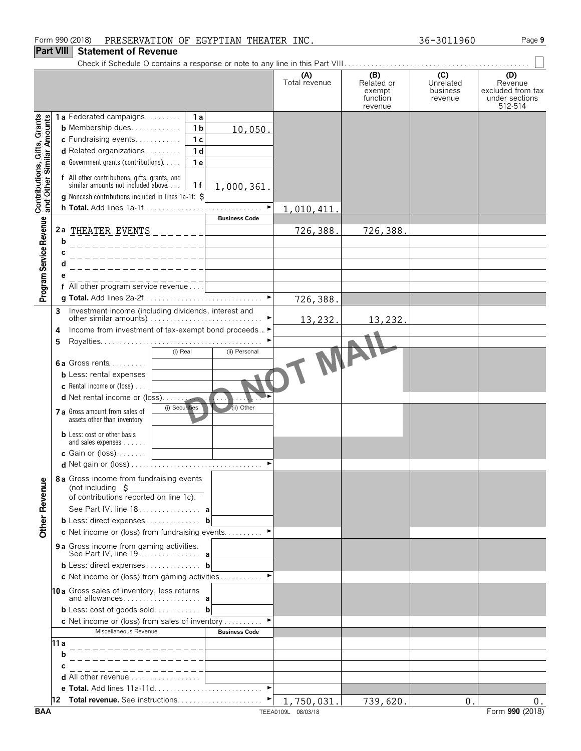#### Form 990 (2018) Page **9** PRESERVATION OF EGYPTIAN THEATER INC. 36-3011960

#### **Part VIII Statement of Revenue**

Check if Schedule O contains a response or note to any line in this Part VIII . . . . . . . . . . . . . . . . . . . . . . . . . . . . . . . . . . . . . . . . . . . . . . . .

|                                                           |        |                                                                                                                                            |                |                       | (A)<br>Total revenue | (B)<br>Related or<br>exempt | (C)<br>Unrelated<br>business | (D)<br>Revenue<br>excluded from tax |
|-----------------------------------------------------------|--------|--------------------------------------------------------------------------------------------------------------------------------------------|----------------|-----------------------|----------------------|-----------------------------|------------------------------|-------------------------------------|
|                                                           |        |                                                                                                                                            |                |                       |                      | function<br>revenue         | revenue                      | under sections<br>512-514           |
|                                                           |        | 1a Federated campaigns                                                                                                                     | 1a             |                       |                      |                             |                              |                                     |
|                                                           |        | <b>b</b> Membership dues                                                                                                                   | 1 <sub>b</sub> | 10,050.               |                      |                             |                              |                                     |
|                                                           |        | c Fundraising events                                                                                                                       | 1 <sub>c</sub> |                       |                      |                             |                              |                                     |
|                                                           |        | d Related organizations                                                                                                                    | 1 <sub>d</sub> |                       |                      |                             |                              |                                     |
|                                                           |        | e Government grants (contributions)                                                                                                        | 1 <sub>e</sub> |                       |                      |                             |                              |                                     |
| Contributions, Gifts, Grants<br>and Other Similar Amounts |        | f All other contributions, gifts, grants, and<br>similar amounts not included above<br>g Noncash contributions included in lines 1a-1f: \$ | 1 f            | 1,000,361.            |                      |                             |                              |                                     |
|                                                           |        |                                                                                                                                            |                |                       | <u>1,010,411</u>     |                             |                              |                                     |
|                                                           |        |                                                                                                                                            |                | <b>Business Code</b>  |                      |                             |                              |                                     |
|                                                           |        | 2a THEATER EVENTS<br>$\sim$ $\sim$ $\sim$ $\sim$ $\sim$ $\sim$                                                                             |                |                       | 726,388.             | 726,388.                    |                              |                                     |
|                                                           | b      | . _ _ _ _ _ _ _ _ _ _ _ _ _ _ _                                                                                                            |                |                       |                      |                             |                              |                                     |
| Program Service Revenue                                   | C<br>d |                                                                                                                                            |                |                       |                      |                             |                              |                                     |
|                                                           |        | f All other program service revenue                                                                                                        |                |                       |                      |                             |                              |                                     |
|                                                           |        |                                                                                                                                            |                |                       | 726,388.             |                             |                              |                                     |
|                                                           | 3      | Investment income (including dividends, interest and                                                                                       |                |                       |                      |                             |                              |                                     |
|                                                           |        |                                                                                                                                            |                |                       | 13,232.              | 13,232.                     |                              |                                     |
|                                                           | 4      | Income from investment of tax-exempt bond proceeds ▶                                                                                       |                |                       |                      |                             |                              |                                     |
|                                                           | 5      | (i) Real                                                                                                                                   |                | (ii) Personal         |                      |                             |                              |                                     |
|                                                           |        | 6a Gross rents                                                                                                                             |                |                       | T MF                 |                             |                              |                                     |
|                                                           |        | <b>b</b> Less: rental expenses                                                                                                             |                |                       |                      |                             |                              |                                     |
|                                                           |        | <b>c</b> Rental income or (loss) $\ldots$                                                                                                  |                |                       |                      |                             |                              |                                     |
|                                                           |        |                                                                                                                                            |                |                       |                      |                             |                              |                                     |
|                                                           |        | (i) Securities<br>7 a Gross amount from sales of<br>assets other than inventory                                                            |                | (ii) Other            |                      |                             |                              |                                     |
|                                                           |        | <b>b</b> Less: cost or other basis<br>and sales expenses                                                                                   |                |                       |                      |                             |                              |                                     |
|                                                           |        | <b>c</b> Gain or (loss). $\ldots$                                                                                                          |                |                       |                      |                             |                              |                                     |
| gmu                                                       |        | 8 a Gross income from fundraising events<br>(not including $\sharp$<br>of contributions reported on line 1c).                              |                |                       |                      |                             |                              |                                     |
| <b>Other Reve</b>                                         |        | See Part IV, line 18. a                                                                                                                    |                |                       |                      |                             |                              |                                     |
|                                                           |        | <b>b</b> Less: direct expenses <b>b</b>                                                                                                    |                |                       |                      |                             |                              |                                     |
|                                                           |        | c Net income or (loss) from fundraising events                                                                                             |                |                       |                      |                             |                              |                                     |
|                                                           |        |                                                                                                                                            |                |                       |                      |                             |                              |                                     |
|                                                           |        | <b>b</b> Less: direct expenses <b>b</b>                                                                                                    |                |                       |                      |                             |                              |                                     |
|                                                           |        | c Net income or (loss) from gaming activities                                                                                              |                |                       |                      |                             |                              |                                     |
|                                                           |        | 10a Gross sales of inventory, less returns                                                                                                 |                |                       |                      |                             |                              |                                     |
|                                                           |        | <b>b</b> Less: cost of goods sold <b>b</b>                                                                                                 |                |                       |                      |                             |                              |                                     |
|                                                           |        | <b>c</b> Net income or (loss) from sales of inventory                                                                                      |                |                       |                      |                             |                              |                                     |
|                                                           |        | Miscellaneous Revenue                                                                                                                      |                | <b>Business Code</b>  |                      |                             |                              |                                     |
|                                                           | 11 a   |                                                                                                                                            |                |                       |                      |                             |                              |                                     |
|                                                           | b      |                                                                                                                                            |                |                       |                      |                             |                              |                                     |
|                                                           |        | <b>d</b> All other revenue $\ldots$ , $\ldots$ , $\ldots$                                                                                  |                |                       |                      |                             |                              |                                     |
|                                                           |        | e Total. Add lines 11a-11d                                                                                                                 |                | $\blacktriangleright$ |                      |                             |                              |                                     |
|                                                           |        |                                                                                                                                            |                |                       | 1,750,031.           | 739,620                     | 0.                           | Ο.                                  |
| <b>BAA</b>                                                |        |                                                                                                                                            |                |                       | TEEA0109L 08/03/18   |                             |                              | Form 990 (2018)                     |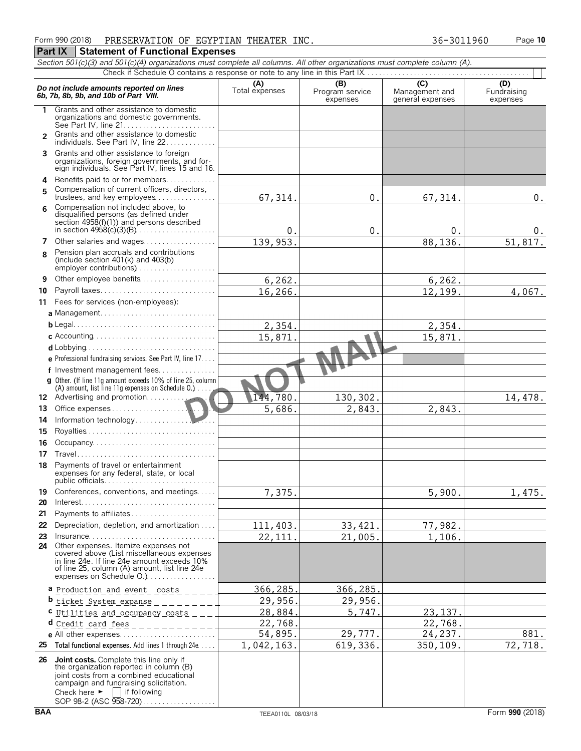| Do not include amounts reported on lines<br>6b, 7b, 8b, 9b, and 10b of Part VIII. |                                                                                                                                                                                                                                                                     | (A)<br>Total expenses | (B)<br>Program service<br>expenses | (C)<br>Management and<br>general expenses | (D)<br>Fundraising<br>expenses |
|-----------------------------------------------------------------------------------|---------------------------------------------------------------------------------------------------------------------------------------------------------------------------------------------------------------------------------------------------------------------|-----------------------|------------------------------------|-------------------------------------------|--------------------------------|
| 1.                                                                                | Grants and other assistance to domestic<br>organizations and domestic governments.                                                                                                                                                                                  |                       |                                    |                                           |                                |
| $\mathfrak{p}$                                                                    | Grants and other assistance to domestic<br>individuals. See Part IV, line 22.                                                                                                                                                                                       |                       |                                    |                                           |                                |
| 3                                                                                 | Grants and other assistance to foreign<br>organizations, foreign governments, and for-<br>eign individuals. See Part IV, lines 15 and 16.                                                                                                                           |                       |                                    |                                           |                                |
| 4                                                                                 | Benefits paid to or for members<br>Compensation of current officers, directors,                                                                                                                                                                                     |                       |                                    |                                           |                                |
| 5                                                                                 | trustees, and key employees                                                                                                                                                                                                                                         | 67,314.               | $0$ .                              | 67,314.                                   | $0$ .                          |
| 6                                                                                 | Compensation not included above, to<br>disqualified persons (as defined under<br>section $4958(f)(1)$ ) and persons described                                                                                                                                       | 0.                    | 0.                                 | 0.                                        | 0.                             |
| 7                                                                                 | Other salaries and wages                                                                                                                                                                                                                                            | 139,953.              |                                    | 88,136.                                   | 51,817.                        |
| 8                                                                                 | Pension plan accruals and contributions<br>(include section 401(k) and 403(b)<br>employer contributions)                                                                                                                                                            |                       |                                    |                                           |                                |
| 9                                                                                 | Other employee benefits                                                                                                                                                                                                                                             | 6, 262.               |                                    | 6,262.                                    |                                |
| 10                                                                                |                                                                                                                                                                                                                                                                     | 16,266.               |                                    | 12,199.                                   | 4,067.                         |
| 11                                                                                | Fees for services (non-employees):                                                                                                                                                                                                                                  |                       |                                    |                                           |                                |
|                                                                                   |                                                                                                                                                                                                                                                                     |                       |                                    |                                           |                                |
|                                                                                   |                                                                                                                                                                                                                                                                     | 2,354.                |                                    | 2,354.                                    |                                |
|                                                                                   |                                                                                                                                                                                                                                                                     | 15,871.               |                                    | 15,871.                                   |                                |
|                                                                                   |                                                                                                                                                                                                                                                                     |                       |                                    |                                           |                                |
|                                                                                   | e Professional fundraising services. See Part IV, line 17.                                                                                                                                                                                                          |                       |                                    |                                           |                                |
|                                                                                   | f Investment management fees<br>g Other. (If line 11q amount exceeds 10% of line 25, column                                                                                                                                                                         |                       |                                    |                                           |                                |
|                                                                                   | (A) amount, list line 11g expenses on Schedule 0.)                                                                                                                                                                                                                  |                       |                                    |                                           |                                |
|                                                                                   | 12 Advertising and promotion                                                                                                                                                                                                                                        | 144,780.              | 130,302.                           |                                           | 14,478.                        |
| 13                                                                                |                                                                                                                                                                                                                                                                     | 5,686.                | 2,843.                             | 2,843.                                    |                                |
| 14                                                                                |                                                                                                                                                                                                                                                                     |                       |                                    |                                           |                                |
| 15                                                                                |                                                                                                                                                                                                                                                                     |                       |                                    |                                           |                                |
| 16                                                                                | Occupancy                                                                                                                                                                                                                                                           |                       |                                    |                                           |                                |
| 17                                                                                | Travel                                                                                                                                                                                                                                                              |                       |                                    |                                           |                                |
| 18                                                                                | Payments of travel or entertainment<br>expenses for any federal, state, or local                                                                                                                                                                                    |                       |                                    |                                           |                                |
| 19                                                                                | Conferences, conventions, and meetings                                                                                                                                                                                                                              | 7,375.                |                                    | 5,900.                                    | 1,475.                         |
| 20                                                                                |                                                                                                                                                                                                                                                                     |                       |                                    |                                           |                                |
| 21                                                                                | Payments to affiliates                                                                                                                                                                                                                                              |                       |                                    |                                           |                                |
| 22                                                                                | Depreciation, depletion, and amortization                                                                                                                                                                                                                           | 111,403.              | 33, 421.                           | 77,982.                                   |                                |
| 23                                                                                | $Insurance. \ldots \ldots \ldots \ldots \ldots \ldots \ldots \ldots \ldots$<br>24 Other expenses. Itemize expenses not<br>covered above (List miscellaneous expenses<br>in line 24e. If line 24e amount exceeds 10%<br>of line 25, column (A) amount, list line 24e | 22, 111.              | 21,005.                            | 1,106.                                    |                                |
|                                                                                   | expenses on Schedule O.)                                                                                                                                                                                                                                            |                       |                                    |                                           |                                |
|                                                                                   | a Production and event costs                                                                                                                                                                                                                                        | 366,285.              | 366,285.                           |                                           |                                |
|                                                                                   | <b>b</b> tic <u>ket System expanse</u>                                                                                                                                                                                                                              | 29,956.               | 29,956.                            |                                           |                                |
|                                                                                   | C Utilities and occupancy costs<br>d Credit card fees                                                                                                                                                                                                               | 28,884.               | 5,747.                             | 23, 137.                                  |                                |
|                                                                                   | e All other expenses                                                                                                                                                                                                                                                | 22,768.<br>54,895.    | 29,777.                            | 22,768.<br>24, 237.                       | 881.                           |
| 25                                                                                | Total functional expenses. Add lines 1 through 24e                                                                                                                                                                                                                  | 1,042,163.            | 619,336.                           | 350,109.                                  | 72,718.                        |
|                                                                                   |                                                                                                                                                                                                                                                                     |                       |                                    |                                           |                                |
| 26                                                                                | Joint costs. Complete this line only if<br>the organization reported in column (B)<br>joint costs from a combined educational<br>campaign and fundraising solicitation.<br>if following<br>Check here $\blacktriangleright$<br>SOP 98-2 (ASC 958-720)               |                       |                                    |                                           |                                |

#### Form 990 (2018) Page **10** PRESERVATION OF EGYPTIAN THEATER INC. 36-3011960 **Part IX | Statement of Functional Expenses**

*Section 501(c)(3) and 501(c)(4) organizations must complete all columns. All other organizations must complete column (A).*

Check if Schedule O contains a response or note to any line in this Part IX. . . . . . . . . . . . . . . . . . . . . . . . . . . . . . . . . . . . . . . . . . .

**BAA** TEEA0110L 08/03/18 Form **990** (2018)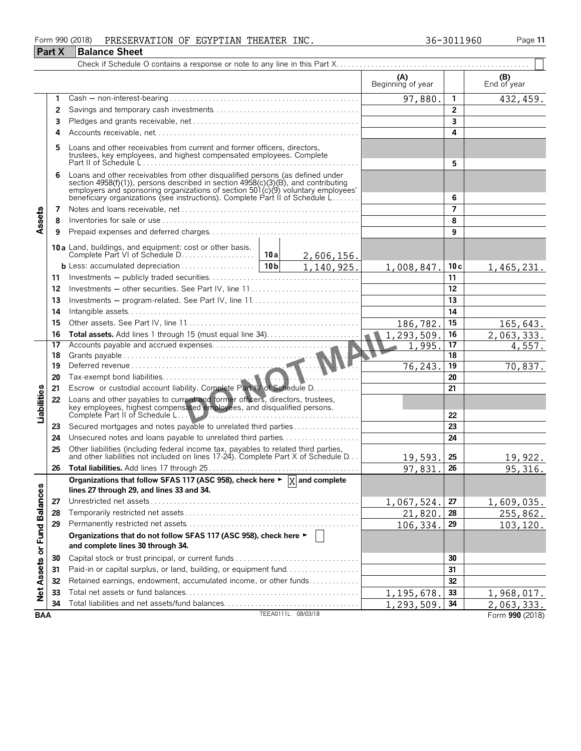#### Form 990 (2018) Page **11** PRESERVATION OF EGYPTIAN THEATER INC. 36-3011960

|                             | Part X | <b>Balance Sheet</b>                                                                                                                                                                                                                                                                                                                        |                 |                    |                          |      |                    |
|-----------------------------|--------|---------------------------------------------------------------------------------------------------------------------------------------------------------------------------------------------------------------------------------------------------------------------------------------------------------------------------------------------|-----------------|--------------------|--------------------------|------|--------------------|
|                             |        |                                                                                                                                                                                                                                                                                                                                             |                 |                    |                          |      |                    |
|                             |        |                                                                                                                                                                                                                                                                                                                                             |                 |                    | (A)<br>Beginning of year |      | (B)<br>End of year |
|                             |        |                                                                                                                                                                                                                                                                                                                                             |                 |                    | 97,880.                  | 1    | 432,459.           |
|                             | 2      |                                                                                                                                                                                                                                                                                                                                             |                 | $\overline{2}$     |                          |      |                    |
|                             | 3      |                                                                                                                                                                                                                                                                                                                                             |                 |                    | 3                        |      |                    |
|                             | 4      |                                                                                                                                                                                                                                                                                                                                             |                 | 4                  |                          |      |                    |
|                             | 5      | Loans and other receivables from current and former officers, directors,<br>trustees, key employees, and highest compensated employees. Complete                                                                                                                                                                                            |                 | 5                  |                          |      |                    |
|                             | 6      | Loans and other receivables from other disqualified persons (as defined under<br>section $4958(f)(1)$ , persons described in section $4958(c)(3)(B)$ , and contributing<br>employers and sponsoring organizations of section 501(c)(9) voluntary employees'<br>beneficiary organizations (see instructions). Complete Part II of Schedule L |                 |                    |                          | 6    |                    |
|                             | 7      |                                                                                                                                                                                                                                                                                                                                             |                 |                    |                          | 7    |                    |
| Assets                      | 8      |                                                                                                                                                                                                                                                                                                                                             |                 |                    |                          | 8    |                    |
|                             | 9      |                                                                                                                                                                                                                                                                                                                                             |                 |                    |                          | 9    |                    |
|                             |        | 10a Land, buildings, and equipment: cost or other basis.<br>Complete Part VI of Schedule D                                                                                                                                                                                                                                                  | 10a             | 2,606,156.         |                          |      |                    |
|                             |        |                                                                                                                                                                                                                                                                                                                                             | 10 <sub>b</sub> | 1,140,925.         | 1,008,847.               | 10 с | 1,465,231.         |
|                             | 11     |                                                                                                                                                                                                                                                                                                                                             |                 |                    |                          | 11   |                    |
|                             | 12     | Investments - other securities. See Part IV, line 11                                                                                                                                                                                                                                                                                        |                 |                    |                          | 12   |                    |
|                             | 13     |                                                                                                                                                                                                                                                                                                                                             |                 | 13                 |                          |      |                    |
|                             | 14     |                                                                                                                                                                                                                                                                                                                                             |                 | 14                 |                          |      |                    |
|                             | 15     |                                                                                                                                                                                                                                                                                                                                             | 186,782.        | 15                 | 165,643.                 |      |                    |
|                             | 16     |                                                                                                                                                                                                                                                                                                                                             |                 |                    |                          | 16   | 2,063,333.         |
|                             | 17     |                                                                                                                                                                                                                                                                                                                                             |                 |                    | 1,995.                   | 17   | 4,557.             |
|                             | 18     |                                                                                                                                                                                                                                                                                                                                             |                 |                    | 18                       |      |                    |
|                             | 19     |                                                                                                                                                                                                                                                                                                                                             |                 |                    | 76,243.                  | 19   | 70,837.            |
|                             | 20     |                                                                                                                                                                                                                                                                                                                                             |                 |                    |                          | 20   |                    |
|                             | 21     | Escrow or custodial account liability. Complete Part IV of Schedule D.                                                                                                                                                                                                                                                                      |                 |                    |                          | 21   |                    |
| Liabilities                 | 22     | Loans and other payables to current and former officers, directors, trustees,<br>key employees, highest compensated employees, and disqualified persons.<br>Complete Part II of Schedule L                                                                                                                                                  |                 |                    |                          | 22   |                    |
|                             | 23     | Secured mortgages and notes payable to unrelated third parties                                                                                                                                                                                                                                                                              |                 |                    |                          | 23   |                    |
|                             | 24     | Unsecured notes and loans payable to unrelated third parties                                                                                                                                                                                                                                                                                |                 |                    |                          | 24   |                    |
|                             | 25     | Other liabilities (including federal income tax, payables to related third parties, and other liabilities not included on lines 17-24). Complete Part X of Schedule D                                                                                                                                                                       |                 |                    | 19,593.                  | 25   | 19,922.            |
|                             | 26     |                                                                                                                                                                                                                                                                                                                                             |                 |                    | 97,831                   | 26   | 95,316.            |
|                             |        | Organizations that follow SFAS 117 (ASC 958), check here $\blacktriangleright \overline{X}$ and complete<br>lines 27 through 29, and lines 33 and 34.                                                                                                                                                                                       |                 |                    |                          |      |                    |
|                             | 27     |                                                                                                                                                                                                                                                                                                                                             |                 |                    | 1,067,524.               | 27   | 1,609,035.         |
|                             | 28     |                                                                                                                                                                                                                                                                                                                                             |                 |                    | 21,820.                  | 28   | 255,862.           |
|                             | 29     |                                                                                                                                                                                                                                                                                                                                             |                 |                    | 106,334.                 | 29   | 103,120.           |
| Net Assets or Fund Balances |        | Organizations that do not follow SFAS 117 (ASC 958), check here ►  <br>and complete lines 30 through 34.                                                                                                                                                                                                                                    |                 |                    |                          |      |                    |
|                             | 30     |                                                                                                                                                                                                                                                                                                                                             |                 |                    |                          | 30   |                    |
|                             | 31     | Paid-in or capital surplus, or land, building, or equipment fund                                                                                                                                                                                                                                                                            |                 |                    |                          | 31   |                    |
|                             | 32     | Retained earnings, endowment, accumulated income, or other funds                                                                                                                                                                                                                                                                            |                 |                    |                          | 32   |                    |
|                             | 33     |                                                                                                                                                                                                                                                                                                                                             |                 |                    | 1, 195, 678.             | 33   | 1,968,017.         |
|                             | 34     |                                                                                                                                                                                                                                                                                                                                             |                 |                    | 1,293,509.               | 34   | 2,063,333.         |
| <b>BAA</b>                  |        |                                                                                                                                                                                                                                                                                                                                             |                 | TEEA0111L 08/03/18 |                          |      | Form 990 (2018)    |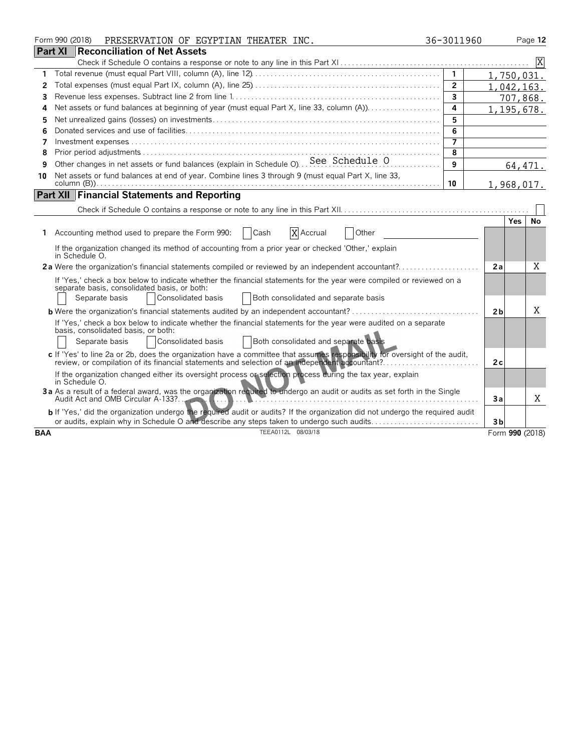|     | Form 990 (2018)<br>PRESERVATION OF EGYPTIAN THEATER INC.                                                                             | 36-3011960     |                |            | Page 12         |
|-----|--------------------------------------------------------------------------------------------------------------------------------------|----------------|----------------|------------|-----------------|
|     | Part XI<br><b>Reconciliation of Net Assets</b>                                                                                       |                |                |            |                 |
|     |                                                                                                                                      |                |                |            |                 |
| 1   |                                                                                                                                      | $\mathbf{1}$   | 1,750,031.     |            |                 |
| 2   |                                                                                                                                      | $\overline{2}$ | 1,042,163.     |            |                 |
| 3   |                                                                                                                                      | 3              |                |            | 707,868.        |
| 4   |                                                                                                                                      | 4              |                |            | 1,195,678.      |
| 5   |                                                                                                                                      | 5              |                |            |                 |
| 6   |                                                                                                                                      | 6              |                |            |                 |
| 7   |                                                                                                                                      | $\overline{7}$ |                |            |                 |
| 8   |                                                                                                                                      | 8              |                |            |                 |
| 9   | Other changes in net assets or fund balances (explain in Schedule O). See Schedule O                                                 | 9              |                |            | 64, 471.        |
| 10  | Net assets or fund balances at end of year. Combine lines 3 through 9 (must equal Part X, line 33,                                   |                |                |            |                 |
|     |                                                                                                                                      | 10             | 1,968,017.     |            |                 |
|     | <b>Part XII Financial Statements and Reporting</b>                                                                                   |                |                |            |                 |
|     |                                                                                                                                      |                |                |            |                 |
|     |                                                                                                                                      |                |                | <b>Yes</b> | No              |
|     | Accounting method used to prepare the Form 990:<br>Cash<br>X Accrual<br>  Other                                                      |                |                |            |                 |
|     | If the organization changed its method of accounting from a prior year or checked 'Other,' explain                                   |                |                |            |                 |
|     | in Schedule O.                                                                                                                       |                |                |            |                 |
|     | 2a Were the organization's financial statements compiled or reviewed by an independent accountant?                                   |                | 2a             |            | X               |
|     | If 'Yes,' check a box below to indicate whether the financial statements for the year were compiled or reviewed on a                 |                |                |            |                 |
|     | separate basis, consolidated basis, or both:                                                                                         |                |                |            |                 |
|     | Consolidated basis<br>Separate basis<br>Both consolidated and separate basis                                                         |                |                |            |                 |
|     |                                                                                                                                      |                | 2 <sub>b</sub> |            | X               |
|     | If 'Yes,' check a box below to indicate whether the financial statements for the year were audited on a separate                     |                |                |            |                 |
|     | basis, consolidated basis, or both:                                                                                                  |                |                |            |                 |
|     | Both consolidated and separate basis<br>Consolidated basis<br>Separate basis                                                         |                |                |            |                 |
|     | c If 'Yes' to line 2a or 2b, does the organization have a committee that assumes responsibility for oversight of the audit,          |                |                |            |                 |
|     | review, or compilation of its financial statements and selection of an independent accountant?.                                      |                | 2c             |            |                 |
|     | If the organization changed either its oversight process or selection process during the tax year, explain<br>in Schedule O.         |                |                |            |                 |
|     | 3a As a result of a federal award, was the organization required to undergo an audit or audits as set forth in the Single            |                |                |            |                 |
|     | Audit Act and OMB Circular A-133?                                                                                                    |                | 3a             |            | X               |
|     | <b>b</b> If 'Yes,' did the organization undergo the required audit or audits? If the organization did not undergo the required audit |                |                |            |                 |
|     | or audits, explain why in Schedule O and describe any steps taken to undergo such audits                                             |                | 3 <sub>b</sub> |            |                 |
| BAA | TEEA0112L 08/03/18                                                                                                                   |                |                |            | Form 990 (2018) |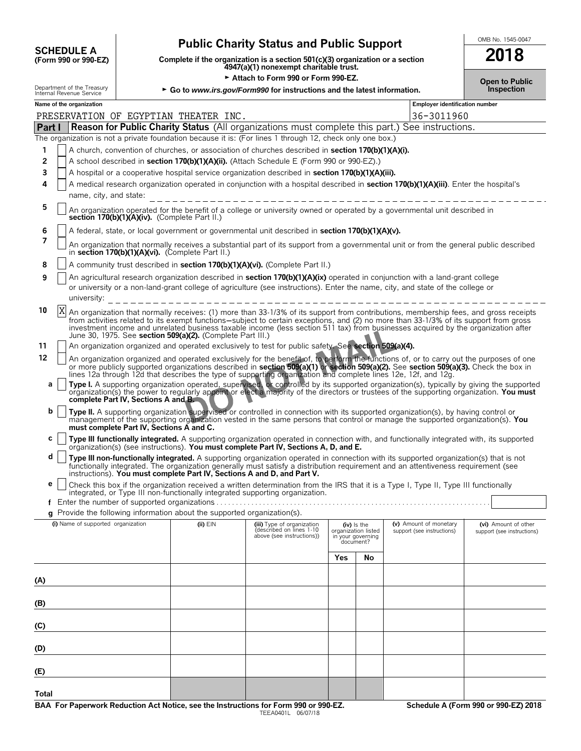# **OMB No. 1545-0047**<br>
Complete if the organization is a section 501(c)(3) organization or a section<br> **SCHEDULE A**<br> **SCHEDULE A**<br> **SCHEDULE A**<br> **SCHEDULE A**<br> **SCHEDULE A**<br> **SCHEDULE A**<br> **SCHEDULE A**

**COMPOUTE A**<br>
(Form 990 or 990-EZ) Complete if the organization is a section 501(c)(3) organization or a section<br>
4947(a)(1) nonexempt charitable trust.

Attach to Form 990 or Form 990-F7

| Name of the organization<br>PRESERVATION OF EGYPTIAN THEATER INC.                                                                                                                                                                                                                                                                                                                                                                                                                                                                                                                                                                                                                                                               | Employer identification number                                                                                                                                                                                                 |  |  |  |  |  |  |  |  |  |  |
|---------------------------------------------------------------------------------------------------------------------------------------------------------------------------------------------------------------------------------------------------------------------------------------------------------------------------------------------------------------------------------------------------------------------------------------------------------------------------------------------------------------------------------------------------------------------------------------------------------------------------------------------------------------------------------------------------------------------------------|--------------------------------------------------------------------------------------------------------------------------------------------------------------------------------------------------------------------------------|--|--|--|--|--|--|--|--|--|--|
|                                                                                                                                                                                                                                                                                                                                                                                                                                                                                                                                                                                                                                                                                                                                 |                                                                                                                                                                                                                                |  |  |  |  |  |  |  |  |  |  |
|                                                                                                                                                                                                                                                                                                                                                                                                                                                                                                                                                                                                                                                                                                                                 | 36-3011960                                                                                                                                                                                                                     |  |  |  |  |  |  |  |  |  |  |
| <b>Reason for Public Charity Status</b> (All organizations must complete this part.) See instructions.<br>Part I                                                                                                                                                                                                                                                                                                                                                                                                                                                                                                                                                                                                                |                                                                                                                                                                                                                                |  |  |  |  |  |  |  |  |  |  |
| The organization is not a private foundation because it is: (For lines 1 through 12, check only one box.)                                                                                                                                                                                                                                                                                                                                                                                                                                                                                                                                                                                                                       |                                                                                                                                                                                                                                |  |  |  |  |  |  |  |  |  |  |
| A church, convention of churches, or association of churches described in <b>section 170(b)(1)(A)(i).</b><br>1                                                                                                                                                                                                                                                                                                                                                                                                                                                                                                                                                                                                                  |                                                                                                                                                                                                                                |  |  |  |  |  |  |  |  |  |  |
| 2<br>A school described in section 170(b)(1)(A)(ii). (Attach Schedule E (Form 990 or 990-EZ).)                                                                                                                                                                                                                                                                                                                                                                                                                                                                                                                                                                                                                                  |                                                                                                                                                                                                                                |  |  |  |  |  |  |  |  |  |  |
| 3<br>A hospital or a cooperative hospital service organization described in section 170(b)(1)(A)(iii).                                                                                                                                                                                                                                                                                                                                                                                                                                                                                                                                                                                                                          |                                                                                                                                                                                                                                |  |  |  |  |  |  |  |  |  |  |
| A medical research organization operated in conjunction with a hospital described in section 170(b)(1)(A)(iii). Enter the hospital's<br>4<br>name, city, and state:                                                                                                                                                                                                                                                                                                                                                                                                                                                                                                                                                             |                                                                                                                                                                                                                                |  |  |  |  |  |  |  |  |  |  |
| 5<br>An organization operated for the benefit of a college or university owned or operated by a governmental unit described in<br>section 170(b)(1)(A)(iv). (Complete Part II.)                                                                                                                                                                                                                                                                                                                                                                                                                                                                                                                                                 |                                                                                                                                                                                                                                |  |  |  |  |  |  |  |  |  |  |
| A federal, state, or local government or governmental unit described in <b>section 170(b)(1)(A)(v).</b><br>6<br>7                                                                                                                                                                                                                                                                                                                                                                                                                                                                                                                                                                                                               |                                                                                                                                                                                                                                |  |  |  |  |  |  |  |  |  |  |
| An organization that normally receives a substantial part of its support from a governmental unit or from the general public described<br>in section 170(b)(1)(A)(vi). (Complete Part II.)                                                                                                                                                                                                                                                                                                                                                                                                                                                                                                                                      |                                                                                                                                                                                                                                |  |  |  |  |  |  |  |  |  |  |
| 8<br>A community trust described in <b>section 170(b)(1)(A)(vi).</b> (Complete Part II.)                                                                                                                                                                                                                                                                                                                                                                                                                                                                                                                                                                                                                                        |                                                                                                                                                                                                                                |  |  |  |  |  |  |  |  |  |  |
| An agricultural research organization described in section 170(b)(1)(A)(ix) operated in conjunction with a land-grant college<br>9<br>or university or a non-land-grant college of agriculture (see instructions). Enter the name, city, and state of the college or<br>university:                                                                                                                                                                                                                                                                                                                                                                                                                                             |                                                                                                                                                                                                                                |  |  |  |  |  |  |  |  |  |  |
| 10<br>ΙX<br>June 30, 1975. See section 509(a)(2). (Complete Part III.)                                                                                                                                                                                                                                                                                                                                                                                                                                                                                                                                                                                                                                                          | An organization that normally receives: (1) more than 33-1/3% of its support from contributions, membership fees, and gross receipts from activities related to its exempt functions—subject to certain exceptions, and (2) no |  |  |  |  |  |  |  |  |  |  |
| 11<br>An organization organized and operated exclusively to test for public safety. See section 509(a)(4).                                                                                                                                                                                                                                                                                                                                                                                                                                                                                                                                                                                                                      |                                                                                                                                                                                                                                |  |  |  |  |  |  |  |  |  |  |
| 12<br>An organization organized and operated exclusively for the benefit of, to perform the functions of, or to carry out the purposes of one<br>or more publicly supported organizations described in <b>section 509(a)(1)</b> of <b>section 509(a)(2)</b> . See section 509(a)(3). Check the box in lines 12a through 12d that describes the type of supporting organization and complet<br>Type I. A supporting organization operated, supervised, or controlled by its supported organization(s), typically by giving the supported<br>a<br>organization(s) the power to regularly appoint or elect a majority of the directors or trustees of the supporting organization. You must<br>complete Part IV, Sections A and B. |                                                                                                                                                                                                                                |  |  |  |  |  |  |  |  |  |  |
| b<br>Type II. A supporting organization supervised or controlled in connection with its supported organization(s), by having control or<br>management of the supporting organization vested in the same persons that control or manage the supported organization(s). You<br>must complete Part IV, Sections A and C.                                                                                                                                                                                                                                                                                                                                                                                                           |                                                                                                                                                                                                                                |  |  |  |  |  |  |  |  |  |  |
| С<br>Type III functionally integrated. A supporting organization operated in connection with, and functionally integrated with, its supported<br>organization(s) (see instructions). You must complete Part IV, Sections A, D, and E.                                                                                                                                                                                                                                                                                                                                                                                                                                                                                           |                                                                                                                                                                                                                                |  |  |  |  |  |  |  |  |  |  |
| d<br>Type III non-functionally integrated. A supporting organization operated in connection with its supported organization(s) that is not<br>functionally integrated. The organization generally must satisfy a distribution requirement and an attentiveness requirement (see<br>instructions). You must complete Part IV, Sections A and D, and Part V.                                                                                                                                                                                                                                                                                                                                                                      |                                                                                                                                                                                                                                |  |  |  |  |  |  |  |  |  |  |
| е<br>Check this box if the organization received a written determination from the IRS that it is a Type I, Type II, Type III functionally<br>integrated, or Type III non-functionally integrated supporting organization.                                                                                                                                                                                                                                                                                                                                                                                                                                                                                                       |                                                                                                                                                                                                                                |  |  |  |  |  |  |  |  |  |  |
| f Enter the number of supported organizations                                                                                                                                                                                                                                                                                                                                                                                                                                                                                                                                                                                                                                                                                   |                                                                                                                                                                                                                                |  |  |  |  |  |  |  |  |  |  |
| g Provide the following information about the supported organization(s).                                                                                                                                                                                                                                                                                                                                                                                                                                                                                                                                                                                                                                                        |                                                                                                                                                                                                                                |  |  |  |  |  |  |  |  |  |  |
| (i) Name of supported organization<br>$(ii)$ $EIN$<br>(v) Amount of monetary<br>(iii) Type of organization<br>(vi) Amount of other<br>$(iv)$ is the<br>(described on lines 1-10<br>organization listed<br>support (see instructions)<br>support (see instructions)<br>above (see instructions))<br>in your governing<br>document?                                                                                                                                                                                                                                                                                                                                                                                               |                                                                                                                                                                                                                                |  |  |  |  |  |  |  |  |  |  |
| Yes<br>No                                                                                                                                                                                                                                                                                                                                                                                                                                                                                                                                                                                                                                                                                                                       |                                                                                                                                                                                                                                |  |  |  |  |  |  |  |  |  |  |
|                                                                                                                                                                                                                                                                                                                                                                                                                                                                                                                                                                                                                                                                                                                                 |                                                                                                                                                                                                                                |  |  |  |  |  |  |  |  |  |  |
| (A)                                                                                                                                                                                                                                                                                                                                                                                                                                                                                                                                                                                                                                                                                                                             |                                                                                                                                                                                                                                |  |  |  |  |  |  |  |  |  |  |
| (B)                                                                                                                                                                                                                                                                                                                                                                                                                                                                                                                                                                                                                                                                                                                             |                                                                                                                                                                                                                                |  |  |  |  |  |  |  |  |  |  |
| (C)                                                                                                                                                                                                                                                                                                                                                                                                                                                                                                                                                                                                                                                                                                                             |                                                                                                                                                                                                                                |  |  |  |  |  |  |  |  |  |  |
| (D)                                                                                                                                                                                                                                                                                                                                                                                                                                                                                                                                                                                                                                                                                                                             |                                                                                                                                                                                                                                |  |  |  |  |  |  |  |  |  |  |
| (E)                                                                                                                                                                                                                                                                                                                                                                                                                                                                                                                                                                                                                                                                                                                             |                                                                                                                                                                                                                                |  |  |  |  |  |  |  |  |  |  |

**Total**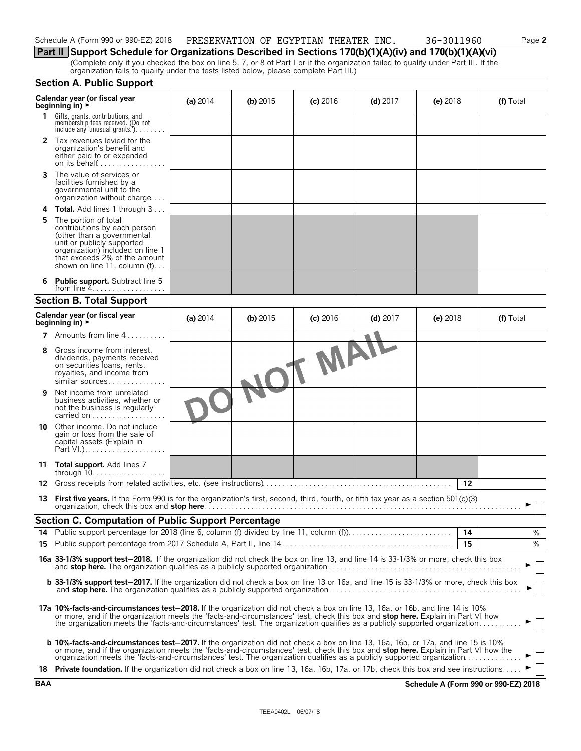#### Schedule A (Form 990 or 990-EZ) 2018 PRESERVATION OF EGYPTIAN THEATER INC. 36-3011960 Page 2

**Part II Support Schedule for Organizations Described in Sections 170(b)(1)(A)(iv) and 170(b)(1)(A)(vi)** (Complete only if you checked the box on line 5, 7, or 8 of Part I or if the organization failed to qualify under Part III. If the organization fails to qualify under the tests listed below, please complete Part III.)

#### **Section A. Public Support**

|    | Calendar year (or fiscal year<br>beginning in) $\blacktriangleright$                                                                                                                                                                                                                                                                                                                                      | (a) $2014$ | (b) $2015$ | $(c)$ 2016 | $(d)$ 2017 | $(e)$ 2018 | (f) Total |
|----|-----------------------------------------------------------------------------------------------------------------------------------------------------------------------------------------------------------------------------------------------------------------------------------------------------------------------------------------------------------------------------------------------------------|------------|------------|------------|------------|------------|-----------|
| 1. | Gifts, grants, contributions, and<br>membership fees received. (Do not<br>include any 'unusual grants.'). $\ldots$                                                                                                                                                                                                                                                                                        |            |            |            |            |            |           |
|    | 2 Tax revenues levied for the<br>organization's benefit and<br>either paid to or expended<br>on its behalf                                                                                                                                                                                                                                                                                                |            |            |            |            |            |           |
| 3  | The value of services or<br>facilities furnished by a<br>governmental unit to the<br>organization without charge                                                                                                                                                                                                                                                                                          |            |            |            |            |            |           |
|    | <b>Total.</b> Add lines 1 through 3                                                                                                                                                                                                                                                                                                                                                                       |            |            |            |            |            |           |
| 5  | The portion of total<br>contributions by each person<br>(other than a governmental<br>unit or publicly supported<br>organization) included on line 1<br>that exceeds 2% of the amount<br>shown on line 11, column $(f)$                                                                                                                                                                                   |            |            |            |            |            |           |
|    | <b>Public support.</b> Subtract line 5                                                                                                                                                                                                                                                                                                                                                                    |            |            |            |            |            |           |
|    | <b>Section B. Total Support</b>                                                                                                                                                                                                                                                                                                                                                                           |            |            |            |            |            |           |
|    | Calendar year (or fiscal year<br>beginning in) $\blacktriangleright$                                                                                                                                                                                                                                                                                                                                      | (a) $2014$ | (b) $2015$ | $(c)$ 2016 | $(d)$ 2017 | (e) 2018   | (f) Total |
|    | <b>7</b> Amounts from line $4, \ldots, \ldots$                                                                                                                                                                                                                                                                                                                                                            |            |            |            |            |            |           |
| 8  | Gross income from interest,<br>dividends, payments received<br>on securities loans, rents,<br>royalties, and income from<br>similar sources                                                                                                                                                                                                                                                               |            |            | OT MAIL    |            |            |           |
| 9  | Net income from unrelated<br>business activities, whether or<br>not the business is regularly<br>carried on                                                                                                                                                                                                                                                                                               |            |            |            |            |            |           |
| 10 | Other income. Do not include<br>gain or loss from the sale of<br>capital assets (Explain in                                                                                                                                                                                                                                                                                                               |            |            |            |            |            |           |
|    | 11 Total support. Add lines 7<br>through $10$                                                                                                                                                                                                                                                                                                                                                             |            |            |            |            |            |           |
| 12 |                                                                                                                                                                                                                                                                                                                                                                                                           |            |            |            |            | 12         |           |
|    | <b>13 First five years.</b> If the Form 990 is for the organization's first, second, third, fourth, or fifth tax year as a section 501(c)(3)                                                                                                                                                                                                                                                              |            |            |            |            |            |           |
|    | <b>Section C. Computation of Public Support Percentage</b>                                                                                                                                                                                                                                                                                                                                                |            |            |            |            |            |           |
|    |                                                                                                                                                                                                                                                                                                                                                                                                           |            |            |            |            | 14         | %         |
|    |                                                                                                                                                                                                                                                                                                                                                                                                           |            |            |            |            | 15         | %         |
|    | 16a 33-1/3% support test-2018. If the organization did not check the box on line 13, and line 14 is 33-1/3% or more, check this box                                                                                                                                                                                                                                                                       |            |            |            |            |            |           |
|    | b 33-1/3% support test-2017. If the organization did not check a box on line 13 or 16a, and line 15 is 33-1/3% or more, check this box                                                                                                                                                                                                                                                                    |            |            |            |            |            |           |
|    | 17a 10%-facts-and-circumstances test-2018. If the organization did not check a box on line 13, 16a, or 16b, and line 14 is 10%<br>or more, and if the organization meets the 'facts-and-circumstances' test, check this box and stop here. Explain in Part VI how<br>the organization meets the 'facts-and-circumstances' test. The organization qualifies as a publicly supported organization           |            |            |            |            |            |           |
|    | <b>b 10%-facts-and-circumstances test-2017.</b> If the organization did not check a box on line 13, 16a, 16b, or 17a, and line 15 is 10%<br>or more, and if the organization meets the 'facts-and-circumstances' test, check this box and stop here. Explain in Part VI how the<br>organization meets the 'facts-and-circumstances' test. The organization qualifies as a publicly supported organization |            |            |            |            |            |           |
|    | 18 Private foundation. If the organization did not check a box on line 13, 16a, 16b, 17a, or 17b, check this box and see instructions                                                                                                                                                                                                                                                                     |            |            |            |            |            |           |

**BAA Schedule A (Form 990 or 990-EZ) 2018**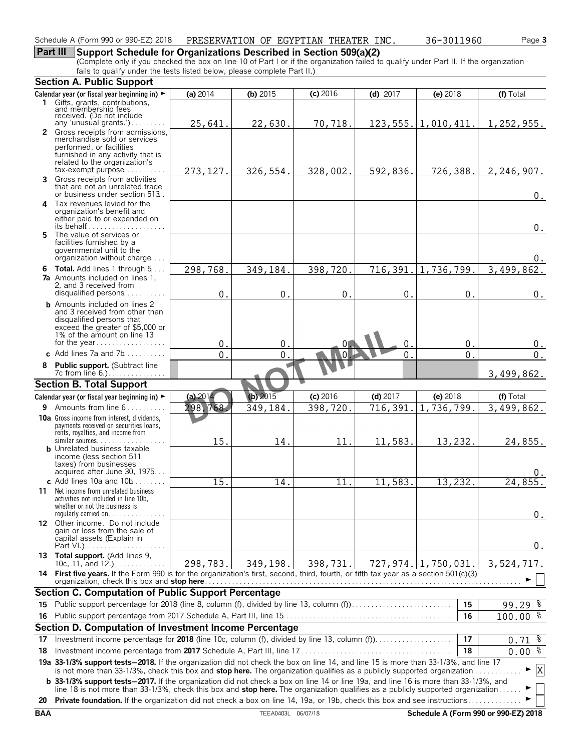#### Schedule A (Form 990 or 990-EZ) 2018 PRESERVATION OF EGYPTIAN THEATER INC. 36-3011960 Page 3

### **Part III Support Schedule for Organizations Described in Section 509(a)(2)**

(Complete only if you checked the box on line 10 of Part I or if the organization failed to qualify under Part II. If the organization fails to qualify under the tests listed below, please complete Part II.)

|           | <b>Section A. Public Support</b>                                                                                                                                                                                                                                          |           |                    |                 |             |                               |                                      |  |  |  |
|-----------|---------------------------------------------------------------------------------------------------------------------------------------------------------------------------------------------------------------------------------------------------------------------------|-----------|--------------------|-----------------|-------------|-------------------------------|--------------------------------------|--|--|--|
|           | Calendar year (or fiscal year beginning in) ►                                                                                                                                                                                                                             | (a) 2014  | (b) $2015$         | $(c)$ 2016      | $(d)$ 2017  | (e) 2018                      | (f) Total                            |  |  |  |
|           | 1 Gifts, grants, contributions,<br>and membership fees                                                                                                                                                                                                                    |           |                    |                 |             |                               |                                      |  |  |  |
|           | received. (Do not include<br>any 'unusual grants.')                                                                                                                                                                                                                       | 25,641.   | 22,630.            | 70,718.         |             | $123, 555. \mid 1, 010, 411.$ | 1,252,955.                           |  |  |  |
|           | 2 Gross receipts from admissions,                                                                                                                                                                                                                                         |           |                    |                 |             |                               |                                      |  |  |  |
|           | merchandise sold or services<br>performed, or facilities                                                                                                                                                                                                                  |           |                    |                 |             |                               |                                      |  |  |  |
|           | furnished in any activity that is                                                                                                                                                                                                                                         |           |                    |                 |             |                               |                                      |  |  |  |
|           | related to the organization's<br>$tax$ -exempt purpose                                                                                                                                                                                                                    |           |                    |                 |             |                               |                                      |  |  |  |
| 3.        | Gross receipts from activities                                                                                                                                                                                                                                            | 273, 127. | 326,554.           | 328,002.        | 592,836.    | 726,388.                      | 2,246,907.                           |  |  |  |
|           | that are not an unrelated trade                                                                                                                                                                                                                                           |           |                    |                 |             |                               |                                      |  |  |  |
|           | or business under section 513.<br>4 Tax revenues levied for the                                                                                                                                                                                                           |           |                    |                 |             |                               | 0.                                   |  |  |  |
|           | organization's benefit and                                                                                                                                                                                                                                                |           |                    |                 |             |                               |                                      |  |  |  |
|           | either paid to or expended on                                                                                                                                                                                                                                             |           |                    |                 |             |                               | $0$ .                                |  |  |  |
| 5.        | The value of services or                                                                                                                                                                                                                                                  |           |                    |                 |             |                               |                                      |  |  |  |
|           | facilities furnished by a<br>governmental unit to the                                                                                                                                                                                                                     |           |                    |                 |             |                               |                                      |  |  |  |
|           | organization without charge                                                                                                                                                                                                                                               |           |                    |                 |             |                               | $0$ .                                |  |  |  |
|           | 6 Total. Add lines 1 through 5                                                                                                                                                                                                                                            | 298,768.  | 349,184.           | 398,720.        | 716,391.    | 1,736,799.                    | 3,499,862.                           |  |  |  |
|           | <b>7a</b> Amounts included on lines 1,<br>2, and 3 received from                                                                                                                                                                                                          |           |                    |                 |             |                               |                                      |  |  |  |
|           | disqualified persons                                                                                                                                                                                                                                                      | 0.        | 0.                 | 0.              | 0.          | 0.                            | $0$ .                                |  |  |  |
|           | <b>b</b> Amounts included on lines 2<br>and 3 received from other than                                                                                                                                                                                                    |           |                    |                 |             |                               |                                      |  |  |  |
|           | disqualified persons that                                                                                                                                                                                                                                                 |           |                    |                 |             |                               |                                      |  |  |  |
|           | exceed the greater of \$5,000 or<br>1% of the amount on line 13                                                                                                                                                                                                           |           |                    |                 |             |                               |                                      |  |  |  |
|           |                                                                                                                                                                                                                                                                           | 0         | 0                  | $\Omega$        | $\mathbf 0$ | $\mathbf{0}$                  | 0.                                   |  |  |  |
|           | c Add lines 7a and 7b                                                                                                                                                                                                                                                     | 0         | 0                  | በ               | 0           | $\mathbf 0$                   | 0.                                   |  |  |  |
| 8         | <b>Public support.</b> (Subtract line<br>7c from line 6.)                                                                                                                                                                                                                 |           |                    |                 |             |                               | 3,499,862.                           |  |  |  |
|           | <b>Section B. Total Support</b>                                                                                                                                                                                                                                           |           |                    |                 |             |                               |                                      |  |  |  |
|           | Calendar year (or fiscal year beginning in) ►                                                                                                                                                                                                                             | (a) 2014  | (b) 2015           | $(c)$ 2016      | $(d)$ 2017  | (e) 2018                      | (f) Total                            |  |  |  |
|           | 9 Amounts from line 6                                                                                                                                                                                                                                                     | 298,768   | 349,184.           | 398,720.        | 716,391.    | 1,736,799.                    | 3,499,862.                           |  |  |  |
|           | <b>10a</b> Gross income from interest, dividends,                                                                                                                                                                                                                         |           |                    |                 |             |                               |                                      |  |  |  |
|           | payments received on securities loans,<br>rents, royalties, and income from                                                                                                                                                                                               |           |                    |                 |             |                               |                                      |  |  |  |
|           | similar sources.<br><b>b</b> Unrelated business taxable                                                                                                                                                                                                                   | 15.       | 14.                | 11.             | 11,583.     | 13,232.                       | 24,855.                              |  |  |  |
|           | income (less section 511)                                                                                                                                                                                                                                                 |           |                    |                 |             |                               |                                      |  |  |  |
|           | taxes) from businesses<br>acquired after June 30, 1975                                                                                                                                                                                                                    |           |                    |                 |             |                               |                                      |  |  |  |
|           | c Add lines $10a$ and $10b$                                                                                                                                                                                                                                               | 15.       | 14                 | 11 <sub>1</sub> | 11,583.     | 13,232.                       | 0.<br>24,855.                        |  |  |  |
|           | 11 Net income from unrelated business                                                                                                                                                                                                                                     |           |                    |                 |             |                               |                                      |  |  |  |
|           | activities not included in line 10b,<br>whether or not the business is                                                                                                                                                                                                    |           |                    |                 |             |                               |                                      |  |  |  |
|           | regularly carried on. $\ldots \ldots \ldots \ldots$                                                                                                                                                                                                                       |           |                    |                 |             |                               | 0.                                   |  |  |  |
|           | 12 Other income. Do not include<br>gain or loss from the sale of                                                                                                                                                                                                          |           |                    |                 |             |                               |                                      |  |  |  |
|           | capital assets (Explain in                                                                                                                                                                                                                                                |           |                    |                 |             |                               |                                      |  |  |  |
|           | 13 Total support. (Add lines 9,                                                                                                                                                                                                                                           |           |                    |                 |             |                               | 0.                                   |  |  |  |
|           | 10c, 11, and $12.$ )                                                                                                                                                                                                                                                      | 298,783.  | 349, 198.          | 398, 731.       |             | $727, 974.$ 1, 750, 031.      | 3,524,717.                           |  |  |  |
|           | 14 First five years. If the Form 990 is for the organization's first, second, third, fourth, or fifth tax year as a section 501(c)(3)                                                                                                                                     |           |                    |                 |             |                               |                                      |  |  |  |
|           | Section C. Computation of Public Support Percentage                                                                                                                                                                                                                       |           |                    |                 |             |                               |                                      |  |  |  |
| 15        | Public support percentage for 2018 (line 8, column (f), divided by line 13, column (f)                                                                                                                                                                                    |           |                    |                 |             | 15                            | 99.29 $%$                            |  |  |  |
| 16        |                                                                                                                                                                                                                                                                           |           |                    |                 |             | 16                            | $100.00$ %                           |  |  |  |
|           | Section D. Computation of Investment Income Percentage                                                                                                                                                                                                                    |           |                    |                 |             |                               |                                      |  |  |  |
| 17        | Investment income percentage for 2018 (line 10c, column (f), divided by line 13, column (f)                                                                                                                                                                               |           |                    |                 |             | 17                            | $0.71$ $%$                           |  |  |  |
| 18        |                                                                                                                                                                                                                                                                           |           |                    |                 |             | 18                            | $0.00 \frac{8}{3}$                   |  |  |  |
|           | 19a 33-1/3% support tests-2018. If the organization did not check the box on line 14, and line 15 is more than 33-1/3%, and line 17<br>is not more than 33-1/3%, check this box and stop here. The organization qualifies as a publicly supported organization $\ldots$   |           |                    |                 |             |                               | X                                    |  |  |  |
|           | <b>b</b> 33-1/3% support tests-2017. If the organization did not check a box on line 14 or line 19a, and line 16 is more than 33-1/3%, and                                                                                                                                |           |                    |                 |             |                               |                                      |  |  |  |
|           | line 18 is not more than 33-1/3%, check this box and <b>stop here.</b> The organization qualifies as a publicly supported organization<br><b>Private foundation.</b> If the organization did not check a box on line 14, 19a, or 19b, check this box and see instructions |           |                    |                 |             |                               |                                      |  |  |  |
| 20<br>BAA |                                                                                                                                                                                                                                                                           |           | TEEA0403L 06/07/18 |                 |             |                               | Schedule A (Form 990 or 990-EZ) 2018 |  |  |  |
|           |                                                                                                                                                                                                                                                                           |           |                    |                 |             |                               |                                      |  |  |  |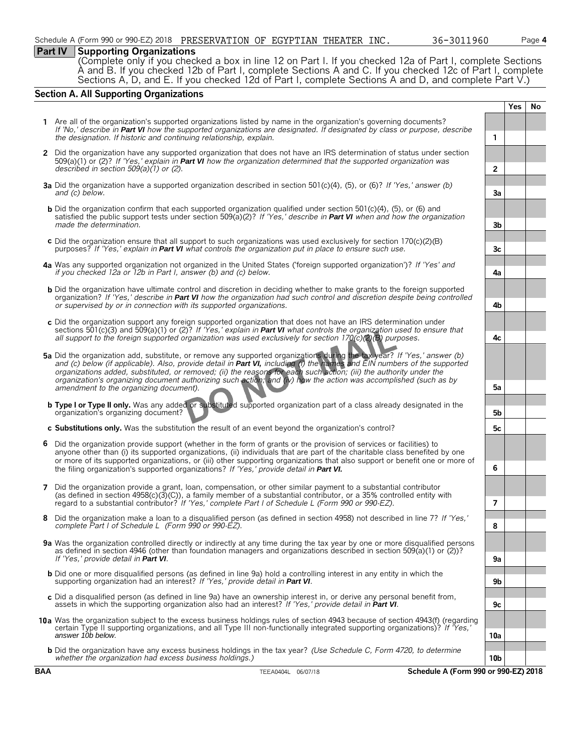#### **Part IV Supporting Organizations**

(Complete only if you checked a box in line 12 on Part I. If you checked 12a of Part I, complete Sections A and B. If you checked 12b of Part I, complete Sections A and C. If you checked 12c of Part I, complete Sections A, D, and E. If you checked 12d of Part I, complete Sections A and D, and complete Part V.)

#### **Section A. All Supporting Organizations**

|              |                                                                                                                                                                                                                                                                                                                                                                                                                                                                                                |                | Yes | No |
|--------------|------------------------------------------------------------------------------------------------------------------------------------------------------------------------------------------------------------------------------------------------------------------------------------------------------------------------------------------------------------------------------------------------------------------------------------------------------------------------------------------------|----------------|-----|----|
|              | Are all of the organization's supported organizations listed by name in the organization's governing documents?<br>If 'No,' describe in Part VI how the supported organizations are designated. If designated by class or purpose, describe<br>the designation. If historic and continuing relationship, explain.                                                                                                                                                                              | 1              |     |    |
|              | 2 Did the organization have any supported organization that does not have an IRS determination of status under section<br>$509(a)(1)$ or (2)? If 'Yes,' explain in <b>Part VI</b> how the organization determined that the supported organization was<br>described in section $509(a)(1)$ or (2).                                                                                                                                                                                              | $\overline{2}$ |     |    |
|              | <b>3a</b> Did the organization have a supported organization described in section 501(c)(4), (5), or (6)? If 'Yes,' answer (b)<br>and (c) below.                                                                                                                                                                                                                                                                                                                                               | За             |     |    |
|              | <b>b</b> Did the organization confirm that each supported organization qualified under section 501(c)(4), (5), or (6) and<br>satisfied the public support tests under section 509(a)(2)? If 'Yes,' describe in Part VI when and how the organization<br>made the determination.                                                                                                                                                                                                                | 3b             |     |    |
|              | c Did the organization ensure that all support to such organizations was used exclusively for section $170(c)(2)(B)$<br>purposes? If 'Yes,' explain in <b>Part VI</b> what controls the organization put in place to ensure such use.                                                                                                                                                                                                                                                          | Зc             |     |    |
|              | 4a Was any supported organization not organized in the United States ('foreign supported organization')? If 'Yes' and<br>if you checked 12a or 12b in Part I, answer (b) and (c) below.                                                                                                                                                                                                                                                                                                        | 4a             |     |    |
|              | <b>b</b> Did the organization have ultimate control and discretion in deciding whether to make grants to the foreign supported<br>organization? If 'Yes,' describe in Part VI how the organization had such control and discretion despite being controlled<br>or supervised by or in connection with its supported organizations.                                                                                                                                                             | 4b             |     |    |
|              | c Did the organization support any foreign supported organization that does not have an IRS determination under<br>sections 501(c)(3) and 509(a)(1) or (2)? If 'Yes,' explain in <b>Part VI</b> what controls the organization used to ensure that<br>all support to the foreign supported organization was used exclusively for section 170(c)(2)(B) purposes.                                                                                                                                | 4c             |     |    |
|              | 5a Did the organization add, substitute, or remove any supported organizations during the tax year? If 'Yes,' answer (b)<br>and (c) below (if applicable). Also, provide detail in Part VI, including (i) the hames and EIN numbers of the supported<br>organizations added, substituted, or removed; (ii) the reasons for each such action; (iii) the authority under the<br>organization's organizing document authorizing such action; and (iv) how the action was accomplished (such as by |                |     |    |
|              | amendment to the organizing document).                                                                                                                                                                                                                                                                                                                                                                                                                                                         |                |     |    |
|              | <b>b Type I or Type II only.</b> Was any added or substituted supported organization part of a class already designated in the<br>organization's organizing document?                                                                                                                                                                                                                                                                                                                          | 5b             |     |    |
|              | c Substitutions only. Was the substitution the result of an event beyond the organization's control?                                                                                                                                                                                                                                                                                                                                                                                           | 5c             |     |    |
| 6            | Did the organization provide support (whether in the form of grants or the provision of services or facilities) to<br>anyone other than (i) its supported organizations, (ii) individuals that are part of the charitable class benefited by one<br>or more of its supported organizations, or (iii) other supporting organizations that also support or benefit one or more of<br>the filing organization's supported organizations? If 'Yes,' provide detail in Part VI.                     | 6              |     |    |
| $\mathbf{7}$ | Did the organization provide a grant, loan, compensation, or other similar payment to a substantial contributor<br>(as defined in section $4958(c)(3)(C)$ ), a family member of a substantial contributor, or a 35% controlled entity with<br>regard to a substantial contributor? If 'Yes,' complete Part I of Schedule L (Form 990 or 990-EZ).                                                                                                                                               | $\overline{7}$ |     |    |
| 8            | Did the organization make a loan to a disqualified person (as defined in section 4958) not described in line 7? If 'Yes,'<br>complete Part I of Schedule L (Form 990 or 990-EZ).                                                                                                                                                                                                                                                                                                               | 8              |     |    |
|              | 9a Was the organization controlled directly or indirectly at any time during the tax year by one or more disqualified persons<br>as defined in section 4946 (other than foundation managers and organizations described in section 509(a)(1) or (2))?<br>If 'Yes,' provide detail in <b>Part VI</b> .                                                                                                                                                                                          | 9а             |     |    |
|              | <b>b</b> Did one or more disqualified persons (as defined in line 9a) hold a controlling interest in any entity in which the<br>supporting organization had an interest? If 'Yes,' provide detail in Part VI.                                                                                                                                                                                                                                                                                  | 9b             |     |    |
|              | c Did a disqualified person (as defined in line 9a) have an ownership interest in, or derive any personal benefit from,<br>assets in which the supporting organization also had an interest? If 'Yes,' provide detail in Part VI.                                                                                                                                                                                                                                                              | 9с             |     |    |
|              | 10a Was the organization subject to the excess business holdings rules of section 4943 because of section 4943(f) (regarding<br>certain Type II supporting organizations, and all Type III non-functionally integrated supporting organizations)? If 'Yes,'<br>answer 10b below.                                                                                                                                                                                                               | 10a            |     |    |
|              | <b>b</b> Did the organization have any excess business holdings in the tax year? (Use Schedule C, Form 4720, to determine<br>whether the organization had excess business holdings.)                                                                                                                                                                                                                                                                                                           | <b>10b</b>     |     |    |
| <b>BAA</b>   | Schedule A (Form 990 or 990-EZ) 2018<br>TEEA0404L 06/07/18                                                                                                                                                                                                                                                                                                                                                                                                                                     |                |     |    |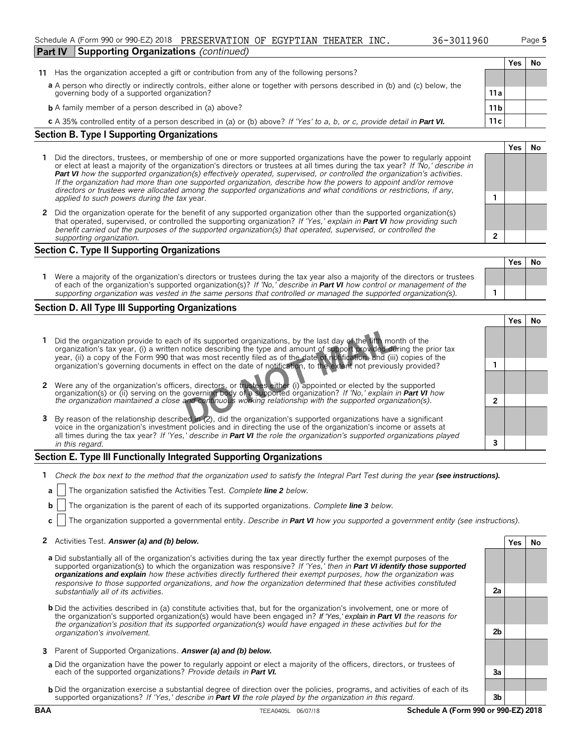#### Schedule A (Form 990 or 990-EZ) 2018 PRESERVATION OF EGYPTIAN THEATER INC. 36-3011960 Page 5 **Part IV Supporting Organizations** *(continued)*

**Yes No**

|                                                                                                                                                                          |                 | Yes | No |
|--------------------------------------------------------------------------------------------------------------------------------------------------------------------------|-----------------|-----|----|
| 11 Has the organization accepted a gift or contribution from any of the following persons?                                                                               |                 |     |    |
| a A person who directly or indirectly controls, either alone or together with persons described in (b) and (c) below, the<br>governing body of a supported organization? | 11a             |     |    |
| <b>b</b> A family member of a person described in (a) above?                                                                                                             | 11 <sub>b</sub> |     |    |

**c** A 35% controlled entity of a person described in (a) or (b) above? *If 'Yes' to a, b, or c, provide detail in* **Part VI.** 11c

#### **Section B. Type I Supporting Organizations**

- **1** Did the directors, trustees, or membership of one or more supported organizations have the power to regularly appoint or elect at least a majority of the organization's directors or trustees at all times during the tax year? *If 'No,' describe in Part VI how the supported organization(s) effectively operated, supervised, or controlled the organization's activities. If the organization had more than one supported organization, describe how the powers to appoint and/or remove directors or trustees were allocated among the supported organizations and what conditions or restrictions, if any, applied to such powers during the tax* year. **1**
- **2** Did the organization operate for the benefit of any supported organization other than the supported organization(s) that operated, supervised, or controlled the supporting organization? *If 'Yes,' explain in Part VI how providing such benefit carried out the purposes of the supported organization(s) that operated, supervised, or controlled the supporting organization.* **2**

#### **Section C. Type II Supporting Organizations**

|                                                                                                                                                                                                                                                               |  | Yes | Nο |
|---------------------------------------------------------------------------------------------------------------------------------------------------------------------------------------------------------------------------------------------------------------|--|-----|----|
| Were a majority of the organization's directors or trustees during the tax year also a majority of the directors or trustees<br>of each of the organization's supported organization(s)? If 'No,' describe in <b>Part VI</b> how control or management of the |  |     |    |
| supporting organization was vested in the same persons that controlled or managed the supported organization(s).                                                                                                                                              |  |     |    |

#### **Section D. All Type III Supporting Organizations**

|                                                                                                                                                                                                                                                                                                                                                                             | res |  |
|-----------------------------------------------------------------------------------------------------------------------------------------------------------------------------------------------------------------------------------------------------------------------------------------------------------------------------------------------------------------------------|-----|--|
| Did the organization provide to each of its supported organizations, by the last day of the lifth month of the<br>organization's tax year, (i) a written notice describing the type and amount of support provided during the prior tax<br>year, (ii) a copy of the Form 990 that was most recently filed as of the date of notification, and (iii) copies of the           |     |  |
| organization's governing documents in effect on the date of notification, to the extent not previously provided?                                                                                                                                                                                                                                                            |     |  |
| 2 Were any of the organization's officers, directors, or trustees either (i) appointed or elected by the supported                                                                                                                                                                                                                                                          |     |  |
| organization(s) or (ii) serving on the governing body of a supported organization? If 'No,' explain in <b>Part VI</b> how<br>the organization maintained a close and continuous working relationship with the supported organization(s                                                                                                                                      |     |  |
| 3 By reason of the relationship described in (2), did the organization's supported organizations have a significant<br>voice in the organization's investment policies and in directing the use of the organization's income or assets at<br>all times during the tax year? If 'Yes,' describe in <b>Part VI</b> the role the organization's supported organizations played |     |  |
| in this regard.                                                                                                                                                                                                                                                                                                                                                             |     |  |

#### **Section E. Type III Functionally Integrated Supporting Organizations**

- **1** *Check the box next to the method that the organization used to satisfy the Integral Part Test during the year (see instructions).*
- **a** The organization satisfied the Activities Test. *Complete line 2 below.*
- **b** The organization is the parent of each of its supported organizations. *Complete line* 3 *below*.
- **c** The organization supported a governmental entity. *Describe in Part VI how you supported a government entity (see instructions).*

#### **2** Activities Test. **Answer (a) and (b) below. Yes No**

- **a** Did substantially all of the organization's activities during the tax year directly further the exempt purposes of the supported organization(s) to which the organization was responsive? *If 'Yes,' then in Part VI identify those supported organizations and explain how these activities directly furthered their exempt purposes, how the organization was responsive to those supported organizations, and how the organization determined that these activities constituted substantially all of its activities.* **a2**
- **b** Did the activities described in (a) constitute activities that, but for the organization's involvement, one or more of the organization's supported organization(s) would have been engaged in? *If 'Yes,' explain in Part VI the reasons for the organization's position that its supported organization(s) would have engaged in these activities but for the organization's involvement.* **b2**
- **3** Parent of Supported Organizations. *Answer (a) and (b) below.*
- **a** Did the organization have the power to regularly appoint or elect a majority of the officers, directors, or trustees of each of the supported organizations? *Provide details in Part VI.* **a3**
- **b** Did the organization exercise a substantial degree of direction over the policies, programs, and activities of each of its supported organizations? *If 'Yes,' describe in Part VI the role played by the organization in this regard.* **3b**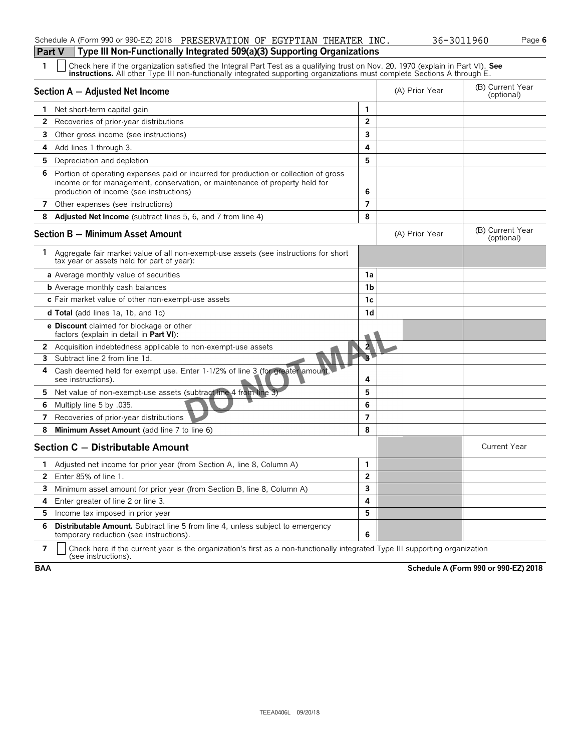#### Schedule A (Form 990 or 990-EZ) 2018 PRESERVATION OF EGYPTIAN THEATER INC. 36-3011960 Page 6 **Part V Type III Non-Functionally Integrated 509(a)(3) Supporting Organizations**

|  |  | 36-3011960 |  |
|--|--|------------|--|
|--|--|------------|--|

| 1            | Check here if the organization satisfied the Integral Part Test as a qualifying trust on Nov. 20, 1970 (explain in Part VI). See<br>instructions. All other Type III non-functionally integrated supporting organizations must complete Sections A through E. |                |                |                                |
|--------------|---------------------------------------------------------------------------------------------------------------------------------------------------------------------------------------------------------------------------------------------------------------|----------------|----------------|--------------------------------|
|              | Section A - Adjusted Net Income                                                                                                                                                                                                                               |                | (A) Prior Year | (B) Current Year<br>(optional) |
| 1            | Net short-term capital gain                                                                                                                                                                                                                                   | 1              |                |                                |
| 2            | Recoveries of prior-year distributions                                                                                                                                                                                                                        | $\overline{2}$ |                |                                |
| 3            | Other gross income (see instructions)                                                                                                                                                                                                                         | 3              |                |                                |
| 4            | Add lines 1 through 3.                                                                                                                                                                                                                                        | 4              |                |                                |
| 5            | Depreciation and depletion                                                                                                                                                                                                                                    | 5              |                |                                |
| 6            | Portion of operating expenses paid or incurred for production or collection of gross<br>income or for management, conservation, or maintenance of property held for<br>production of income (see instructions)                                                | 6              |                |                                |
|              | 7 Other expenses (see instructions)                                                                                                                                                                                                                           | $\overline{7}$ |                |                                |
| 8            | Adjusted Net Income (subtract lines 5, 6, and 7 from line 4)                                                                                                                                                                                                  | 8              |                |                                |
|              | <b>Section B - Minimum Asset Amount</b>                                                                                                                                                                                                                       |                | (A) Prior Year | (B) Current Year<br>(optional) |
| 1.           | Aggregate fair market value of all non-exempt-use assets (see instructions for short<br>tax year or assets held for part of year):                                                                                                                            |                |                |                                |
|              | a Average monthly value of securities                                                                                                                                                                                                                         | 1a             |                |                                |
|              | <b>b</b> Average monthly cash balances                                                                                                                                                                                                                        | 1 <sub>b</sub> |                |                                |
|              | c Fair market value of other non-exempt-use assets                                                                                                                                                                                                            | 1 <sub>c</sub> |                |                                |
|              | <b>d Total</b> (add lines 1a, 1b, and 1c)                                                                                                                                                                                                                     | 1 <sub>d</sub> |                |                                |
|              | e Discount claimed for blockage or other<br>factors (explain in detail in <b>Part VI</b> ):                                                                                                                                                                   |                |                |                                |
| 2            | Acquisition indebtedness applicable to non-exempt-use assets                                                                                                                                                                                                  | 2              |                |                                |
|              | 3 Subtract line 2 from line 1d.                                                                                                                                                                                                                               | B              |                |                                |
| 4            | Cash deemed held for exempt use. Enter 1-1/2% of line 3 (for greater amount,<br>see instructions).                                                                                                                                                            | 4              |                |                                |
| 5            | Net value of non-exempt-use assets (subtract line 4 from line 3)                                                                                                                                                                                              | 5              |                |                                |
| 6            | Multiply line 5 by .035.                                                                                                                                                                                                                                      | 6              |                |                                |
| 7            | Recoveries of prior-year distributions                                                                                                                                                                                                                        | $\overline{7}$ |                |                                |
| 8            | Minimum Asset Amount (add line 7 to line 6)                                                                                                                                                                                                                   | 8              |                |                                |
|              | Section C - Distributable Amount                                                                                                                                                                                                                              |                |                | <b>Current Year</b>            |
| 1.           | Adjusted net income for prior year (from Section A, line 8, Column A)                                                                                                                                                                                         | $\mathbf{1}$   |                |                                |
| $\mathbf{2}$ | Enter 85% of line 1.                                                                                                                                                                                                                                          | $\overline{2}$ |                |                                |
| 3            | Minimum asset amount for prior year (from Section B, line 8, Column A)                                                                                                                                                                                        | 3              |                |                                |
| 4            | Enter greater of line 2 or line 3.                                                                                                                                                                                                                            | 4              |                |                                |
| 5            | Income tax imposed in prior year                                                                                                                                                                                                                              | 5              |                |                                |
| 6            | <b>Distributable Amount.</b> Subtract line 5 from line 4, unless subject to emergency<br>temporary reduction (see instructions).                                                                                                                              | 6              |                |                                |

**7**  $\Box$  Check here if the current year is the organization's first as a non-functionally integrated Type III supporting organization (see instructions).

**BAA Schedule A (Form 990 or 990-EZ) 2018**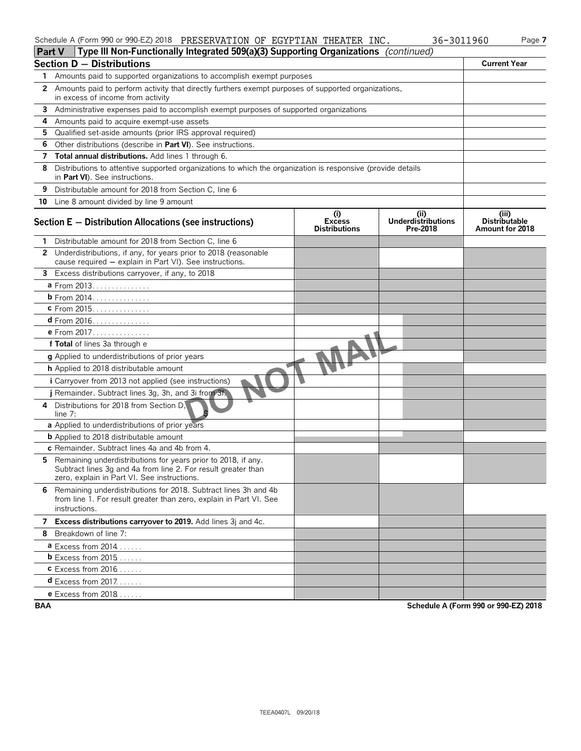#### Schedule A (Form 990 or 990-EZ) 2018 PRESERVATION OF EGYPTIAN THEATER INC. 36-3011960 Page **7**

| 6-3011960<br>Рa |
|-----------------|
|-----------------|

| Part V       | Type III Non-Functionally Integrated 509(a)(3) Supporting Organizations (continued)                                                                                           |                                              |                                               |                                                         |
|--------------|-------------------------------------------------------------------------------------------------------------------------------------------------------------------------------|----------------------------------------------|-----------------------------------------------|---------------------------------------------------------|
|              | <b>Section D - Distributions</b>                                                                                                                                              |                                              |                                               | <b>Current Year</b>                                     |
| 1.           | Amounts paid to supported organizations to accomplish exempt purposes                                                                                                         |                                              |                                               |                                                         |
|              | 2 Amounts paid to perform activity that directly furthers exempt purposes of supported organizations,<br>in excess of income from activity                                    |                                              |                                               |                                                         |
| 3            | Administrative expenses paid to accomplish exempt purposes of supported organizations                                                                                         |                                              |                                               |                                                         |
| 4            | Amounts paid to acquire exempt-use assets                                                                                                                                     |                                              |                                               |                                                         |
| 5            | Qualified set-aside amounts (prior IRS approval required)                                                                                                                     |                                              |                                               |                                                         |
| 6            | Other distributions (describe in Part VI). See instructions.                                                                                                                  |                                              |                                               |                                                         |
| 7            | Total annual distributions. Add lines 1 through 6.                                                                                                                            |                                              |                                               |                                                         |
| 8            | Distributions to attentive supported organizations to which the organization is responsive (provide details<br>in Part VI). See instructions.                                 |                                              |                                               |                                                         |
| 9            | Distributable amount for 2018 from Section C, line 6                                                                                                                          |                                              |                                               |                                                         |
| 10           | Line 8 amount divided by line 9 amount                                                                                                                                        |                                              |                                               |                                                         |
|              | Section $E -$ Distribution Allocations (see instructions)                                                                                                                     | (i)<br><b>Excess</b><br><b>Distributions</b> | (ii)<br><b>Underdistributions</b><br>Pre-2018 | (iii)<br><b>Distributable</b><br><b>Amount for 2018</b> |
| 1            | Distributable amount for 2018 from Section C, line 6                                                                                                                          |                                              |                                               |                                                         |
| $\mathbf{2}$ | Underdistributions, if any, for years prior to 2018 (reasonable<br>cause required - explain in Part VI). See instructions.                                                    |                                              |                                               |                                                         |
| 3            | Excess distributions carryover, if any, to 2018                                                                                                                               |                                              |                                               |                                                         |
|              | <b>a</b> From 2013.                                                                                                                                                           |                                              |                                               |                                                         |
|              | <b>b</b> From 2014.                                                                                                                                                           |                                              |                                               |                                                         |
|              | <b>c</b> From 2015.                                                                                                                                                           |                                              |                                               |                                                         |
|              | $d$ From 2016.                                                                                                                                                                |                                              |                                               |                                                         |
|              | <b>e</b> From 2017.                                                                                                                                                           |                                              |                                               |                                                         |
|              | f Total of lines 3a through e                                                                                                                                                 |                                              |                                               |                                                         |
|              | g Applied to underdistributions of prior years                                                                                                                                |                                              |                                               |                                                         |
|              | h Applied to 2018 distributable amount                                                                                                                                        |                                              |                                               |                                                         |
|              | <i>i</i> Carryover from 2013 not applied (see instructions)                                                                                                                   |                                              |                                               |                                                         |
|              | j Remainder. Subtract lines 3g, 3h, and 3i from 3f.                                                                                                                           |                                              |                                               |                                                         |
| 4            | Distributions for 2018 from Section D,<br>$line 7$ :                                                                                                                          |                                              |                                               |                                                         |
|              | a Applied to underdistributions of prior years                                                                                                                                |                                              |                                               |                                                         |
|              | <b>b</b> Applied to 2018 distributable amount                                                                                                                                 |                                              |                                               |                                                         |
|              | c Remainder, Subtract lines 4a and 4b from 4.                                                                                                                                 |                                              |                                               |                                                         |
| 5.           | Remaining underdistributions for years prior to 2018, if any.<br>Subtract lines 3g and 4a from line 2. For result greater than<br>zero, explain in Part VI. See instructions. |                                              |                                               |                                                         |
| 6            | Remaining underdistributions for 2018. Subtract lines 3h and 4b<br>from line 1. For result greater than zero, explain in Part VI. See<br>instructions.                        |                                              |                                               |                                                         |
|              | 7 Excess distributions carryover to 2019. Add lines 3j and 4c.                                                                                                                |                                              |                                               |                                                         |
| 8            | Breakdown of line 7:                                                                                                                                                          |                                              |                                               |                                                         |
|              | <b>a</b> Excess from 2014                                                                                                                                                     |                                              |                                               |                                                         |
|              | $b$ Excess from 2015                                                                                                                                                          |                                              |                                               |                                                         |
|              | $c$ Excess from 2016                                                                                                                                                          |                                              |                                               |                                                         |
|              | <b>d</b> Excess from 2017                                                                                                                                                     |                                              |                                               |                                                         |
|              | <b>e</b> Excess from $2018$                                                                                                                                                   |                                              |                                               |                                                         |

**BAA Schedule A (Form 990 or 990-EZ) 2018**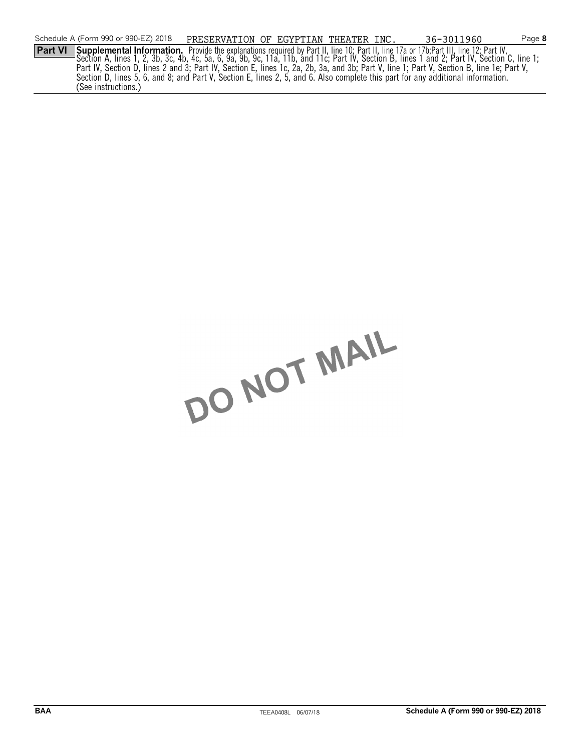|                | Schedule A (Form 990 or 990-EZ) 2018                                                                                                                                                                                                                                                                                                                                                                                                                                                                                                                                                        | PRESERVATION OF EGYPTIAN THEATER INC. |  | 36-3011960 | Page 8 |
|----------------|---------------------------------------------------------------------------------------------------------------------------------------------------------------------------------------------------------------------------------------------------------------------------------------------------------------------------------------------------------------------------------------------------------------------------------------------------------------------------------------------------------------------------------------------------------------------------------------------|---------------------------------------|--|------------|--------|
| <b>Part VI</b> | Supplemental Information. Provide the explanations required by Part II, line 10; Part II, line 17a or 17b; Part III, line 12; Part IV,<br>Section A, lines 1, 2, 3b, 3c, 4b, 4c, 5a, 6, 9a, 9b, 9c, 11a, 11b, and 11c; Part IV, Section B, lines 1 and 2; Part IV, Section C, line 1;<br>Part IV, Section D, lines 2 and 3; Part IV, Section E, lines 1c, 2a, 2b, 3a, and 3b; Part V, line 1; Part V, Section B, line 1e; Part V,<br>Section D, lines 5, 6, and 8; and Part V, Section E, lines 2, 5, and 6. Also complete this part for any additional information.<br>(See instructions.) |                                       |  |            |        |

DO NOT MAIL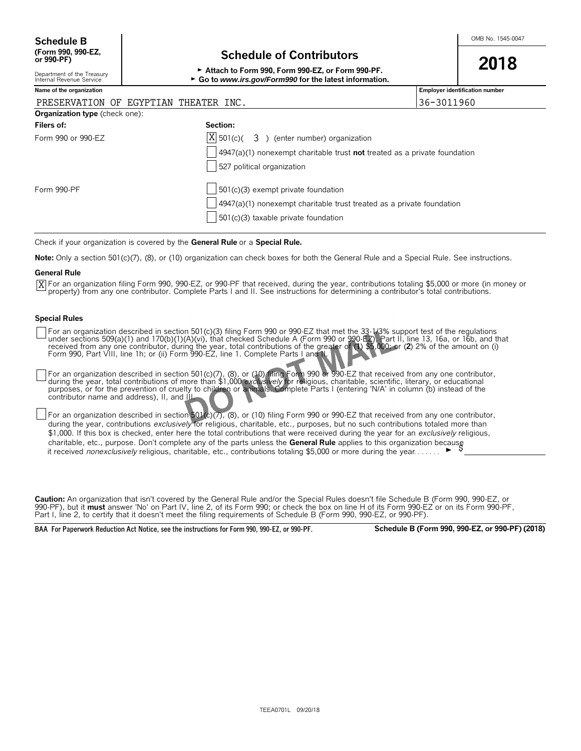<sup>G</sup> **Attach to Form 990, Form 990-EZ, or Form 990-PF. 2018** ▶ Go to *www.irs.gov/Form990* for the latest information.

Department of the Treasury<br>Internal Revenue Service

| Name of the organization              |                                                                                          | Employer identification number |
|---------------------------------------|------------------------------------------------------------------------------------------|--------------------------------|
| PRESERVATION OF EGYPTIAN THEATER INC. |                                                                                          | 36-3011960                     |
| <b>Organization type</b> (check one): |                                                                                          |                                |
| Filers of:                            | Section:                                                                                 |                                |
| Form 990 or 990-EZ                    | $ X $ 501(c)( 3) (enter number) organization                                             |                                |
|                                       | $\vert$ 4947(a)(1) nonexempt charitable trust <b>not</b> treated as a private foundation |                                |
|                                       | 527 political organization                                                               |                                |
| Form 990-PF                           | $501(c)(3)$ exempt private foundation                                                    |                                |
|                                       | $4947(a)(1)$ nonexempt charitable trust treated as a private foundation                  |                                |
|                                       | 501(c)(3) taxable private foundation                                                     |                                |
|                                       |                                                                                          |                                |

Check if your organization is covered by the **General Rule** or a **Special Rule.**

**Note:** Only a section 501(c)(7), (8), or (10) organization can check boxes for both the General Rule and a Special Rule. See instructions.

#### **General Rule**

X] For an organization filing Form 990, 990-EZ, or 990-PF that received, during the year, contributions totaling \$5,000 or more (in money or<br>— property) from any one contributor. Complete Parts I and II. See instructions

#### **Special Rules**

For an organization described in section 501(c)(3) filing Form 990 or 990-EZ that met the 33-1/3% support test of the regulations under sections 509(a)(1) and 170(b)(1)(A)(vi), that checked Schedule A (Form 990 or 990-EZ), Part II, line 13, 16a, or 16b, and that<br>received from any one contributor, during the year, total contributions of the greater of

For an organization described in section 501(c)(7), (8), or (10) filing Form 990 or 990-EZ that received from any one contributor,<br>during the year, total contributions of more than \$1,000 exc*lusively* for religious, chari contributor name and address), II, and III.

For an organization described in section 501(c)(7), (8), or (10) filing Form 990 or 990-EZ that received from any one contributor, during the year, contributions *exclusively* for religious, charitable, etc., purposes, but no such contributions totaled more than \$1,000. If this box is checked, enter here the total contributions that were received during the year for an *exclusively* religious, charitable, etc., purpose. Don't complete any of the parts unless the **General Rule** applies to this organization because it received *nonexclusively* religious, charitable, etc., contributions totaling \$5,000 or more during the year. . . . . . .  $\blacktriangleright$ 

**Caution:** An organization that isn't covered by the General Rule and/or the Special Rules doesn't file Schedule B (Form 990, 990-EZ, or 990-PF), but it **must** answer 'No' on Part IV, line 2, of its Form 990; or check the box on line H of its Form 990-EZ or on its Form 990-PF,<br>Part I, line 2, to certify that it doesn't meet the filing requirements of Schedu

**BAA For Paperwork Reduction Act Notice, see the instructions for Form 990, 990-EZ, or 990-PF. Schedule B (Form 990, 990-EZ, or 990-PF) (2018)**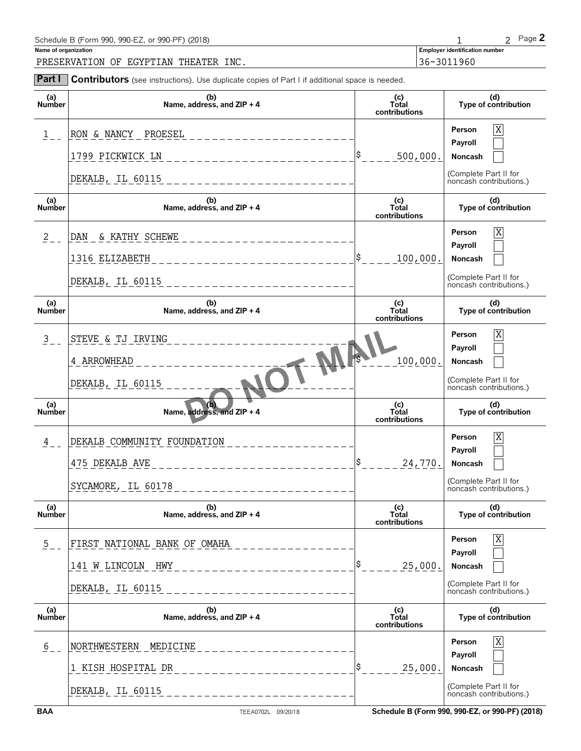| Schedule B (Form 990,<br>990-EZ<br>or 990-PF $^{\circ}$ .<br>(2018) |                                |  |
|---------------------------------------------------------------------|--------------------------------|--|
| Name of organization                                                | Employer identification number |  |

PRESERVATION OF EGYPTIAN THEATER INC. 2008 2011960

| Part I               | Contributors (see instructions). Use duplicate copies of Part I if additional space is needed. |     |                               |                                                  |
|----------------------|------------------------------------------------------------------------------------------------|-----|-------------------------------|--------------------------------------------------|
| (a)<br>Number        | (b)<br>Name, address, and ZIP + 4                                                              |     | (c)<br>Total<br>contributions | (d)<br>Type of contribution                      |
| 1                    | RON & NANCY PROESEL<br>_ _ _ _ _ _ _ _ _ _ _ _ _ _ _ _ _                                       |     |                               | X<br>Person<br>Payroll                           |
|                      | 1799 PICKWICK LN                                                                               |     | 500,000.                      | Noncash                                          |
|                      | DEKALB, IL 60115<br>________________________                                                   |     |                               | (Complete Part II for<br>noncash contributions.) |
| (a)<br>Number        | (b)<br>Name, address, and ZIP + 4                                                              |     | (c)<br>Total<br>contributions | (d)<br>Type of contribution                      |
| $2^{\circ}$          | & KATHY SCHEWE<br>DAN<br>______________________                                                |     |                               | X<br>Person<br>Payroll                           |
|                      | 1316 ELIZABETH                                                                                 | ¦\$ | 100,000.                      | Noncash                                          |
|                      | DEKALB, IL 60115<br>______________________                                                     |     |                               | (Complete Part II for<br>noncash contributions.) |
| (a)<br><b>Number</b> | (b)<br>Name, address, and ZIP + 4                                                              |     | (c)<br>Total<br>contributions | (d)<br>Type of contribution                      |
| 3 <sup>7</sup>       | STEVE & TJ IRVING<br>_ _ _ _ _ _ _ _ _ _ _ _ _                                                 |     |                               | X<br>Person                                      |
|                      | 4 ARROWHEAD                                                                                    |     | 100,000.                      | Payroll<br>Noncash                               |
|                      | JOT MAI<br>DEKALB, IL 60115                                                                    |     |                               | (Complete Part II for<br>noncash contributions.) |
| (a)<br><b>Number</b> | Name, address, and ZIP + 4                                                                     |     | (c)<br>Total<br>contributions | (d)<br>Type of contribution                      |
| 4                    | DEKALB COMMUNITY FOUNDATION                                                                    |     |                               | X<br>Person<br>Payroll                           |
|                      | 475 DEKALB AVE                                                                                 | \$  | 24,770.                       | Noncash                                          |
|                      | SYCAMORE, IL 60178                                                                             |     |                               | (Complete Part II for<br>noncash contributions.) |
| (a)<br><b>Number</b> | (b)<br>Name, address, and ZIP + 4                                                              |     | (c)<br>Total<br>contributions | (d)<br>Type of contribution                      |
| $\overline{5}$ .     | FIRST NATIONAL BANK OF OMAHA                                                                   |     |                               | Χ<br>Person<br>Payroll                           |
|                      | 141 W LINCOLN HWY                                                                              | l\$ | 25,000.                       | Noncash                                          |
|                      | DEKALB, IL 60115                                                                               |     |                               | (Complete Part II for<br>noncash contributions.) |
| (a)<br>Number        | (b)<br>Name, address, and ZIP + 4                                                              |     | (c)<br>Total<br>contributions | (d)<br>Type of contribution                      |
| 6                    | NORTHWESTERN MEDICINE                                                                          |     |                               | Χ<br>Person                                      |
|                      | 1 KISH HOSPITAL DR                                                                             | l\$ | 25,000.                       | Payroll<br>Noncash                               |
|                      | DEKALB, IL 60115                                                                               |     |                               | (Complete Part II for<br>noncash contributions.) |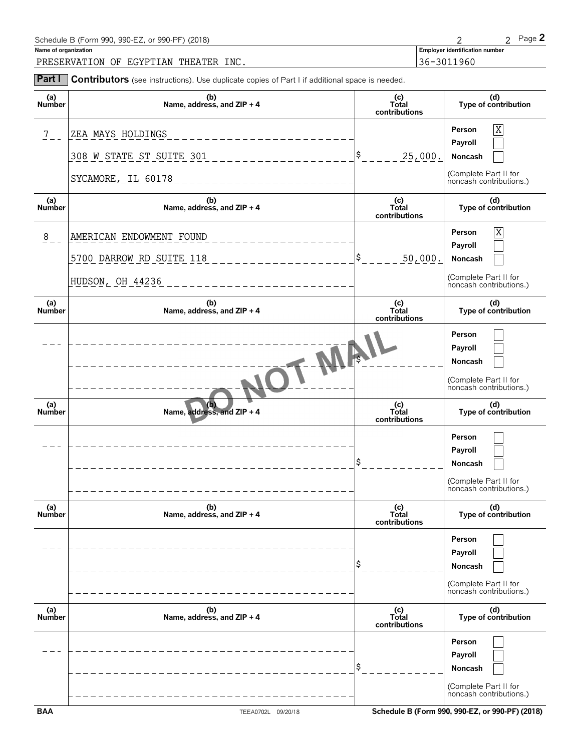| Schedule B (Form 990, 990-EZ, or 990-PF) (2018) |                                       | Page $\blacktriangle$ |
|-------------------------------------------------|---------------------------------------|-----------------------|
| Name of organization                            | <b>Employer identification number</b> |                       |
| PRESERVATION OF EGYPTIAN THEATER INC.           | 36-3011960                            |                       |

| <b>Part I</b>        | Contributors (see instructions). Use duplicate copies of Part I if additional space is needed. |                               |                                                                                  |
|----------------------|------------------------------------------------------------------------------------------------|-------------------------------|----------------------------------------------------------------------------------|
| (a)<br>Number        | (b)<br>Name, address, and ZIP + 4                                                              | (c)<br>Total<br>contributions | (d)<br>Type of contribution                                                      |
| 7                    | ZEA MAYS HOLDINGS                                                                              |                               | $\overline{X}$<br>Person<br>Payroll                                              |
|                      | 308 W STATE ST SUITE 301                                                                       | ¦\$<br>25,000.                | Noncash                                                                          |
|                      | SYCAMORE, IL 60178                                                                             |                               | (Complete Part II for<br>noncash contributions.)                                 |
| (a)<br>Number        | (b)<br>Name, address, and ZIP + 4                                                              | (c)<br>Total<br>contributions | (d)<br>Type of contribution                                                      |
| $\frac{8}{ }$        | AMERICAN ENDOWMENT FOUND                                                                       |                               | Χ<br>Person                                                                      |
|                      | 5700 DARROW RD SUITE 118                                                                       | S.<br>50,000.                 | Payroll<br>Noncash                                                               |
|                      | HUDSON, OH 44236                                                                               |                               | (Complete Part II for<br>noncash contributions.)                                 |
| (a)<br>Number        | (b)<br>Name, address, and ZIP + 4                                                              | (c)<br>Total<br>contributions | (d)<br>Type of contribution                                                      |
|                      | JOT MAIL                                                                                       |                               | Person<br>Payroll<br>Noncash<br>(Complete Part II for<br>noncash contributions.) |
| (a)<br><b>Number</b> | Name, address, and ZIP + 4                                                                     | (c)<br>Total<br>contributions | (d)<br>Type of contribution                                                      |
|                      |                                                                                                |                               | Person<br>Payroll<br>Noncash<br>(Complete Part II for<br>noncash contributions.) |
| (a)<br><b>Number</b> | (b)<br>Name, address, and ZIP + 4                                                              | (c)<br>Total<br>contributions | (d)<br>Type of contribution                                                      |
|                      |                                                                                                |                               | Person<br>Payroll<br>Noncash<br>(Complete Part II for<br>noncash contributions.) |
| (a)<br>Number        | (b)<br>Name, address, and ZIP + 4                                                              | (c)<br>Total<br>contributions | (d)<br>Type of contribution                                                      |
|                      |                                                                                                | S                             | Person<br>Payroll<br>Noncash<br>(Complete Part II for<br>noncash contributions.) |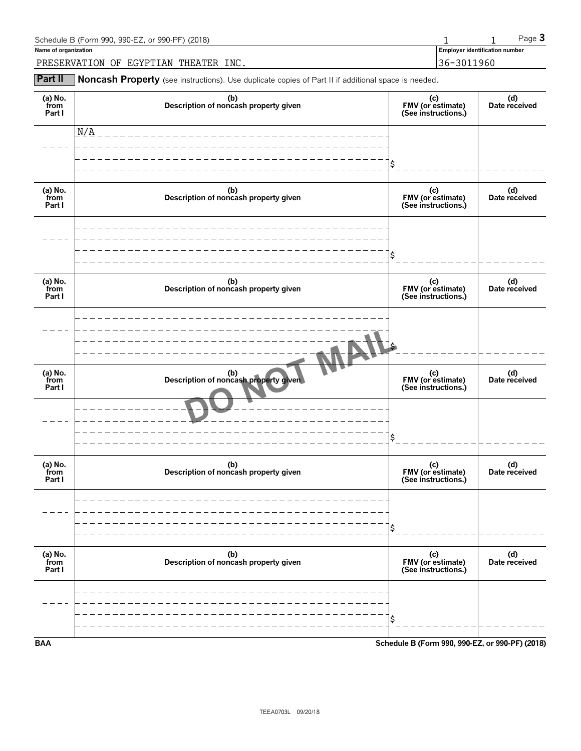| Schedule B (Form 990, 990-EZ, or 990-PF) (2018) |                                       | Page 3 |
|-------------------------------------------------|---------------------------------------|--------|
| Name of organization                            | <b>Employer identification number</b> |        |
| PRESERVATION OF EGYPTIAN THEATER INC.           | 36-3011960                            |        |

**Part II** Noncash Property (see instructions). Use duplicate copies of Part II if additional space is needed.

| (a) No.<br>from<br>Part I | (b)<br>Description of noncash property given | (c)<br>FMV (or estimate)<br>(See instructions.) | (d)<br>Date received |
|---------------------------|----------------------------------------------|-------------------------------------------------|----------------------|
|                           | N/A                                          |                                                 |                      |
|                           |                                              |                                                 |                      |
|                           |                                              |                                                 |                      |
| (a) No.<br>from<br>Part I | (b)<br>Description of noncash property given | (c)<br>FMV (or estimate)<br>(See instructions.) | (d)<br>Date received |
|                           |                                              |                                                 |                      |
|                           |                                              | \$                                              |                      |
| (a) No.<br>from<br>Part I | (b)<br>Description of noncash property given | (c)<br>FMV (or estimate)<br>(See instructions.) | (d)<br>Date received |
|                           |                                              |                                                 |                      |
|                           |                                              |                                                 |                      |
| (a) No.<br>from<br>Part I | (b)<br>Description of noncash property given | (c)<br>FMV (or estimate)<br>(See instructions.) | (d)<br>Date received |
|                           |                                              |                                                 |                      |
|                           |                                              | \$                                              |                      |
| (a) No.<br>from<br>Part I | (b)<br>Description of noncash property given | (c)<br>FMV (or estimate)<br>(See instructions.) | (d)<br>Date received |
|                           |                                              |                                                 |                      |
|                           |                                              | \$                                              |                      |
| (a) No.<br>from<br>Part I | (b)<br>Description of noncash property given | (c)<br>FMV (or estimate)<br>(See instructions.) | (d)<br>Date received |
|                           |                                              |                                                 |                      |
|                           |                                              | \$                                              |                      |
| <b>BAA</b>                |                                              | Schedule B (Form 990, 990-EZ, or 990-PF) (2018) |                      |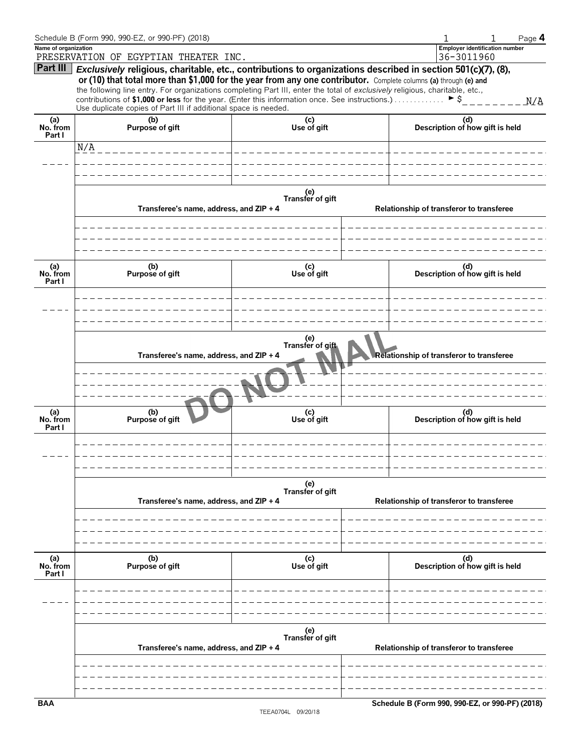|                           | Schedule B (Form 990, 990-EZ, or 990-PF) (2018)                                                                                                                                                                                                                                                                     |                         |                                                                                                              | Page 4 |
|---------------------------|---------------------------------------------------------------------------------------------------------------------------------------------------------------------------------------------------------------------------------------------------------------------------------------------------------------------|-------------------------|--------------------------------------------------------------------------------------------------------------|--------|
| Name of organization      | PRESERVATION OF EGYPTIAN THEATER INC.                                                                                                                                                                                                                                                                               |                         | <b>Employer identification number</b><br>36-3011960                                                          |        |
| Part III                  | or (10) that total more than \$1,000 for the year from any one contributor. Complete columns (a) through (e) and<br>the following line entry. For organizations completing Part III, enter the total of exclusively religious, charitable, etc.,<br>Use duplicate copies of Part III if additional space is needed. |                         | Exclusively religious, charitable, etc., contributions to organizations described in section 501(c)(7), (8), | N/A    |
| (a)<br>No. from<br>Part I | (b)<br>Purpose of gift                                                                                                                                                                                                                                                                                              | (c)<br>Use of gift      | (d)<br>Description of how gift is held                                                                       |        |
|                           | N/A                                                                                                                                                                                                                                                                                                                 |                         |                                                                                                              |        |
|                           |                                                                                                                                                                                                                                                                                                                     |                         |                                                                                                              |        |
|                           | Transferee's name, address, and ZIP + 4                                                                                                                                                                                                                                                                             | (e)<br>Transfer of gift | Relationship of transferor to transferee                                                                     |        |
|                           |                                                                                                                                                                                                                                                                                                                     |                         |                                                                                                              |        |
| (a)<br>No. from<br>Part I | (b)<br>Purpose of gift                                                                                                                                                                                                                                                                                              | (c)<br>Use of gift      | (d)<br>Description of how gift is held                                                                       |        |
|                           | Transferee's name, address, and ZIP + 4                                                                                                                                                                                                                                                                             | (e)<br>Transfer of gift | Relationship of transferor to transferee                                                                     |        |
| (a)<br>No. from<br>Part I | (b)<br>Purpose of gift                                                                                                                                                                                                                                                                                              | (c)<br>Use of gift      | (d)<br>Description of how gift is held                                                                       |        |
|                           | Transferee's name, address, and ZIP + 4                                                                                                                                                                                                                                                                             | (e)<br>Transfer of gift | Relationship of transferor to transferee                                                                     |        |
| (a)<br>No. from<br>Part I | (b)<br>Purpose of gift                                                                                                                                                                                                                                                                                              | (c)<br>Use of gift      | (d)<br>Description of how gift is held                                                                       |        |
|                           | Transferee's name, address, and ZIP + 4                                                                                                                                                                                                                                                                             | (e)<br>Transfer of gift | Relationship of transferor to transferee                                                                     |        |
| <b>BAA</b>                |                                                                                                                                                                                                                                                                                                                     |                         | Schedule B (Form 990, 990-EZ, or 990-PF) (2018)                                                              |        |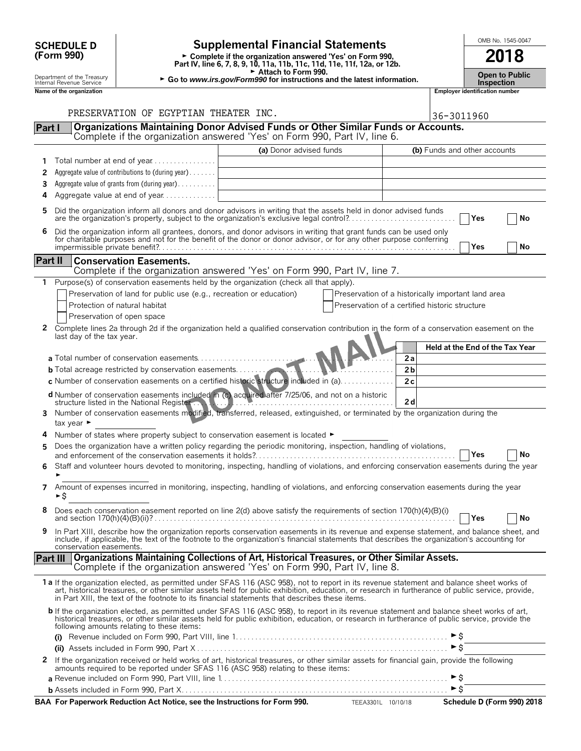| 2018<br>(Form 990)<br>► Complete if the organization answered 'Yes' on Form 990,<br>Part IV, line 6, 7, 8, 9, 10, 11a, 11b, 11c, 11d, 11e, 11f, 12a, or 12b.<br>Attach to Form 990.<br><b>Open to Public</b><br>Department of the Treasury<br>► Go to www.irs.gov/Form990 for instructions and the latest information.<br><b>Inspection</b><br>Internal Revenue Service<br>Employer identification number<br>Name of the organization<br>PRESERVATION OF EGYPTIAN THEATER INC.<br>36-3011960<br>Organizations Maintaining Donor Advised Funds or Other Similar Funds or Accounts.<br>Complete if the organization answered 'Yes' on Form 990, Part IV, line 6.<br><b>Part I</b><br>(a) Donor advised funds<br>(b) Funds and other accounts<br>Total number at end of year<br>1<br>Aggregate value of contributions to (during year)<br>2<br>3<br>Aggregate value of grants from (during year)<br>Aggregate value at end of year<br>4<br>5<br>Did the organization inform all donors and donor advisors in writing that the assets held in donor advised funds<br>Yes<br>are the organization's property, subject to the organization's exclusive legal control?<br>No<br>6<br>Did the organization inform all grantees, donors, and donor advisors in writing that grant funds can be used only<br>for charitable purposes and not for the benefit of the donor or donor advisor, or for any other purpose conf<br>Yes<br>No<br><b>Conservation Easements.</b><br><b>Part II</b><br>Complete if the organization answered 'Yes' on Form 990, Part IV, line 7.<br>Purpose(s) of conservation easements held by the organization (check all that apply).<br>1<br>Preservation of land for public use (e.g., recreation or education)<br>Preservation of a historically important land area<br>Preservation of a certified historic structure<br>Protection of natural habitat<br>Preservation of open space<br>$\mathbf{2}$<br>Complete lines 2a through 2d if the organization held a qualified conservation contribution in the form of a conservation easement on the<br>last day of the tax year.<br>Held at the End of the Tax Year<br>2a<br>2 <sub>b</sub><br>c Number of conservation easements on a certified historic structure included in (a)<br>2c<br>d Number of conservation easements included in (c) acquired after 7/25/06, and not on a historic<br>2d<br>structure listed in the National Register.<br>Number of conservation easements modified, transferred, released, extinguished, or terminated by the organization during the<br>3<br>tax year ►<br>Number of states where property subject to conservation easement is located ►<br>Does the organization have a written policy regarding the periodic monitoring, inspection, handling of violations,<br>5<br>Yes<br>No<br>Staff and volunteer hours devoted to monitoring, inspecting, handling of violations, and enforcing conservation easements during the year<br>6<br>Amount of expenses incurred in monitoring, inspecting, handling of violations, and enforcing conservation easements during the year<br>$\overline{7}$<br>►\$<br>Does each conservation easement reported on line 2(d) above satisfy the requirements of section 170(h)(4)(B)(i)<br>8<br>Yes<br>No<br>In Part XIII, describe how the organization reports conservation easements in its revenue and expense statement, and balance sheet, and<br>9<br>include, if applicable, the text of the footnote to the organization's financial statements that describes the organization's accounting for<br>conservation easements.<br>Organizations Maintaining Collections of Art, Historical Treasures, or Other Similar Assets.<br>Part III<br>Complete if the organization answered 'Yes' on Form 990, Part IV, line 8. |  | <b>SCHEDULE D</b> |  | <b>Supplemental Financial Statements</b> |  |  |  | OMB No. 1545-0047 |  |
|-----------------------------------------------------------------------------------------------------------------------------------------------------------------------------------------------------------------------------------------------------------------------------------------------------------------------------------------------------------------------------------------------------------------------------------------------------------------------------------------------------------------------------------------------------------------------------------------------------------------------------------------------------------------------------------------------------------------------------------------------------------------------------------------------------------------------------------------------------------------------------------------------------------------------------------------------------------------------------------------------------------------------------------------------------------------------------------------------------------------------------------------------------------------------------------------------------------------------------------------------------------------------------------------------------------------------------------------------------------------------------------------------------------------------------------------------------------------------------------------------------------------------------------------------------------------------------------------------------------------------------------------------------------------------------------------------------------------------------------------------------------------------------------------------------------------------------------------------------------------------------------------------------------------------------------------------------------------------------------------------------------------------------------------------------------------------------------------------------------------------------------------------------------------------------------------------------------------------------------------------------------------------------------------------------------------------------------------------------------------------------------------------------------------------------------------------------------------------------------------------------------------------------------------------------------------------------------------------------------------------------------------------------------------------------------------------------------------------------------------------------------------------------------------------------------------------------------------------------------------------------------------------------------------------------------------------------------------------------------------------------------------------------------------------------------------------------------------------------------------------------------------------------------------------------------------------------------------------------------------------------------------------------------------------------------------------------------------------------------------------------------------------------------------------------------------------------------------------------------------------------------------------------------------------------------------------------------------------------------------------------------------------------------------------------------------------------------------------------------------------------------------------------|--|-------------------|--|------------------------------------------|--|--|--|-------------------|--|
|                                                                                                                                                                                                                                                                                                                                                                                                                                                                                                                                                                                                                                                                                                                                                                                                                                                                                                                                                                                                                                                                                                                                                                                                                                                                                                                                                                                                                                                                                                                                                                                                                                                                                                                                                                                                                                                                                                                                                                                                                                                                                                                                                                                                                                                                                                                                                                                                                                                                                                                                                                                                                                                                                                                                                                                                                                                                                                                                                                                                                                                                                                                                                                                                                                                                                                                                                                                                                                                                                                                                                                                                                                                                                                                                                                             |  |                   |  |                                          |  |  |  |                   |  |
|                                                                                                                                                                                                                                                                                                                                                                                                                                                                                                                                                                                                                                                                                                                                                                                                                                                                                                                                                                                                                                                                                                                                                                                                                                                                                                                                                                                                                                                                                                                                                                                                                                                                                                                                                                                                                                                                                                                                                                                                                                                                                                                                                                                                                                                                                                                                                                                                                                                                                                                                                                                                                                                                                                                                                                                                                                                                                                                                                                                                                                                                                                                                                                                                                                                                                                                                                                                                                                                                                                                                                                                                                                                                                                                                                                             |  |                   |  |                                          |  |  |  |                   |  |
|                                                                                                                                                                                                                                                                                                                                                                                                                                                                                                                                                                                                                                                                                                                                                                                                                                                                                                                                                                                                                                                                                                                                                                                                                                                                                                                                                                                                                                                                                                                                                                                                                                                                                                                                                                                                                                                                                                                                                                                                                                                                                                                                                                                                                                                                                                                                                                                                                                                                                                                                                                                                                                                                                                                                                                                                                                                                                                                                                                                                                                                                                                                                                                                                                                                                                                                                                                                                                                                                                                                                                                                                                                                                                                                                                                             |  |                   |  |                                          |  |  |  |                   |  |
|                                                                                                                                                                                                                                                                                                                                                                                                                                                                                                                                                                                                                                                                                                                                                                                                                                                                                                                                                                                                                                                                                                                                                                                                                                                                                                                                                                                                                                                                                                                                                                                                                                                                                                                                                                                                                                                                                                                                                                                                                                                                                                                                                                                                                                                                                                                                                                                                                                                                                                                                                                                                                                                                                                                                                                                                                                                                                                                                                                                                                                                                                                                                                                                                                                                                                                                                                                                                                                                                                                                                                                                                                                                                                                                                                                             |  |                   |  |                                          |  |  |  |                   |  |
|                                                                                                                                                                                                                                                                                                                                                                                                                                                                                                                                                                                                                                                                                                                                                                                                                                                                                                                                                                                                                                                                                                                                                                                                                                                                                                                                                                                                                                                                                                                                                                                                                                                                                                                                                                                                                                                                                                                                                                                                                                                                                                                                                                                                                                                                                                                                                                                                                                                                                                                                                                                                                                                                                                                                                                                                                                                                                                                                                                                                                                                                                                                                                                                                                                                                                                                                                                                                                                                                                                                                                                                                                                                                                                                                                                             |  |                   |  |                                          |  |  |  |                   |  |
|                                                                                                                                                                                                                                                                                                                                                                                                                                                                                                                                                                                                                                                                                                                                                                                                                                                                                                                                                                                                                                                                                                                                                                                                                                                                                                                                                                                                                                                                                                                                                                                                                                                                                                                                                                                                                                                                                                                                                                                                                                                                                                                                                                                                                                                                                                                                                                                                                                                                                                                                                                                                                                                                                                                                                                                                                                                                                                                                                                                                                                                                                                                                                                                                                                                                                                                                                                                                                                                                                                                                                                                                                                                                                                                                                                             |  |                   |  |                                          |  |  |  |                   |  |
|                                                                                                                                                                                                                                                                                                                                                                                                                                                                                                                                                                                                                                                                                                                                                                                                                                                                                                                                                                                                                                                                                                                                                                                                                                                                                                                                                                                                                                                                                                                                                                                                                                                                                                                                                                                                                                                                                                                                                                                                                                                                                                                                                                                                                                                                                                                                                                                                                                                                                                                                                                                                                                                                                                                                                                                                                                                                                                                                                                                                                                                                                                                                                                                                                                                                                                                                                                                                                                                                                                                                                                                                                                                                                                                                                                             |  |                   |  |                                          |  |  |  |                   |  |
|                                                                                                                                                                                                                                                                                                                                                                                                                                                                                                                                                                                                                                                                                                                                                                                                                                                                                                                                                                                                                                                                                                                                                                                                                                                                                                                                                                                                                                                                                                                                                                                                                                                                                                                                                                                                                                                                                                                                                                                                                                                                                                                                                                                                                                                                                                                                                                                                                                                                                                                                                                                                                                                                                                                                                                                                                                                                                                                                                                                                                                                                                                                                                                                                                                                                                                                                                                                                                                                                                                                                                                                                                                                                                                                                                                             |  |                   |  |                                          |  |  |  |                   |  |
|                                                                                                                                                                                                                                                                                                                                                                                                                                                                                                                                                                                                                                                                                                                                                                                                                                                                                                                                                                                                                                                                                                                                                                                                                                                                                                                                                                                                                                                                                                                                                                                                                                                                                                                                                                                                                                                                                                                                                                                                                                                                                                                                                                                                                                                                                                                                                                                                                                                                                                                                                                                                                                                                                                                                                                                                                                                                                                                                                                                                                                                                                                                                                                                                                                                                                                                                                                                                                                                                                                                                                                                                                                                                                                                                                                             |  |                   |  |                                          |  |  |  |                   |  |
|                                                                                                                                                                                                                                                                                                                                                                                                                                                                                                                                                                                                                                                                                                                                                                                                                                                                                                                                                                                                                                                                                                                                                                                                                                                                                                                                                                                                                                                                                                                                                                                                                                                                                                                                                                                                                                                                                                                                                                                                                                                                                                                                                                                                                                                                                                                                                                                                                                                                                                                                                                                                                                                                                                                                                                                                                                                                                                                                                                                                                                                                                                                                                                                                                                                                                                                                                                                                                                                                                                                                                                                                                                                                                                                                                                             |  |                   |  |                                          |  |  |  |                   |  |
|                                                                                                                                                                                                                                                                                                                                                                                                                                                                                                                                                                                                                                                                                                                                                                                                                                                                                                                                                                                                                                                                                                                                                                                                                                                                                                                                                                                                                                                                                                                                                                                                                                                                                                                                                                                                                                                                                                                                                                                                                                                                                                                                                                                                                                                                                                                                                                                                                                                                                                                                                                                                                                                                                                                                                                                                                                                                                                                                                                                                                                                                                                                                                                                                                                                                                                                                                                                                                                                                                                                                                                                                                                                                                                                                                                             |  |                   |  |                                          |  |  |  |                   |  |
|                                                                                                                                                                                                                                                                                                                                                                                                                                                                                                                                                                                                                                                                                                                                                                                                                                                                                                                                                                                                                                                                                                                                                                                                                                                                                                                                                                                                                                                                                                                                                                                                                                                                                                                                                                                                                                                                                                                                                                                                                                                                                                                                                                                                                                                                                                                                                                                                                                                                                                                                                                                                                                                                                                                                                                                                                                                                                                                                                                                                                                                                                                                                                                                                                                                                                                                                                                                                                                                                                                                                                                                                                                                                                                                                                                             |  |                   |  |                                          |  |  |  |                   |  |
|                                                                                                                                                                                                                                                                                                                                                                                                                                                                                                                                                                                                                                                                                                                                                                                                                                                                                                                                                                                                                                                                                                                                                                                                                                                                                                                                                                                                                                                                                                                                                                                                                                                                                                                                                                                                                                                                                                                                                                                                                                                                                                                                                                                                                                                                                                                                                                                                                                                                                                                                                                                                                                                                                                                                                                                                                                                                                                                                                                                                                                                                                                                                                                                                                                                                                                                                                                                                                                                                                                                                                                                                                                                                                                                                                                             |  |                   |  |                                          |  |  |  |                   |  |
|                                                                                                                                                                                                                                                                                                                                                                                                                                                                                                                                                                                                                                                                                                                                                                                                                                                                                                                                                                                                                                                                                                                                                                                                                                                                                                                                                                                                                                                                                                                                                                                                                                                                                                                                                                                                                                                                                                                                                                                                                                                                                                                                                                                                                                                                                                                                                                                                                                                                                                                                                                                                                                                                                                                                                                                                                                                                                                                                                                                                                                                                                                                                                                                                                                                                                                                                                                                                                                                                                                                                                                                                                                                                                                                                                                             |  |                   |  |                                          |  |  |  |                   |  |
|                                                                                                                                                                                                                                                                                                                                                                                                                                                                                                                                                                                                                                                                                                                                                                                                                                                                                                                                                                                                                                                                                                                                                                                                                                                                                                                                                                                                                                                                                                                                                                                                                                                                                                                                                                                                                                                                                                                                                                                                                                                                                                                                                                                                                                                                                                                                                                                                                                                                                                                                                                                                                                                                                                                                                                                                                                                                                                                                                                                                                                                                                                                                                                                                                                                                                                                                                                                                                                                                                                                                                                                                                                                                                                                                                                             |  |                   |  |                                          |  |  |  |                   |  |
|                                                                                                                                                                                                                                                                                                                                                                                                                                                                                                                                                                                                                                                                                                                                                                                                                                                                                                                                                                                                                                                                                                                                                                                                                                                                                                                                                                                                                                                                                                                                                                                                                                                                                                                                                                                                                                                                                                                                                                                                                                                                                                                                                                                                                                                                                                                                                                                                                                                                                                                                                                                                                                                                                                                                                                                                                                                                                                                                                                                                                                                                                                                                                                                                                                                                                                                                                                                                                                                                                                                                                                                                                                                                                                                                                                             |  |                   |  |                                          |  |  |  |                   |  |
|                                                                                                                                                                                                                                                                                                                                                                                                                                                                                                                                                                                                                                                                                                                                                                                                                                                                                                                                                                                                                                                                                                                                                                                                                                                                                                                                                                                                                                                                                                                                                                                                                                                                                                                                                                                                                                                                                                                                                                                                                                                                                                                                                                                                                                                                                                                                                                                                                                                                                                                                                                                                                                                                                                                                                                                                                                                                                                                                                                                                                                                                                                                                                                                                                                                                                                                                                                                                                                                                                                                                                                                                                                                                                                                                                                             |  |                   |  |                                          |  |  |  |                   |  |
|                                                                                                                                                                                                                                                                                                                                                                                                                                                                                                                                                                                                                                                                                                                                                                                                                                                                                                                                                                                                                                                                                                                                                                                                                                                                                                                                                                                                                                                                                                                                                                                                                                                                                                                                                                                                                                                                                                                                                                                                                                                                                                                                                                                                                                                                                                                                                                                                                                                                                                                                                                                                                                                                                                                                                                                                                                                                                                                                                                                                                                                                                                                                                                                                                                                                                                                                                                                                                                                                                                                                                                                                                                                                                                                                                                             |  |                   |  |                                          |  |  |  |                   |  |
|                                                                                                                                                                                                                                                                                                                                                                                                                                                                                                                                                                                                                                                                                                                                                                                                                                                                                                                                                                                                                                                                                                                                                                                                                                                                                                                                                                                                                                                                                                                                                                                                                                                                                                                                                                                                                                                                                                                                                                                                                                                                                                                                                                                                                                                                                                                                                                                                                                                                                                                                                                                                                                                                                                                                                                                                                                                                                                                                                                                                                                                                                                                                                                                                                                                                                                                                                                                                                                                                                                                                                                                                                                                                                                                                                                             |  |                   |  |                                          |  |  |  |                   |  |
|                                                                                                                                                                                                                                                                                                                                                                                                                                                                                                                                                                                                                                                                                                                                                                                                                                                                                                                                                                                                                                                                                                                                                                                                                                                                                                                                                                                                                                                                                                                                                                                                                                                                                                                                                                                                                                                                                                                                                                                                                                                                                                                                                                                                                                                                                                                                                                                                                                                                                                                                                                                                                                                                                                                                                                                                                                                                                                                                                                                                                                                                                                                                                                                                                                                                                                                                                                                                                                                                                                                                                                                                                                                                                                                                                                             |  |                   |  |                                          |  |  |  |                   |  |
|                                                                                                                                                                                                                                                                                                                                                                                                                                                                                                                                                                                                                                                                                                                                                                                                                                                                                                                                                                                                                                                                                                                                                                                                                                                                                                                                                                                                                                                                                                                                                                                                                                                                                                                                                                                                                                                                                                                                                                                                                                                                                                                                                                                                                                                                                                                                                                                                                                                                                                                                                                                                                                                                                                                                                                                                                                                                                                                                                                                                                                                                                                                                                                                                                                                                                                                                                                                                                                                                                                                                                                                                                                                                                                                                                                             |  |                   |  |                                          |  |  |  |                   |  |
|                                                                                                                                                                                                                                                                                                                                                                                                                                                                                                                                                                                                                                                                                                                                                                                                                                                                                                                                                                                                                                                                                                                                                                                                                                                                                                                                                                                                                                                                                                                                                                                                                                                                                                                                                                                                                                                                                                                                                                                                                                                                                                                                                                                                                                                                                                                                                                                                                                                                                                                                                                                                                                                                                                                                                                                                                                                                                                                                                                                                                                                                                                                                                                                                                                                                                                                                                                                                                                                                                                                                                                                                                                                                                                                                                                             |  |                   |  |                                          |  |  |  |                   |  |
|                                                                                                                                                                                                                                                                                                                                                                                                                                                                                                                                                                                                                                                                                                                                                                                                                                                                                                                                                                                                                                                                                                                                                                                                                                                                                                                                                                                                                                                                                                                                                                                                                                                                                                                                                                                                                                                                                                                                                                                                                                                                                                                                                                                                                                                                                                                                                                                                                                                                                                                                                                                                                                                                                                                                                                                                                                                                                                                                                                                                                                                                                                                                                                                                                                                                                                                                                                                                                                                                                                                                                                                                                                                                                                                                                                             |  |                   |  |                                          |  |  |  |                   |  |
|                                                                                                                                                                                                                                                                                                                                                                                                                                                                                                                                                                                                                                                                                                                                                                                                                                                                                                                                                                                                                                                                                                                                                                                                                                                                                                                                                                                                                                                                                                                                                                                                                                                                                                                                                                                                                                                                                                                                                                                                                                                                                                                                                                                                                                                                                                                                                                                                                                                                                                                                                                                                                                                                                                                                                                                                                                                                                                                                                                                                                                                                                                                                                                                                                                                                                                                                                                                                                                                                                                                                                                                                                                                                                                                                                                             |  |                   |  |                                          |  |  |  |                   |  |
|                                                                                                                                                                                                                                                                                                                                                                                                                                                                                                                                                                                                                                                                                                                                                                                                                                                                                                                                                                                                                                                                                                                                                                                                                                                                                                                                                                                                                                                                                                                                                                                                                                                                                                                                                                                                                                                                                                                                                                                                                                                                                                                                                                                                                                                                                                                                                                                                                                                                                                                                                                                                                                                                                                                                                                                                                                                                                                                                                                                                                                                                                                                                                                                                                                                                                                                                                                                                                                                                                                                                                                                                                                                                                                                                                                             |  |                   |  |                                          |  |  |  |                   |  |
|                                                                                                                                                                                                                                                                                                                                                                                                                                                                                                                                                                                                                                                                                                                                                                                                                                                                                                                                                                                                                                                                                                                                                                                                                                                                                                                                                                                                                                                                                                                                                                                                                                                                                                                                                                                                                                                                                                                                                                                                                                                                                                                                                                                                                                                                                                                                                                                                                                                                                                                                                                                                                                                                                                                                                                                                                                                                                                                                                                                                                                                                                                                                                                                                                                                                                                                                                                                                                                                                                                                                                                                                                                                                                                                                                                             |  |                   |  |                                          |  |  |  |                   |  |
|                                                                                                                                                                                                                                                                                                                                                                                                                                                                                                                                                                                                                                                                                                                                                                                                                                                                                                                                                                                                                                                                                                                                                                                                                                                                                                                                                                                                                                                                                                                                                                                                                                                                                                                                                                                                                                                                                                                                                                                                                                                                                                                                                                                                                                                                                                                                                                                                                                                                                                                                                                                                                                                                                                                                                                                                                                                                                                                                                                                                                                                                                                                                                                                                                                                                                                                                                                                                                                                                                                                                                                                                                                                                                                                                                                             |  |                   |  |                                          |  |  |  |                   |  |
|                                                                                                                                                                                                                                                                                                                                                                                                                                                                                                                                                                                                                                                                                                                                                                                                                                                                                                                                                                                                                                                                                                                                                                                                                                                                                                                                                                                                                                                                                                                                                                                                                                                                                                                                                                                                                                                                                                                                                                                                                                                                                                                                                                                                                                                                                                                                                                                                                                                                                                                                                                                                                                                                                                                                                                                                                                                                                                                                                                                                                                                                                                                                                                                                                                                                                                                                                                                                                                                                                                                                                                                                                                                                                                                                                                             |  |                   |  |                                          |  |  |  |                   |  |
|                                                                                                                                                                                                                                                                                                                                                                                                                                                                                                                                                                                                                                                                                                                                                                                                                                                                                                                                                                                                                                                                                                                                                                                                                                                                                                                                                                                                                                                                                                                                                                                                                                                                                                                                                                                                                                                                                                                                                                                                                                                                                                                                                                                                                                                                                                                                                                                                                                                                                                                                                                                                                                                                                                                                                                                                                                                                                                                                                                                                                                                                                                                                                                                                                                                                                                                                                                                                                                                                                                                                                                                                                                                                                                                                                                             |  |                   |  |                                          |  |  |  |                   |  |
|                                                                                                                                                                                                                                                                                                                                                                                                                                                                                                                                                                                                                                                                                                                                                                                                                                                                                                                                                                                                                                                                                                                                                                                                                                                                                                                                                                                                                                                                                                                                                                                                                                                                                                                                                                                                                                                                                                                                                                                                                                                                                                                                                                                                                                                                                                                                                                                                                                                                                                                                                                                                                                                                                                                                                                                                                                                                                                                                                                                                                                                                                                                                                                                                                                                                                                                                                                                                                                                                                                                                                                                                                                                                                                                                                                             |  |                   |  |                                          |  |  |  |                   |  |
|                                                                                                                                                                                                                                                                                                                                                                                                                                                                                                                                                                                                                                                                                                                                                                                                                                                                                                                                                                                                                                                                                                                                                                                                                                                                                                                                                                                                                                                                                                                                                                                                                                                                                                                                                                                                                                                                                                                                                                                                                                                                                                                                                                                                                                                                                                                                                                                                                                                                                                                                                                                                                                                                                                                                                                                                                                                                                                                                                                                                                                                                                                                                                                                                                                                                                                                                                                                                                                                                                                                                                                                                                                                                                                                                                                             |  |                   |  |                                          |  |  |  |                   |  |
|                                                                                                                                                                                                                                                                                                                                                                                                                                                                                                                                                                                                                                                                                                                                                                                                                                                                                                                                                                                                                                                                                                                                                                                                                                                                                                                                                                                                                                                                                                                                                                                                                                                                                                                                                                                                                                                                                                                                                                                                                                                                                                                                                                                                                                                                                                                                                                                                                                                                                                                                                                                                                                                                                                                                                                                                                                                                                                                                                                                                                                                                                                                                                                                                                                                                                                                                                                                                                                                                                                                                                                                                                                                                                                                                                                             |  |                   |  |                                          |  |  |  |                   |  |
| 1a If the organization elected, as permitted under SFAS 116 (ASC 958), not to report in its revenue statement and balance sheet works of<br>art, historical treasures, or other similar assets held for public exhibition, education, or research in furtherance of public service, provide,<br>in Part XIII, the text of the footnote to its financial statements that describes these items.                                                                                                                                                                                                                                                                                                                                                                                                                                                                                                                                                                                                                                                                                                                                                                                                                                                                                                                                                                                                                                                                                                                                                                                                                                                                                                                                                                                                                                                                                                                                                                                                                                                                                                                                                                                                                                                                                                                                                                                                                                                                                                                                                                                                                                                                                                                                                                                                                                                                                                                                                                                                                                                                                                                                                                                                                                                                                                                                                                                                                                                                                                                                                                                                                                                                                                                                                                              |  |                   |  |                                          |  |  |  |                   |  |
| <b>b</b> If the organization elected, as permitted under SFAS 116 (ASC 958), to report in its revenue statement and balance sheet works of art,<br>historical treasures, or other similar assets held for public exhibition, education, or research in furtherance of public service, provide the<br>following amounts relating to these items:                                                                                                                                                                                                                                                                                                                                                                                                                                                                                                                                                                                                                                                                                                                                                                                                                                                                                                                                                                                                                                                                                                                                                                                                                                                                                                                                                                                                                                                                                                                                                                                                                                                                                                                                                                                                                                                                                                                                                                                                                                                                                                                                                                                                                                                                                                                                                                                                                                                                                                                                                                                                                                                                                                                                                                                                                                                                                                                                                                                                                                                                                                                                                                                                                                                                                                                                                                                                                             |  |                   |  |                                          |  |  |  |                   |  |
|                                                                                                                                                                                                                                                                                                                                                                                                                                                                                                                                                                                                                                                                                                                                                                                                                                                                                                                                                                                                                                                                                                                                                                                                                                                                                                                                                                                                                                                                                                                                                                                                                                                                                                                                                                                                                                                                                                                                                                                                                                                                                                                                                                                                                                                                                                                                                                                                                                                                                                                                                                                                                                                                                                                                                                                                                                                                                                                                                                                                                                                                                                                                                                                                                                                                                                                                                                                                                                                                                                                                                                                                                                                                                                                                                                             |  |                   |  |                                          |  |  |  |                   |  |
| $\triangleright$ \$                                                                                                                                                                                                                                                                                                                                                                                                                                                                                                                                                                                                                                                                                                                                                                                                                                                                                                                                                                                                                                                                                                                                                                                                                                                                                                                                                                                                                                                                                                                                                                                                                                                                                                                                                                                                                                                                                                                                                                                                                                                                                                                                                                                                                                                                                                                                                                                                                                                                                                                                                                                                                                                                                                                                                                                                                                                                                                                                                                                                                                                                                                                                                                                                                                                                                                                                                                                                                                                                                                                                                                                                                                                                                                                                                         |  |                   |  |                                          |  |  |  |                   |  |
| 2 If the organization received or held works of art, historical treasures, or other similar assets for financial gain, provide the following<br>amounts required to be reported under SFAS 116 (ASC 958) relating to these items:                                                                                                                                                                                                                                                                                                                                                                                                                                                                                                                                                                                                                                                                                                                                                                                                                                                                                                                                                                                                                                                                                                                                                                                                                                                                                                                                                                                                                                                                                                                                                                                                                                                                                                                                                                                                                                                                                                                                                                                                                                                                                                                                                                                                                                                                                                                                                                                                                                                                                                                                                                                                                                                                                                                                                                                                                                                                                                                                                                                                                                                                                                                                                                                                                                                                                                                                                                                                                                                                                                                                           |  |                   |  |                                          |  |  |  |                   |  |
|                                                                                                                                                                                                                                                                                                                                                                                                                                                                                                                                                                                                                                                                                                                                                                                                                                                                                                                                                                                                                                                                                                                                                                                                                                                                                                                                                                                                                                                                                                                                                                                                                                                                                                                                                                                                                                                                                                                                                                                                                                                                                                                                                                                                                                                                                                                                                                                                                                                                                                                                                                                                                                                                                                                                                                                                                                                                                                                                                                                                                                                                                                                                                                                                                                                                                                                                                                                                                                                                                                                                                                                                                                                                                                                                                                             |  |                   |  |                                          |  |  |  |                   |  |
| BAA For Paperwork Reduction Act Notice, see the Instructions for Form 990.<br>Schedule D (Form 990) 2018<br>TEEA3301L 10/10/18                                                                                                                                                                                                                                                                                                                                                                                                                                                                                                                                                                                                                                                                                                                                                                                                                                                                                                                                                                                                                                                                                                                                                                                                                                                                                                                                                                                                                                                                                                                                                                                                                                                                                                                                                                                                                                                                                                                                                                                                                                                                                                                                                                                                                                                                                                                                                                                                                                                                                                                                                                                                                                                                                                                                                                                                                                                                                                                                                                                                                                                                                                                                                                                                                                                                                                                                                                                                                                                                                                                                                                                                                                              |  |                   |  |                                          |  |  |  |                   |  |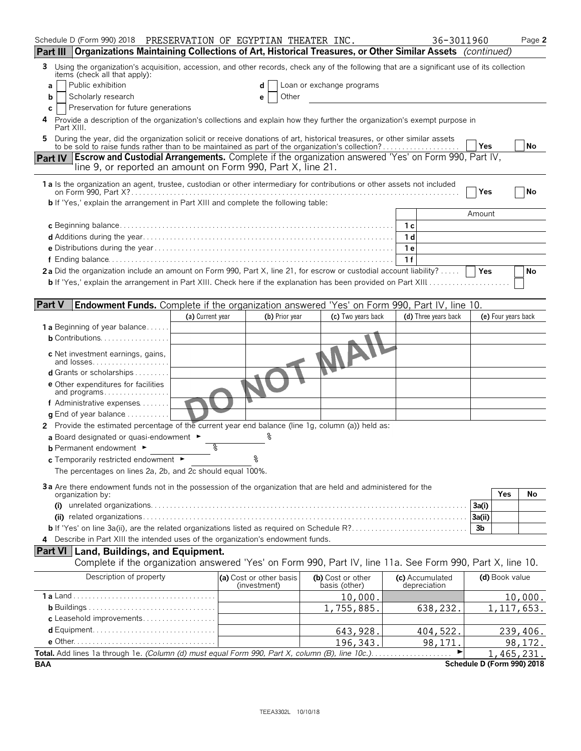| Schedule D (Form 990) 2018  PRESERVATION OF EGYPTIAN THEATER INC.                                                                                                                                                                 |                  |                                         |                                    |                                 | 36-3011960           |        |                     | Page 2                     |
|-----------------------------------------------------------------------------------------------------------------------------------------------------------------------------------------------------------------------------------|------------------|-----------------------------------------|------------------------------------|---------------------------------|----------------------|--------|---------------------|----------------------------|
| Organizations Maintaining Collections of Art, Historical Treasures, or Other Similar Assets (continued)<br><b>Part III</b>                                                                                                        |                  |                                         |                                    |                                 |                      |        |                     |                            |
| Using the organization's acquisition, accession, and other records, check any of the following that are a significant use of its collection<br>3<br>items (check all that apply):                                                 |                  |                                         |                                    |                                 |                      |        |                     |                            |
| Public exhibition<br>a                                                                                                                                                                                                            |                  |                                         | Loan or exchange programs          |                                 |                      |        |                     |                            |
| Scholarly research<br>b                                                                                                                                                                                                           |                  | Other<br>е                              |                                    |                                 |                      |        |                     |                            |
| Preservation for future generations<br>c                                                                                                                                                                                          |                  |                                         |                                    |                                 |                      |        |                     |                            |
| Provide a description of the organization's collections and explain how they further the organization's exempt purpose in<br>4<br>Part XIII.                                                                                      |                  |                                         |                                    |                                 |                      |        |                     |                            |
| During the year, did the organization solicit or receive donations of art, historical treasures, or other similar assets<br>5<br>to be sold to raise funds rather than to be maintained as part of the organization's collection? |                  |                                         |                                    |                                 |                      | Yes    |                     | No                         |
| <b>Escrow and Custodial Arrangements.</b> Complete if the organization answered 'Yes' on Form 990, Part IV,<br><b>Part IV</b>                                                                                                     |                  |                                         |                                    |                                 |                      |        |                     |                            |
| line 9, or reported an amount on Form 990, Part X, line 21.                                                                                                                                                                       |                  |                                         |                                    |                                 |                      |        |                     |                            |
| 1 a Is the organization an agent, trustee, custodian or other intermediary for contributions or other assets not included                                                                                                         |                  |                                         |                                    |                                 |                      | Yes    |                     | No                         |
| <b>b</b> If 'Yes,' explain the arrangement in Part XIII and complete the following table:                                                                                                                                         |                  |                                         |                                    |                                 |                      |        |                     |                            |
|                                                                                                                                                                                                                                   |                  |                                         |                                    |                                 |                      | Amount |                     |                            |
|                                                                                                                                                                                                                                   |                  |                                         |                                    | 1 с                             |                      |        |                     |                            |
|                                                                                                                                                                                                                                   |                  |                                         |                                    | 1 <sub>d</sub>                  |                      |        |                     |                            |
|                                                                                                                                                                                                                                   |                  |                                         |                                    | 1 <sub>e</sub>                  |                      |        |                     |                            |
|                                                                                                                                                                                                                                   |                  |                                         |                                    | 1 f                             |                      |        |                     |                            |
| 2a Did the organization include an amount on Form 990, Part X, line 21, for escrow or custodial account liability?                                                                                                                |                  |                                         |                                    |                                 |                      | Yes    |                     | No                         |
|                                                                                                                                                                                                                                   |                  |                                         |                                    |                                 |                      |        |                     |                            |
|                                                                                                                                                                                                                                   |                  |                                         |                                    |                                 |                      |        |                     |                            |
| <b>Part V</b><br><b>Endowment Funds.</b> Complete if the organization answered 'Yes' on Form 990, Part IV, line 10.                                                                                                               |                  |                                         |                                    |                                 |                      |        |                     |                            |
| <b>1 a</b> Beginning of year balance                                                                                                                                                                                              | (a) Current year | (b) Prior year                          | (c) Two years back                 |                                 | (d) Three years back |        | (e) Four years back |                            |
| <b>b</b> Contributions.                                                                                                                                                                                                           |                  |                                         |                                    |                                 |                      |        |                     |                            |
|                                                                                                                                                                                                                                   |                  |                                         |                                    |                                 |                      |        |                     |                            |
| <b>c</b> Net investment earnings, gains,<br>and losses                                                                                                                                                                            |                  |                                         |                                    |                                 |                      |        |                     |                            |
| <b>d</b> Grants or scholarships                                                                                                                                                                                                   |                  |                                         |                                    |                                 |                      |        |                     |                            |
| e Other expenditures for facilities                                                                                                                                                                                               |                  |                                         |                                    |                                 |                      |        |                     |                            |
| and programs                                                                                                                                                                                                                      |                  |                                         |                                    |                                 |                      |        |                     |                            |
| f Administrative expenses                                                                                                                                                                                                         |                  |                                         |                                    |                                 |                      |        |                     |                            |
| <b>a</b> End of year balance $\dots\dots\dots\dots$                                                                                                                                                                               |                  |                                         |                                    |                                 |                      |        |                     |                            |
| 2 Provide the estimated percentage of the current year end balance (line 1g, column (a)) held as:                                                                                                                                 |                  |                                         |                                    |                                 |                      |        |                     |                            |
| a Board designated or quasi-endowment $\blacktriangleright$                                                                                                                                                                       |                  |                                         |                                    |                                 |                      |        |                     |                            |
| <b>b</b> Permanent endowment $\blacktriangleright$                                                                                                                                                                                | နွ               |                                         |                                    |                                 |                      |        |                     |                            |
| $\epsilon$ Temporarily restricted endowment $\blacktriangleright$                                                                                                                                                                 |                  |                                         |                                    |                                 |                      |        |                     |                            |
| The percentages on lines 2a, 2b, and 2c should equal 100%.                                                                                                                                                                        |                  |                                         |                                    |                                 |                      |        |                     |                            |
| 3a Are there endowment funds not in the possession of the organization that are held and administered for the                                                                                                                     |                  |                                         |                                    |                                 |                      |        |                     |                            |
| organization by:                                                                                                                                                                                                                  |                  |                                         |                                    |                                 |                      |        | Yes                 | No                         |
|                                                                                                                                                                                                                                   |                  |                                         |                                    |                                 |                      | 3a(i)  |                     |                            |
|                                                                                                                                                                                                                                   |                  |                                         |                                    |                                 |                      | 3a(ii) |                     |                            |
| Describe in Part XIII the intended uses of the organization's endowment funds.                                                                                                                                                    |                  |                                         |                                    |                                 |                      | 3b     |                     |                            |
| Part VI Land, Buildings, and Equipment.                                                                                                                                                                                           |                  |                                         |                                    |                                 |                      |        |                     |                            |
| Complete if the organization answered 'Yes' on Form 990, Part IV, line 11a. See Form 990, Part X, line 10.                                                                                                                        |                  |                                         |                                    |                                 |                      |        |                     |                            |
|                                                                                                                                                                                                                                   |                  |                                         |                                    |                                 |                      |        |                     |                            |
| Description of property                                                                                                                                                                                                           |                  | (a) Cost or other basis<br>(investment) | (b) Cost or other<br>basis (other) | (c) Accumulated<br>depreciation |                      |        | (d) Book value      |                            |
|                                                                                                                                                                                                                                   |                  |                                         | 10,000.                            |                                 |                      |        |                     | 10,000.                    |
|                                                                                                                                                                                                                                   |                  |                                         | 1,755,885.                         |                                 | 638,232.             |        |                     | 1, 117, 653.               |
| c Leasehold improvements                                                                                                                                                                                                          |                  |                                         |                                    |                                 |                      |        |                     |                            |
|                                                                                                                                                                                                                                   |                  |                                         | 643, 928.                          |                                 | 404,522.             |        |                     | 239,406.                   |
|                                                                                                                                                                                                                                   |                  |                                         | 196,343.                           |                                 | 98,171.              |        |                     | 98,172.                    |
| Total. Add lines 1a through 1e. (Column (d) must equal Form 990, Part X, column (B), line 10c.)                                                                                                                                   |                  |                                         |                                    |                                 |                      |        |                     | 1,465,231.                 |
| <b>BAA</b>                                                                                                                                                                                                                        |                  |                                         |                                    |                                 |                      |        |                     | Schedule D (Form 990) 2018 |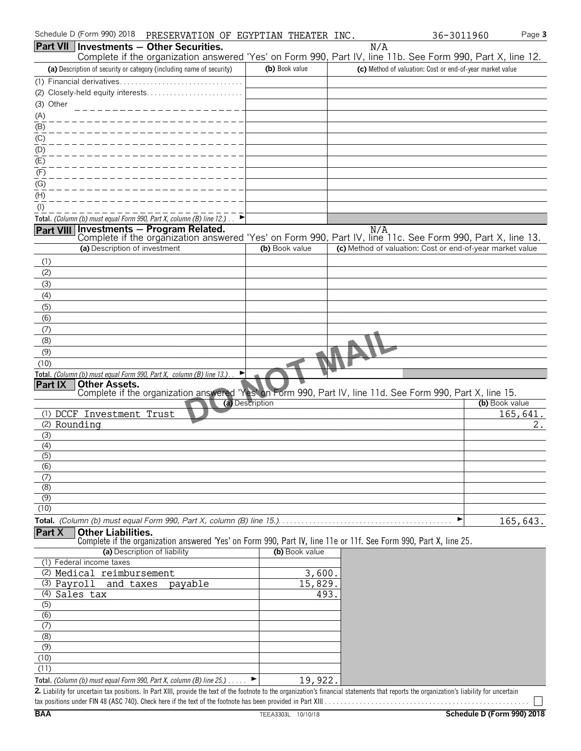| Schedule D (Form 990) 2018<br>PRESERVATION OF EGYPTIAN THEATER INC.                                                                                                                                                                                                    |                |     | 36-3011960                                                | Page 3   |
|------------------------------------------------------------------------------------------------------------------------------------------------------------------------------------------------------------------------------------------------------------------------|----------------|-----|-----------------------------------------------------------|----------|
| <b>Part VII Investments - Other Securities.</b>                                                                                                                                                                                                                        |                | N/A |                                                           |          |
| Complete if the organization answered 'Yes' on Form 990, Part IV, line 11b. See Form 990, Part X, line 12.<br>(a) Description of security or category (including name of security)                                                                                     | (b) Book value |     | (c) Method of valuation: Cost or end-of-year market value |          |
|                                                                                                                                                                                                                                                                        |                |     |                                                           |          |
|                                                                                                                                                                                                                                                                        |                |     |                                                           |          |
| (3) Other                                                                                                                                                                                                                                                              |                |     |                                                           |          |
| (A)                                                                                                                                                                                                                                                                    |                |     |                                                           |          |
| (B)                                                                                                                                                                                                                                                                    |                |     |                                                           |          |
| (C)                                                                                                                                                                                                                                                                    |                |     |                                                           |          |
| (D)                                                                                                                                                                                                                                                                    |                |     |                                                           |          |
| (E)                                                                                                                                                                                                                                                                    |                |     |                                                           |          |
| (F)                                                                                                                                                                                                                                                                    |                |     |                                                           |          |
| (G)                                                                                                                                                                                                                                                                    |                |     |                                                           |          |
| (H)                                                                                                                                                                                                                                                                    |                |     |                                                           |          |
| $($ l $)$                                                                                                                                                                                                                                                              |                |     |                                                           |          |
| Total. (Column (b) must equal Form 990, Part X, column (B) line $12.$ )                                                                                                                                                                                                |                |     |                                                           |          |
| Part VIII Investments - Program Related.<br>Complete if the organization answered 'Yes' on Form 990, Part IV, line 11c. See Form 990, Part X, line 13.                                                                                                                 |                | N/A |                                                           |          |
| (a) Description of investment                                                                                                                                                                                                                                          | (b) Book value |     | (c) Method of valuation: Cost or end-of-year market value |          |
| (1)                                                                                                                                                                                                                                                                    |                |     |                                                           |          |
| (2)                                                                                                                                                                                                                                                                    |                |     |                                                           |          |
| (3)                                                                                                                                                                                                                                                                    |                |     |                                                           |          |
| (4)                                                                                                                                                                                                                                                                    |                |     |                                                           |          |
| (5)                                                                                                                                                                                                                                                                    |                |     |                                                           |          |
| (6)                                                                                                                                                                                                                                                                    |                |     |                                                           |          |
| (7)                                                                                                                                                                                                                                                                    |                |     |                                                           |          |
| (8)                                                                                                                                                                                                                                                                    |                |     |                                                           |          |
| (9)                                                                                                                                                                                                                                                                    |                |     |                                                           |          |
| (10)                                                                                                                                                                                                                                                                   |                |     |                                                           |          |
| Total. (Column (b) must equal Form 990, Part X, column (B) line 13.).<br>▶<br><b>Other Assets.</b>                                                                                                                                                                     |                |     |                                                           |          |
| <b>Part IX</b><br>Complete if the organization answered 'Yes' on Form 990, Part IV, line 11d. See Form 990, Part X, line 15.                                                                                                                                           |                |     |                                                           |          |
| (a) Description                                                                                                                                                                                                                                                        |                |     | (b) Book value                                            |          |
| DCCF Investment Trust<br>(1)                                                                                                                                                                                                                                           |                |     |                                                           | 165,641. |
| (2) Rounding                                                                                                                                                                                                                                                           |                |     |                                                           | 2.       |
| (3)                                                                                                                                                                                                                                                                    |                |     |                                                           |          |
| (4)<br>$\overline{(5)}$                                                                                                                                                                                                                                                |                |     |                                                           |          |
| (6)                                                                                                                                                                                                                                                                    |                |     |                                                           |          |
| (7)                                                                                                                                                                                                                                                                    |                |     |                                                           |          |
| (8)                                                                                                                                                                                                                                                                    |                |     |                                                           |          |
| $\overline{(9)}$                                                                                                                                                                                                                                                       |                |     |                                                           |          |
| (10)                                                                                                                                                                                                                                                                   |                |     |                                                           |          |
|                                                                                                                                                                                                                                                                        |                |     |                                                           | 165,643. |
| <b>Other Liabilities.</b><br><b>Part X</b><br>Complete if the organization answered 'Yes' on Form 990, Part IV, line 11e or 11f. See Form 990, Part X, line 25.                                                                                                        |                |     |                                                           |          |
| (a) Description of liability                                                                                                                                                                                                                                           | (b) Book value |     |                                                           |          |
| (1) Federal income taxes                                                                                                                                                                                                                                               |                |     |                                                           |          |
| (2) Medical reimbursement                                                                                                                                                                                                                                              | 3,600.         |     |                                                           |          |
| (3) Payroll<br>and taxes<br>payable                                                                                                                                                                                                                                    | 15,829.        |     |                                                           |          |
| Sales tax<br>(4)                                                                                                                                                                                                                                                       | 493.           |     |                                                           |          |
| (5)                                                                                                                                                                                                                                                                    |                |     |                                                           |          |
| (6)                                                                                                                                                                                                                                                                    |                |     |                                                           |          |
| (7)                                                                                                                                                                                                                                                                    |                |     |                                                           |          |
| (8)<br>(9)                                                                                                                                                                                                                                                             |                |     |                                                           |          |
|                                                                                                                                                                                                                                                                        |                |     |                                                           |          |
|                                                                                                                                                                                                                                                                        |                |     |                                                           |          |
| (10)                                                                                                                                                                                                                                                                   |                |     |                                                           |          |
| (11)                                                                                                                                                                                                                                                                   |                |     |                                                           |          |
| Total. (Column (b) must equal Form 990, Part X, column (B) line $25.$ )<br>2. Liability for uncertain tax positions. In Part XIII, provide the text of the footnote to the organization's financial statements that reports the organization's liability for uncertain | 19,922.        |     |                                                           |          |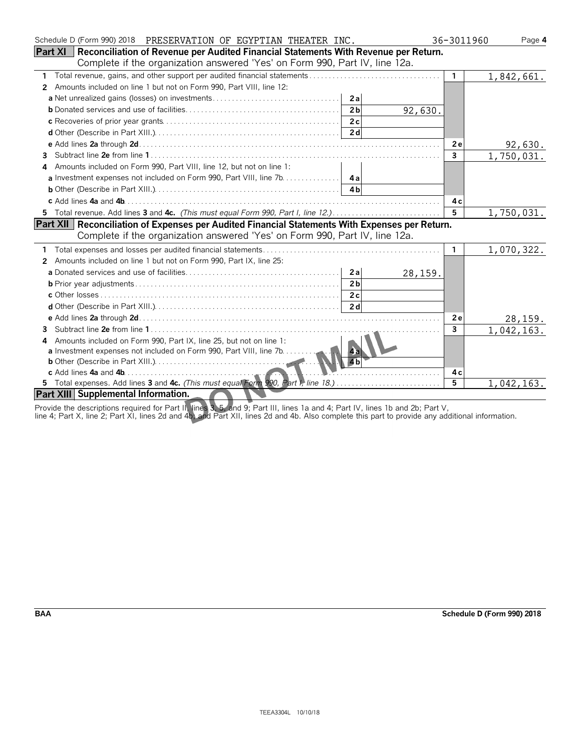| Schedule D (Form 990) 2018  PRESERVATION OF EGYPTIAN THEATER INC                                      | 36-3011960              | Page 4     |
|-------------------------------------------------------------------------------------------------------|-------------------------|------------|
| Part XI   Reconciliation of Revenue per Audited Financial Statements With Revenue per Return.         |                         |            |
| Complete if the organization answered 'Yes' on Form 990, Part IV, line 12a.                           |                         |            |
|                                                                                                       | $\mathbf{1}$            | 1,842,661. |
| 2 Amounts included on line 1 but not on Form 990, Part VIII, line 12:                                 |                         |            |
| 2a                                                                                                    |                         |            |
| 2 <sub>b</sub><br>92,630.                                                                             |                         |            |
| 2c                                                                                                    |                         |            |
| 2d                                                                                                    |                         |            |
|                                                                                                       | 2 e                     | 92,630.    |
|                                                                                                       | $\overline{3}$          | 1,750,031. |
| Amounts included on Form 990, Part VIII, line 12, but not on line 1:<br>4                             |                         |            |
| a Investment expenses not included on Form 990, Part VIII, line 7b. 4a                                |                         |            |
| 4 <sub>h</sub>                                                                                        |                         |            |
|                                                                                                       | 4 c                     |            |
| 5 Total revenue. Add lines 3 and 4c. (This must equal Form 990, Part I, line 12.)                     | 5                       | 1,750,031. |
| <b>Part XII</b> Reconciliation of Expenses per Audited Financial Statements With Expenses per Return. |                         |            |
| Complete if the organization answered 'Yes' on Form 990, Part IV, line 12a.                           |                         |            |
|                                                                                                       | $\mathbf{1}$            | 1,070,322. |
| Amounts included on line 1 but not on Form 990, Part IX, line 25:<br>2                                |                         |            |
| 28, 159.                                                                                              |                         |            |
| 2 <sub>b</sub>                                                                                        |                         |            |
| 2c                                                                                                    |                         |            |
| 2d                                                                                                    |                         |            |
|                                                                                                       | 2e                      | 28, 159.   |
| 3                                                                                                     | $\overline{\mathbf{3}}$ | 1,042,163. |
| Amounts included on Form 990, Part IX, line 25, but not on line 1:<br>4                               |                         |            |
| a Investment expenses not included on Form 990, Part VIII, line 7b.                                   |                         |            |
|                                                                                                       |                         |            |
|                                                                                                       | 4 c                     |            |
| 5 Total expenses. Add lines 3 and 4c. (This must equal Form 990, Part I, line 18.)                    | 5.                      | 1,042,163. |
| Part XIII Supplemental Information.                                                                   |                         |            |

Provide the descriptions required for Part II, lines 3, 5, and 9; Part III, lines 1a and 4; Part IV, lines 1b and 2b; Part V,

line 4; Part X, line 2; Part XI, lines 2d and 4b; and Part XII, lines 2d and 4b. Also complete this part to provide any additional information.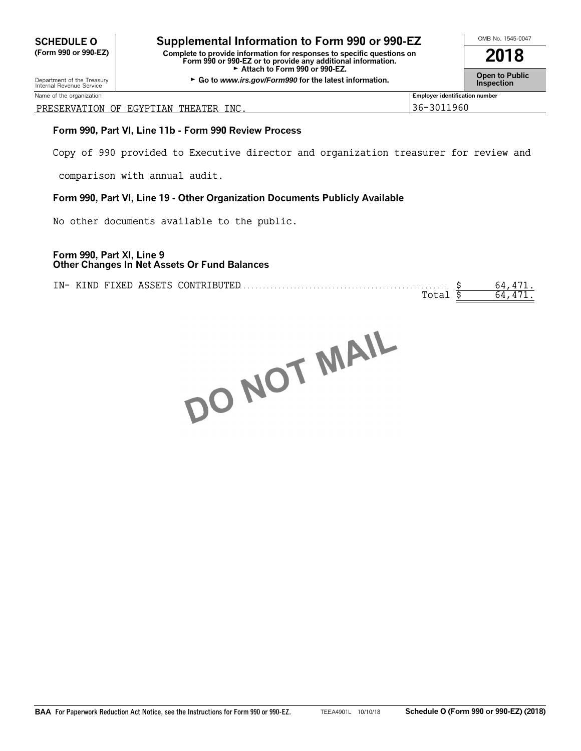### **SCHEDULE O Supplemental Information to Form 990 or 990-EZ** MB No. 1545-0047

**(Form 990 or 990-EZ) Complete to provide information for responses to specific questions on Form 990 or 990-EZ or to provide any additional information. 2018** Attach to Form 990 or 990-EZ. P Attach to Porm 990 or 990-EZ.<br>■ Co to *www.irs.gov/Form990* for the latest information. ■ Department in the latest information.

Department of the Treasury<br>Internal Revenue Service

Name of the organization **Employer identification number Employer identification number** 

PRESERVATION OF EGYPTIAN THEATER INC.  $\vert$  36-3011960

#### **Form 990, Part VI, Line 11b - Form 990 Review Process**

Copy of 990 provided to Executive director and organization treasurer for review and

comparison with annual audit.

#### **Form 990, Part VI, Line 19 - Other Organization Documents Publicly Available**

No other documents available to the public.

#### **Form 990, Part XI, Line 9 Other Changes In Net Assets Or Fund Balances**

| $IN-$ | -NH | `XF.I | ,,,,,,,,<br>∼ н | 'ONTR<br>BUTE. |  |
|-------|-----|-------|-----------------|----------------|--|
|       |     |       |                 |                |  |

DO NOT MAIL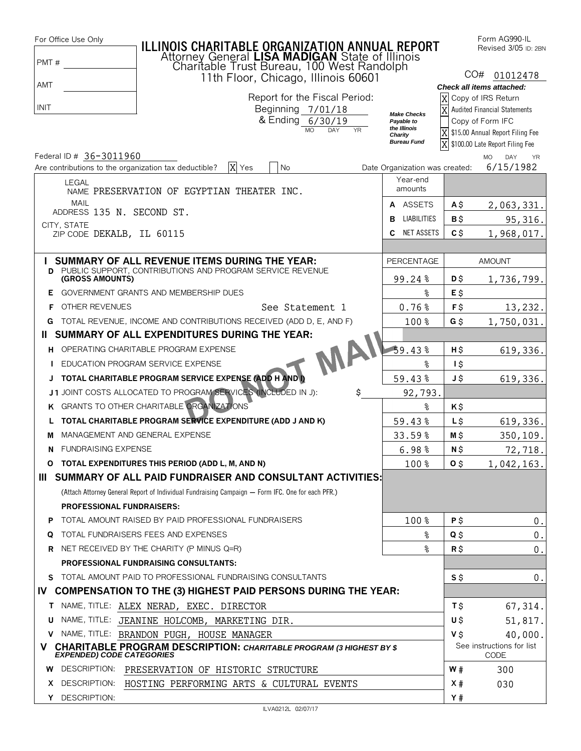| For Office Use Only<br>ILLINOIS CHARITABLE ORGANIZATION ANNUAL REPORT                                     |                                |                       | Form AG990-IL<br>Revised 3/05 ID: 2BN                  |
|-----------------------------------------------------------------------------------------------------------|--------------------------------|-----------------------|--------------------------------------------------------|
| Attorney General LISA MADIGAN State of Illinois<br>Charitable Trust Bureau, 100 West Randolph<br>PMT#     |                                |                       |                                                        |
| 11th Floor, Chicago, Illinois 60601                                                                       |                                |                       | CO# 01012478                                           |
| AMT                                                                                                       |                                |                       | Check all items attached:                              |
| Report for the Fiscal Period:                                                                             |                                | X                     | Copy of IRS Return                                     |
| INIT<br>Beginning 7/01/18<br>& Ending 6/30/19                                                             | <b>Make Checks</b>             | $\overline{\text{X}}$ | <b>Audited Financial Statements</b>                    |
| <b>YR</b><br><b>MO</b><br><b>DAY</b>                                                                      | Payable to<br>the Illinois     |                       | Copy of Form IFC<br>X \$15.00 Annual Report Filing Fee |
|                                                                                                           | Charity<br><b>Bureau Fund</b>  | X                     | \$100.00 Late Report Filing Fee                        |
| Federal ID # 36-3011960                                                                                   |                                |                       | <b>MO</b><br>DAY<br>YR                                 |
| X Yes<br>Are contributions to the organization tax deductible?<br><b>No</b>                               | Date Organization was created: |                       | 6/15/1982                                              |
| <b>LEGAL</b><br>NAME PRESERVATION OF EGYPTIAN THEATER INC.                                                | Year-end<br>amounts            |                       |                                                        |
| MAIL<br>ADDRESS 135 N. SECOND ST.                                                                         | A ASSETS                       | Α\$                   | 2,063,331.                                             |
| CITY, STATE                                                                                               | <b>B</b> LIABILITIES           | B\$                   | 95,316.                                                |
| ZIP CODE DEKALB, IL 60115                                                                                 | C NET ASSETS                   | C\$                   | 1,968,017.                                             |
|                                                                                                           |                                |                       |                                                        |
| I SUMMARY OF ALL REVENUE ITEMS DURING THE YEAR:                                                           | <b>PERCENTAGE</b>              |                       | <b>AMOUNT</b>                                          |
| D PUBLIC SUPPORT, CONTRIBUTIONS AND PROGRAM SERVICE REVENUE<br>(GROSS AMOUNTS)                            | 99.24%                         | D\$                   | 1,736,799.                                             |
| <b>E</b> GOVERNMENT GRANTS AND MEMBERSHIP DUES                                                            | °                              | E\$                   |                                                        |
| <b>F</b> OTHER REVENUES<br>See Statement 1                                                                | 0.76%                          | F\$                   | 13,232.                                                |
| G TOTAL REVENUE, INCOME AND CONTRIBUTIONS RECEIVED (ADD D, E, AND F)                                      | 100%                           | G\$                   | 1,750,031.                                             |
| II SUMMARY OF ALL EXPENDITURES DURING THE YEAR:                                                           |                                |                       |                                                        |
| MAI<br>H OPERATING CHARITABLE PROGRAM EXPENSE                                                             | 59.43%                         | H\$                   | 619,336.                                               |
| EDUCATION PROGRAM SERVICE EXPENSE                                                                         | န္                             | 1\$                   |                                                        |
| J TOTAL CHARITABLE PROGRAM SERVICE EXPENSE (ADD HAND I)                                                   | 59.43%                         | J\$                   | 619,336.                                               |
| J1 JOINT COSTS ALLOCATED TO PROGRAM SERVICES (INCLUDED IN J):<br>\$                                       | 92,793.                        |                       |                                                        |
| K GRANTS TO OTHER CHARITABLE ORGANIZATIONS                                                                | °                              | Κ\$                   |                                                        |
| TOTAL CHARITABLE PROGRAM SERVICE EXPENDITURE (ADD J AND K)                                                | 59.43%                         | L\$                   | 619,336.                                               |
| MANAGEMENT AND GENERAL EXPENSE<br>M                                                                       | 33.59%                         | Μ\$                   | 350,109.                                               |
| <b>N</b> FUNDRAISING EXPENSE                                                                              | 6.98%                          | Ν\$                   | 72,718.                                                |
| O TOTAL EXPENDITURES THIS PERIOD (ADD L, M, AND N)                                                        | 100 %                          | O <sub>5</sub>        | 1,042,163.                                             |
| III SUMMARY OF ALL PAID FUNDRAISER AND CONSULTANT ACTIVITIES:                                             |                                |                       |                                                        |
| (Attach Attorney General Report of Individual Fundraising Campaign - Form IFC. One for each PFR.)         |                                |                       |                                                        |
| <b>PROFESSIONAL FUNDRAISERS:</b>                                                                          |                                |                       |                                                        |
| TOTAL AMOUNT RAISED BY PAID PROFESSIONAL FUNDRAISERS<br>P.                                                | 100 %                          | P\$                   | 0.                                                     |
| TOTAL FUNDRAISERS FEES AND EXPENSES<br>Q                                                                  | နွ                             | Q \$                  | $0$ .                                                  |
| <b>R</b> NET RECEIVED BY THE CHARITY (P MINUS Q=R)                                                        | နွ                             | $R$ \$                | 0.                                                     |
| <b>PROFESSIONAL FUNDRAISING CONSULTANTS:</b>                                                              |                                |                       |                                                        |
| S TOTAL AMOUNT PAID TO PROFESSIONAL FUNDRAISING CONSULTANTS                                               |                                | $S$ \$                | 0.                                                     |
| IV COMPENSATION TO THE (3) HIGHEST PAID PERSONS DURING THE YEAR:                                          |                                |                       |                                                        |
| T NAME, TITLE: ALEX NERAD, EXEC. DIRECTOR                                                                 |                                | Τ\$                   | 67,314.                                                |
| U NAME, TITLE: JEANINE HOLCOMB, MARKETING DIR.                                                            |                                | U\$                   | 51,817.                                                |
| V NAME, TITLE: BRANDON PUGH, HOUSE MANAGER                                                                |                                | V\$                   | 40,000.                                                |
| V CHARITABLE PROGRAM DESCRIPTION: CHARITABLE PROGRAM (3 HIGHEST BY \$<br><b>EXPENDED) CODE CATEGORIES</b> |                                |                       | See instructions for list<br>CODE                      |
| DESCRIPTION: PRESERVATION OF HISTORIC STRUCTURE<br>W                                                      |                                | W#                    | 300                                                    |
| X DESCRIPTION:<br>HOSTING PERFORMING ARTS & CULTURAL EVENTS                                               |                                | X#                    | 030                                                    |
| Y DESCRIPTION:                                                                                            |                                | Y#                    |                                                        |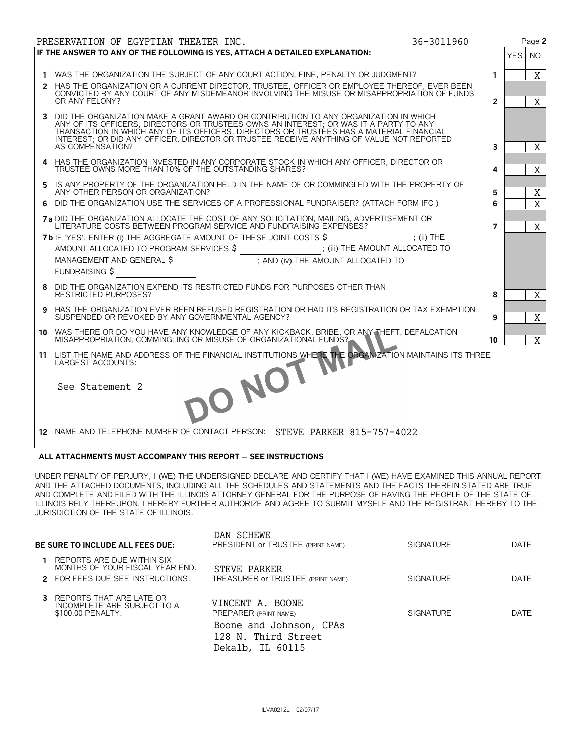|   | PRESERVATION OF EGYPTIAN THEATER INC.                                                                                                                                                                                                                                                                                                                                                                                                                                                                                                                                                                                                                                                         | 36-3011960     |            | Page 2    |
|---|-----------------------------------------------------------------------------------------------------------------------------------------------------------------------------------------------------------------------------------------------------------------------------------------------------------------------------------------------------------------------------------------------------------------------------------------------------------------------------------------------------------------------------------------------------------------------------------------------------------------------------------------------------------------------------------------------|----------------|------------|-----------|
|   | IF THE ANSWER TO ANY OF THE FOLLOWING IS YES, ATTACH A DETAILED EXPLANATION:                                                                                                                                                                                                                                                                                                                                                                                                                                                                                                                                                                                                                  |                | <b>YES</b> | <b>NO</b> |
|   | 1 WAS THE ORGANIZATION THE SUBJECT OF ANY COURT ACTION, FINE, PENALTY OR JUDGMENT?                                                                                                                                                                                                                                                                                                                                                                                                                                                                                                                                                                                                            | 1              |            | X         |
|   | 2 HAS THE ORGANIZATION OR A CURRENT DIRECTOR, TRUSTEE, OFFICER OR EMPLOYEE THEREOF, EVER BEEN<br>CONVICTED BY ANY COURT OF ANY MISDEMEANOR INVOLVING THE MISUSE OR MISAPPROPRIATION OF FUNDS<br>OR ANY FELONY?                                                                                                                                                                                                                                                                                                                                                                                                                                                                                | $\overline{2}$ |            | X         |
|   | 3 DID THE ORGANIZATION MAKE A GRANT AWARD OR CONTRIBUTION TO ANY ORGANIZATION IN WHICH<br>ANY OF ITS OFFICERS, DIRECTORS OR TRUSTEES OWNS AN INTEREST; OR WAS IT A PARTY TO ANY<br>TRANSACTION IN WHICH ANY OF ITS OFFICERS, DIRECTORS OR TRUSTEES HAS A MATERIAL FINANCIAL<br>INTEREST: OR DID ANY OFFICER. DIRECTOR OR TRUSTEE RECEIVE ANYTHING OF VALUE NOT REPORTED<br>AS COMPENSATION?                                                                                                                                                                                                                                                                                                   | 3              |            | X         |
|   | 4 HAS THE ORGANIZATION INVESTED IN ANY CORPORATE STOCK IN WHICH ANY OFFICER, DIRECTOR OR<br>TRUSTEE OWNS MORE THAN 10% OF THE OUTSTANDING SHARES?                                                                                                                                                                                                                                                                                                                                                                                                                                                                                                                                             | 4              |            | X         |
| 6 | 5 IS ANY PROPERTY OF THE ORGANIZATION HELD IN THE NAME OF OR COMMINGLED WITH THE PROPERTY OF<br>ANY OTHER PERSON OR ORGANIZATION?<br>DID THE ORGANIZATION USE THE SERVICES OF A PROFESSIONAL FUNDRAISER? (ATTACH FORM IFC)                                                                                                                                                                                                                                                                                                                                                                                                                                                                    | 5<br>6         |            | X<br>X    |
|   | <b>7a DID THE ORGANIZATION ALLOCATE THE COST OF ANY SOLICITATION. MAILING, ADVERTISEMENT OR</b><br>LITERATURE COSTS BETWEEN PROGRAM SERVICE AND FUNDRAISING EXPENSES?                                                                                                                                                                                                                                                                                                                                                                                                                                                                                                                         | $\overline{7}$ |            | X         |
|   | <b>7b</b> IF 'YES', ENTER (i) THE AGGREGATE AMOUNT OF THESE JOINT COSTS \$<br>$\frac{1}{\sqrt{1-\frac{1}{2}}\sqrt{1-\frac{1}{2}}\sqrt{1-\frac{1}{2}}\sqrt{1-\frac{1}{2}}\sqrt{1-\frac{1}{2}}\sqrt{1-\frac{1}{2}}\sqrt{1-\frac{1}{2}}\sqrt{1-\frac{1}{2}}\sqrt{1-\frac{1}{2}}\sqrt{1-\frac{1}{2}}\sqrt{1-\frac{1}{2}}\sqrt{1-\frac{1}{2}}\sqrt{1-\frac{1}{2}}\sqrt{1-\frac{1}{2}}\sqrt{1-\frac{1}{2}}\sqrt{1-\frac{1}{2}}\sqrt{1-\frac{1}{2}}\sqrt{1-\frac{1}{2}}\sqrt{1-\frac{1}{2}}\sqrt{1-\frac$<br>AMOUNT ALLOCATED TO PROGRAM SERVICES $\frac{1}{2}$ (iii) THE AMOUNT ALLOCATED TO<br>MANAGEMENT AND GENERAL \$ _____________________; AND (iv) THE AMOUNT ALLOCATED TO<br>FUNDRAISING \$ |                |            |           |
|   | 8 DID THE ORGANIZATION EXPEND ITS RESTRICTED FUNDS FOR PURPOSES OTHER THAN<br><b>RESTRICTED PURPOSES?</b>                                                                                                                                                                                                                                                                                                                                                                                                                                                                                                                                                                                     | 8              |            | X         |
|   | 9 HAS THE ORGANIZATION EVER BEEN REFUSED REGISTRATION OR HAD ITS REGISTRATION OR TAX EXEMPTION<br>SUSPENDED OR REVOKED BY ANY GOVERNMENTAL AGENCY?                                                                                                                                                                                                                                                                                                                                                                                                                                                                                                                                            | 9              |            | X         |
|   | 10 WAS THERE OR DO YOU HAVE ANY KNOWLEDGE OF ANY KICKBACK, BRIBE, OR ANY THEFT, DEFALCATION<br>MISAPPROPRIATION, COMMINGLING OR MISUSE OF ORGANIZATIONAL FUNDS?                                                                                                                                                                                                                                                                                                                                                                                                                                                                                                                               | 10             |            | X         |
|   | 11 LIST THE NAME AND ADDRESS OF THE FINANCIAL INSTITUTIONS WHERE THE ORGANIZATION MAINTAINS ITS THREE<br><b>LARGEST ACCOUNTS:</b><br>JNOT <sup>WH</sup><br>See Statement 2                                                                                                                                                                                                                                                                                                                                                                                                                                                                                                                    |                |            |           |
|   |                                                                                                                                                                                                                                                                                                                                                                                                                                                                                                                                                                                                                                                                                               |                |            |           |
|   | 12 NAME AND TELEPHONE NUMBER OF CONTACT PERSON: STEVE PARKER 815-757-4022                                                                                                                                                                                                                                                                                                                                                                                                                                                                                                                                                                                                                     |                |            |           |

#### **ALL ATTACHMENTS MUST ACCOMPANY THIS REPORT - SEE INSTRUCTIONS**

UNDER PENALTY OF PERJURY, I (WE) THE UNDERSIGNED DECLARE AND CERTIFY THAT I (WE) HAVE EXAMINED THIS ANNUAL REPORT AND THE ATTACHED DOCUMENTS, INCLUDING ALL THE SCHEDULES AND STATEMENTS AND THE FACTS THEREIN STATED ARE TRUE AND COMPLETE AND FILED WITH THE ILLINOIS ATTORNEY GENERAL FOR THE PURPOSE OF HAVING THE PEOPLE OF THE STATE OF ILLINOIS RELY THEREUPON. I HEREBY FURTHER AUTHORIZE AND AGREE TO SUBMIT MYSELF AND THE REGISTRANT HEREBY TO THE JURISDICTION OF THE STATE OF ILLINOIS.

|                                                                                | DAN SCHEWE                                                         |                  |             |
|--------------------------------------------------------------------------------|--------------------------------------------------------------------|------------------|-------------|
| BE SURE TO INCLUDE ALL FEES DUE:                                               | PRESIDENT OF TRUSTEE (PRINT NAME)                                  | <b>SIGNATURE</b> | <b>DATE</b> |
| REPORTS ARE DUE WITHIN SIX<br>MONTHS OF YOUR FISCAL YEAR END.                  | STEVE PARKER                                                       |                  |             |
| 2 FOR FEES DUE SEE INSTRUCTIONS.                                               | TREASURER or TRUSTEE (PRINT NAME)                                  | <b>SIGNATURE</b> | <b>DATE</b> |
| 3 REPORTS THAT ARE LATE OR<br>INCOMPLETE ARE SUBJECT TO A<br>\$100.00 PENALTY. | VINCENT A. BOONE<br>PREPARER (PRINT NAME)                          | <b>SIGNATURE</b> | <b>DATE</b> |
|                                                                                | Boone and Johnson, CPAs<br>128 N. Third Street<br>Dekalb, IL 60115 |                  |             |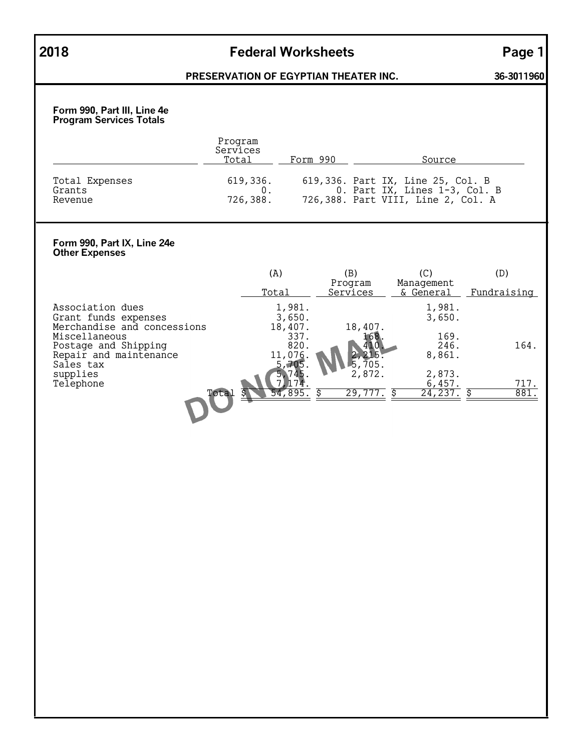## **2018 Federal Worksheets Page 1**

#### **PRESERVATION OF EGYPTIAN THEATER INC.** 36-3011960

#### **Form 990, Part III, Line 4e Program Services Totals**

|                | Program<br>Services<br>Total | Form 990 | Source                             |
|----------------|------------------------------|----------|------------------------------------|
| Total Expenses | 619,336.                     |          | 619,336. Part IX, Line 25, Col. B  |
| Grants         | $\Omega$ .                   |          | 0. Part IX, Lines 1-3, Col. B      |
| Revenue        | 726,388.                     |          | 726,388. Part VIII, Line 2, Col. A |

#### **Form 990, Part IX, Line 24e Other Expenses**

|                                              | (A)               | (B)                 | (C)                     | (D)               |
|----------------------------------------------|-------------------|---------------------|-------------------------|-------------------|
|                                              | Total             | Program<br>Services | Management<br>& General | Fundraising       |
| Association dues<br>Grant funds expenses     | 1,981.<br>3,650.  |                     | 1,981.<br>3,650.        |                   |
| Merchandise and concessions<br>Miscellaneous | 18,407.<br>337.   | 18,407.<br>168      | 169.                    |                   |
| Postage and Shipping                         | 820.              | 410                 | 246.                    | 164.              |
| Repair and maintenance<br>Sales tax          | 11,076.<br>5,705. | 5,705.              | 8,861.                  |                   |
| supplies                                     | 745               | 2,872.              | 2,873.                  |                   |
| Telephone<br>Total                           | 54,895.           | 29,777.             | 6,457.<br>24, 237.      | $\frac{717}{881}$ |
|                                              |                   |                     |                         |                   |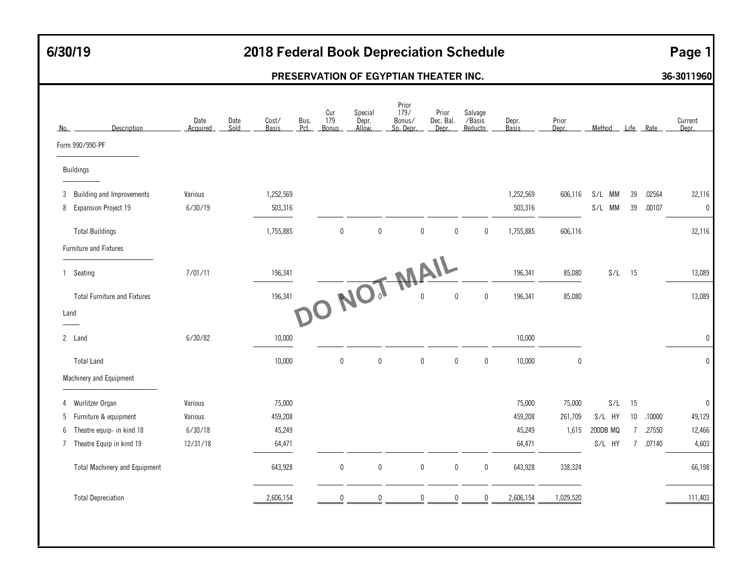## **6/30/19 2018 Federal Book Depreciation Schedule Page 1**

### **PRESERVATION OF EGYPTIAN THEATER INC. 1999 10:000 10:000 10:000 10:000 10:000 10:000 10:000 10:000 10:000 10:000 10:000 10:000 10:000 10:00:00 10:00:00 10:00:00 10:00:00 10:00:00 10:00:00 10:00:00 10:00:00 10:00:00:00:0**

| No.              | Description                          | Date<br>Acquired | Date<br>Sold | Cost/<br><b>Basis</b> | Bus.<br>Pct. | Cur<br>179<br>Bonus | Special<br>Depr.<br>Allow. |             | Prior<br>179/<br>Bonus/<br>Sp. Depr. | Prior<br>Dec. Bal.<br>Depr. | Salvage<br>/Basis<br>Reductn |             | Depr.<br>Basis | Prior<br>Depr. | Method Life Rate |                 |        | Current<br>Depr. |
|------------------|--------------------------------------|------------------|--------------|-----------------------|--------------|---------------------|----------------------------|-------------|--------------------------------------|-----------------------------|------------------------------|-------------|----------------|----------------|------------------|-----------------|--------|------------------|
| Form 990/990-PF  |                                      |                  |              |                       |              |                     |                            |             |                                      |                             |                              |             |                |                |                  |                 |        |                  |
| <b>Buildings</b> |                                      |                  |              |                       |              |                     |                            |             |                                      |                             |                              |             |                |                |                  |                 |        |                  |
| 3                | Building and Improvements            | Various          |              | 1,252,569             |              |                     |                            |             |                                      |                             |                              |             | 1,252,569      | 606,116        | S/L MM           | 39              | .02564 | 32,116           |
| 8                | <b>Expansion Project 19</b>          | 6/30/19          |              | 503,316               |              |                     |                            |             |                                      |                             |                              |             | 503,316        |                | S/L MM           | 39              | .00107 | $\mathbf 0$      |
|                  | <b>Total Buildings</b>               |                  |              | 1,755,885             |              | 0                   |                            | $\mathbf 0$ | $\pmb{0}$                            | $\mathbf 0$                 |                              | $\mathbf 0$ | 1,755,885      | 606,116        |                  |                 |        | 32,116           |
|                  | Furniture and Fixtures               |                  |              |                       |              |                     |                            |             |                                      |                             |                              |             |                |                |                  |                 |        |                  |
| Seating<br>-1    |                                      | 7/01/11          |              | 196,341               |              |                     |                            |             | DO NOT MAIL                          |                             |                              |             | 196,341        | 85,080         |                  | $S/L$ 15        |        | 13,089           |
|                  | <b>Total Furniture and Fixtures</b>  |                  |              | 196,341               |              |                     |                            |             |                                      |                             |                              | $\pmb{0}$   | 196,341        | 85,080         |                  |                 |        | 13,089           |
| Land             |                                      |                  |              |                       |              |                     |                            |             |                                      |                             |                              |             |                |                |                  |                 |        |                  |
| 2 Land           |                                      | 6/30/82          |              | 10,000                |              |                     |                            |             |                                      |                             |                              |             | 10,000         |                |                  |                 |        | $\pmb{0}$        |
|                  | <b>Total Land</b>                    |                  |              | 10,000                |              | 0                   |                            | $\mathbf 0$ | $\mathbf 0$                          | $\mathbf{0}$                |                              | $\mathbf 0$ | 10,000         | $\mathbf 0$    |                  |                 |        | $\pmb{0}$        |
|                  | Machinery and Equipment              |                  |              |                       |              |                     |                            |             |                                      |                             |                              |             |                |                |                  |                 |        |                  |
| 4                | Wurlitzer Organ                      | Various          |              | 75,000                |              |                     |                            |             |                                      |                             |                              |             | 75,000         | 75,000         | S/L              | 15              |        | 0                |
| 5                | Furniture & equipment                | Various          |              | 459,208               |              |                     |                            |             |                                      |                             |                              |             | 459,208        | 261,709        | S/L HY           | 10 <sup>°</sup> | .10000 | 49,129           |
| 6                | Theatre equip- in kind 18            | 6/30/18          |              | 45,249                |              |                     |                            |             |                                      |                             |                              |             | 45,249         | 1,615          | 200DB MQ         | $7^{\circ}$     | .27550 | 12,466           |
|                  | 7 Theatre Equip in kind 19           | 12/31/18         |              | 64,471                |              |                     |                            |             |                                      |                             |                              |             | 64,471         |                | S/L HY           | $7\overline{ }$ | .07140 | 4,603            |
|                  | <b>Total Machinery and Equipment</b> |                  |              | 643,928               |              | 0                   |                            | $\pmb{0}$   | $\pmb{0}$                            | $\pmb{0}$                   |                              | $\mathbf 0$ | 643,928        | 338,324        |                  |                 |        | 66,198           |
|                  | <b>Total Depreciation</b>            |                  |              | 2,606,154             |              | $\theta$            |                            | $\pmb{0}$   | $\pmb{0}$                            | $\pmb{0}$                   |                              | $\pmb{0}$   | 2,606,154      | 1,029,520      |                  |                 |        | 111,403          |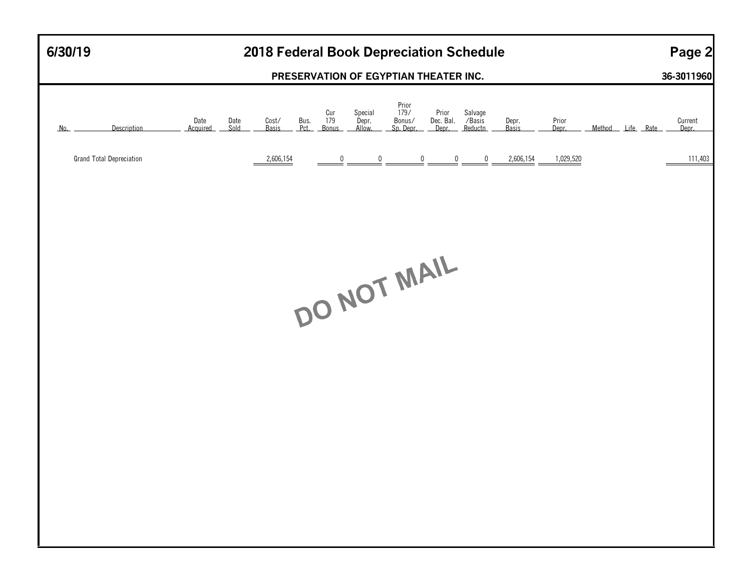| 6/30/19                         | 2018 Federal Book Depreciation Schedule                                                                                                                                                                                                                                   | Page 2                               |
|---------------------------------|---------------------------------------------------------------------------------------------------------------------------------------------------------------------------------------------------------------------------------------------------------------------------|--------------------------------------|
|                                 | 36-3011960                                                                                                                                                                                                                                                                |                                      |
| Description<br>No.              | Prior<br>179/<br>Bonus/<br>Prior<br>Dec. Bal.<br>Salvage<br>/Basis<br>Reductn<br>Cur<br>179<br>Special<br>Depr.<br>Date<br>Date<br>Cost/<br>Bus.<br>Prior<br>Depr.<br>Depr.<br>Basis<br>Acquired<br>Sold<br>Bonus<br>Allow.<br>Sp. Depr.<br><b>Basis</b><br>Pct.<br>Depr. | Current<br>Method Life Rate<br>Depr. |
| <b>Grand Total Depreciation</b> | 2,606,154<br>1,029,520<br>$\overline{0}$<br>$\overline{0}$<br>2,606,154<br>$\pmb{0}$<br>$\pmb{0}$<br>$\bm{0}$                                                                                                                                                             | 111,403                              |
|                                 | DO NOT MAIL                                                                                                                                                                                                                                                               |                                      |
|                                 |                                                                                                                                                                                                                                                                           |                                      |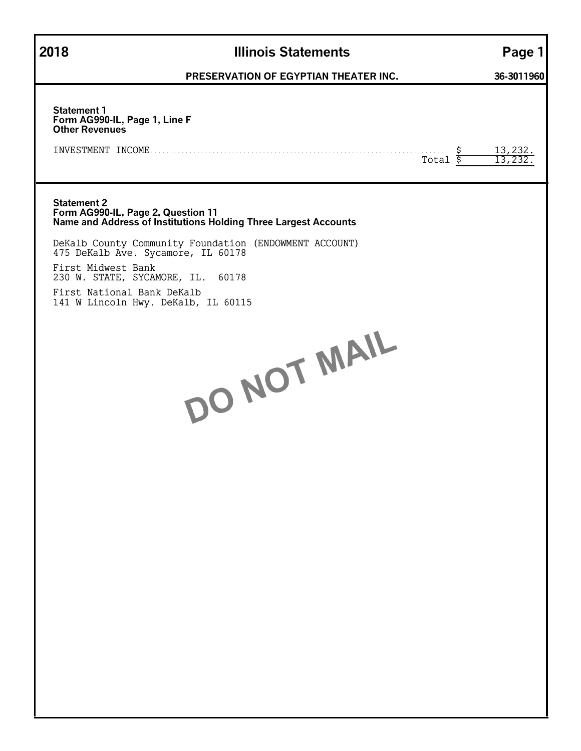| 2018               | <b>Illinois Statements</b>                                                                            | Page 1                    |
|--------------------|-------------------------------------------------------------------------------------------------------|---------------------------|
|                    | PRESERVATION OF EGYPTIAN THEATER INC.                                                                 | 36-3011960                |
| <b>Statement 1</b> | Form AG990-IL, Page 1, Line F<br><b>Other Revenues</b>                                                | $\frac{13,232}{13,232}$ . |
| <b>Statement 2</b> | Form AG990-IL, Page 2, Question 11<br>Name and Address of Institutions Holding Three Largest Accounts |                           |
|                    | DeKalb County Community Foundation (ENDOWMENT ACCOUNT)<br>475 DeKalb Ave. Sycamore, IL 60178          |                           |
|                    | First Midwest Bank<br>230 W. STATE, SYCAMORE, IL. 60178                                               |                           |
|                    | First National Bank DeKalb<br>141 W Lincoln Hwy. DeKalb, IL 60115                                     |                           |
|                    | DO NOT MAIL                                                                                           |                           |
|                    |                                                                                                       |                           |